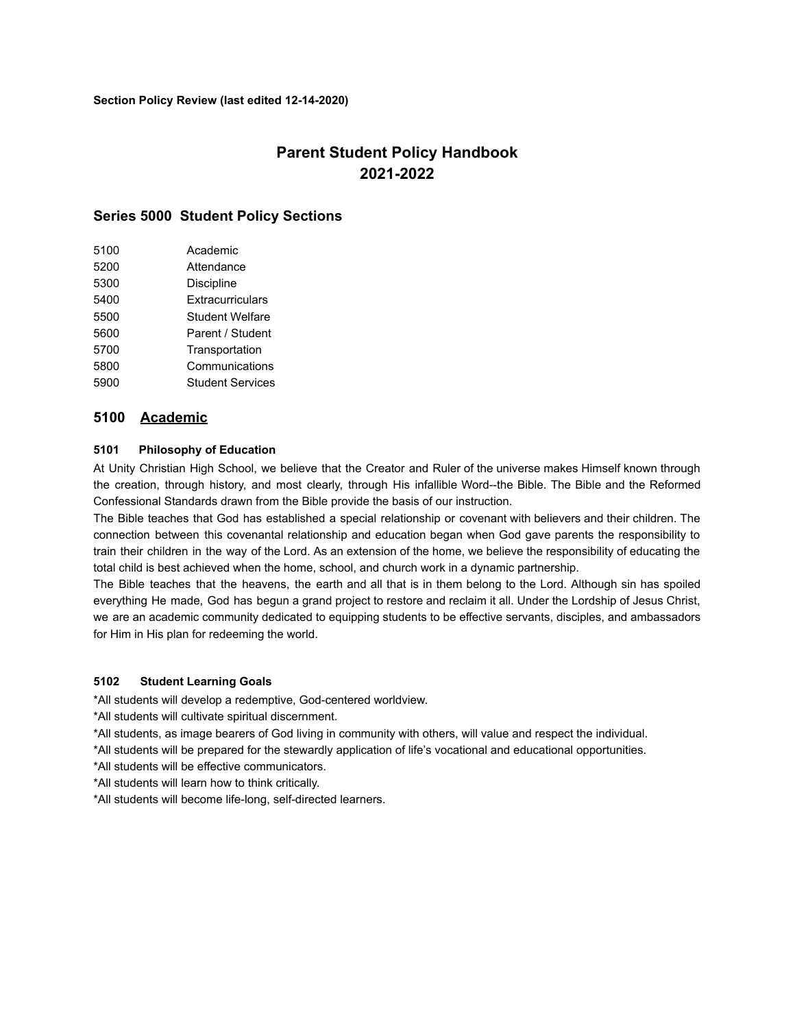# **Parent Student Policy Handbook 2021-2022**

# **Series 5000 Student Policy Sections**

| 5100 | Academic                |
|------|-------------------------|
| 5200 | Attendance              |
| 5300 | <b>Discipline</b>       |
| 5400 | Extracurriculars        |
| 5500 | Student Welfare         |
| 5600 | Parent / Student        |
| 5700 | Transportation          |
| 5800 | Communications          |
| 5900 | <b>Student Services</b> |
|      |                         |

# **5100 Academic**

# **5101 Philosophy of Education**

At Unity Christian High School, we believe that the Creator and Ruler of the universe makes Himself known through the creation, through history, and most clearly, through His infallible Word--the Bible. The Bible and the Reformed Confessional Standards drawn from the Bible provide the basis of our instruction.

The Bible teaches that God has established a special relationship or covenant with believers and their children. The connection between this covenantal relationship and education began when God gave parents the responsibility to train their children in the way of the Lord. As an extension of the home, we believe the responsibility of educating the total child is best achieved when the home, school, and church work in a dynamic partnership.

The Bible teaches that the heavens, the earth and all that is in them belong to the Lord. Although sin has spoiled everything He made, God has begun a grand project to restore and reclaim it all. Under the Lordship of Jesus Christ, we are an academic community dedicated to equipping students to be effective servants, disciples, and ambassadors for Him in His plan for redeeming the world.

#### **5102 Student Learning Goals**

\*All students will develop a redemptive, God-centered worldview.

\*All students will cultivate spiritual discernment.

\*All students, as image bearers of God living in community with others, will value and respect the individual.

\*All students will be prepared for the stewardly application of life's vocational and educational opportunities.

\*All students will be effective communicators.

\*All students will learn how to think critically.

\*All students will become life-long, self-directed learners.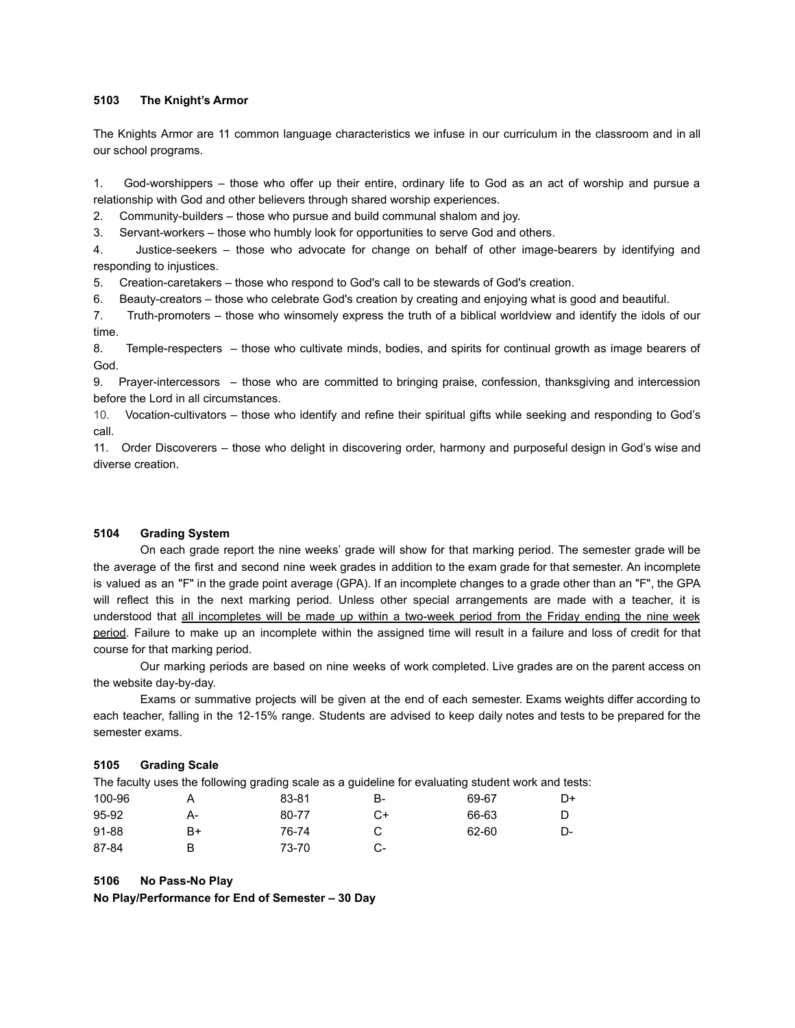# **5103 The Knight's Armor**

The Knights Armor are 11 common language characteristics we infuse in our curriculum in the classroom and in all our school programs.

1. God-worshippers – those who offer up their entire, ordinary life to God as an act of worship and pursue a relationship with God and other believers through shared worship experiences.

2. Community-builders – those who pursue and build communal shalom and joy.

3. Servant-workers – those who humbly look for opportunities to serve God and others.

4. Justice-seekers – those who advocate for change on behalf of other image-bearers by identifying and responding to injustices.

5. Creation-caretakers – those who respond to God's call to be stewards of God's creation.

6. Beauty-creators – those who celebrate God's creation by creating and enjoying what is good and beautiful.

7. Truth-promoters – those who winsomely express the truth of a biblical worldview and identify the idols of our time.

8. Temple-respecters – those who cultivate minds, bodies, and spirits for continual growth as image bearers of God.

9. Prayer-intercessors – those who are committed to bringing praise, confession, thanksgiving and intercession before the Lord in all circumstances.

10. Vocation-cultivators – those who identify and refine their spiritual gifts while seeking and responding to God's call.

11. Order Discoverers – those who delight in discovering order, harmony and purposeful design in God's wise and diverse creation.

# **5104 Grading System**

On each grade report the nine weeks' grade will show for that marking period. The semester grade will be the average of the first and second nine week grades in addition to the exam grade for that semester. An incomplete is valued as an "F" in the grade point average (GPA). If an incomplete changes to a grade other than an "F", the GPA will reflect this in the next marking period. Unless other special arrangements are made with a teacher, it is understood that all incompletes will be made up within a two-week period from the Friday ending the nine week period. Failure to make up an incomplete within the assigned time will result in a failure and loss of credit for that course for that marking period.

Our marking periods are based on nine weeks of work completed. Live grades are on the parent access on the website day-by-day.

Exams or summative projects will be given at the end of each semester. Exams weights differ according to each teacher, falling in the 12-15% range. Students are advised to keep daily notes and tests to be prepared for the semester exams.

#### **5105 Grading Scale**

The faculty uses the following grading scale as a guideline for evaluating student work and tests:

| 100-96 |    | 83-81 | B- | 69-67 | D+ |
|--------|----|-------|----|-------|----|
| 95-92  | А- | 80-77 | C+ | 66-63 |    |
| 91-88  | B+ | 76-74 |    | 62-60 | D- |
| 87-84  | B  | 73-70 | -ر |       |    |

### **5106 No Pass-No Play**

**No Play/Performance for End of Semester – 30 Day**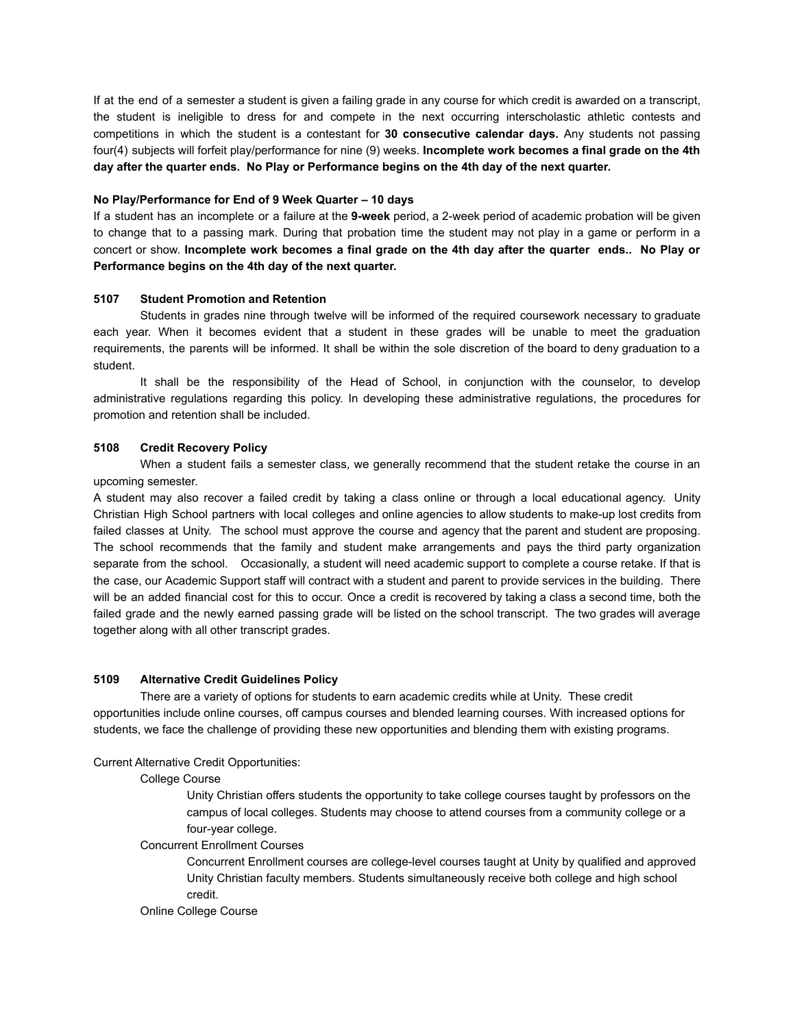If at the end of a semester a student is given a failing grade in any course for which credit is awarded on a transcript, the student is ineligible to dress for and compete in the next occurring interscholastic athletic contests and competitions in which the student is a contestant for **30 consecutive calendar days.** Any students not passing four(4) subjects will forfeit play/performance for nine (9) weeks. **Incomplete work becomes a final grade on the 4th day after the quarter ends. No Play or Performance begins on the 4th day of the next quarter.**

### **No Play/Performance for End of 9 Week Quarter – 10 days**

If a student has an incomplete or a failure at the **9-week** period, a 2-week period of academic probation will be given to change that to a passing mark. During that probation time the student may not play in a game or perform in a concert or show. **Incomplete work becomes a final grade on the 4th day after the quarter ends.. No Play or Performance begins on the 4th day of the next quarter.**

# **5107 Student Promotion and Retention**

Students in grades nine through twelve will be informed of the required coursework necessary to graduate each year. When it becomes evident that a student in these grades will be unable to meet the graduation requirements, the parents will be informed. It shall be within the sole discretion of the board to deny graduation to a student.

It shall be the responsibility of the Head of School, in conjunction with the counselor, to develop administrative regulations regarding this policy. In developing these administrative regulations, the procedures for promotion and retention shall be included.

# **5108 Credit Recovery Policy**

When a student fails a semester class, we generally recommend that the student retake the course in an upcoming semester.

A student may also recover a failed credit by taking a class online or through a local educational agency. Unity Christian High School partners with local colleges and online agencies to allow students to make-up lost credits from failed classes at Unity. The school must approve the course and agency that the parent and student are proposing. The school recommends that the family and student make arrangements and pays the third party organization separate from the school. Occasionally, a student will need academic support to complete a course retake. If that is the case, our Academic Support staff will contract with a student and parent to provide services in the building. There will be an added financial cost for this to occur. Once a credit is recovered by taking a class a second time, both the failed grade and the newly earned passing grade will be listed on the school transcript. The two grades will average together along with all other transcript grades.

# **5109 Alternative Credit Guidelines Policy**

There are a variety of options for students to earn academic credits while at Unity. These credit opportunities include online courses, off campus courses and blended learning courses. With increased options for students, we face the challenge of providing these new opportunities and blending them with existing programs.

#### Current Alternative Credit Opportunities:

#### College Course

Unity Christian offers students the opportunity to take college courses taught by professors on the campus of local colleges. Students may choose to attend courses from a community college or a four-year college.

#### Concurrent Enrollment Courses

Concurrent Enrollment courses are college-level courses taught at Unity by qualified and approved Unity Christian faculty members. Students simultaneously receive both college and high school credit.

#### Online College Course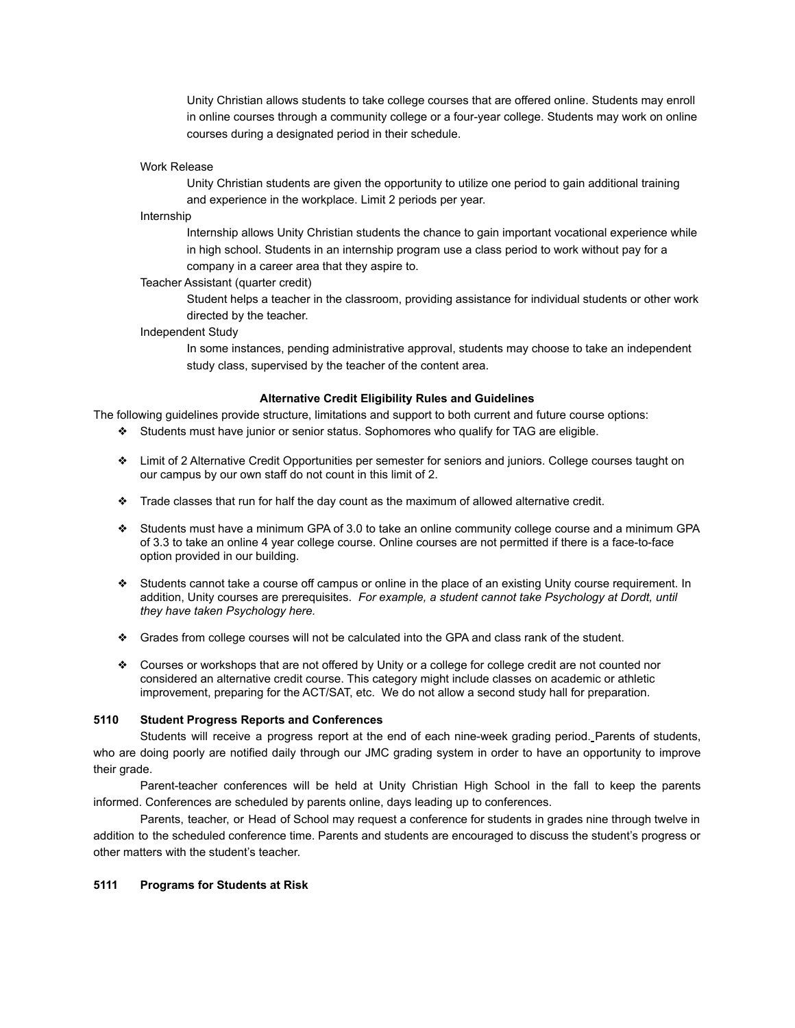Unity Christian allows students to take college courses that are offered online. Students may enroll in online courses through a community college or a four-year college. Students may work on online courses during a designated period in their schedule.

#### Work Release

Unity Christian students are given the opportunity to utilize one period to gain additional training and experience in the workplace. Limit 2 periods per year.

#### Internship

Internship allows Unity Christian students the chance to gain important vocational experience while in high school. Students in an internship program use a class period to work without pay for a company in a career area that they aspire to.

#### Teacher Assistant (quarter credit)

Student helps a teacher in the classroom, providing assistance for individual students or other work directed by the teacher.

#### Independent Study

In some instances, pending administrative approval, students may choose to take an independent study class, supervised by the teacher of the content area.

#### **Alternative Credit Eligibility Rules and Guidelines**

The following guidelines provide structure, limitations and support to both current and future course options:

- ❖ Students must have junior or senior status. Sophomores who qualify for TAG are eligible.
- ❖ Limit of 2 Alternative Credit Opportunities per semester for seniors and juniors. College courses taught on our campus by our own staff do not count in this limit of 2.
- ❖ Trade classes that run for half the day count as the maximum of allowed alternative credit.
- ❖ Students must have a minimum GPA of 3.0 to take an online community college course and a minimum GPA of 3.3 to take an online 4 year college course. Online courses are not permitted if there is a face-to-face option provided in our building.
- ❖ Students cannot take a course off campus or online in the place of an existing Unity course requirement. In addition, Unity courses are prerequisites. *For example, a student cannot take Psychology at Dordt, until they have taken Psychology here.*
- ❖ Grades from college courses will not be calculated into the GPA and class rank of the student.
- ❖ Courses or workshops that are not offered by Unity or a college for college credit are not counted nor considered an alternative credit course. This category might include classes on academic or athletic improvement, preparing for the ACT/SAT, etc. We do not allow a second study hall for preparation.

### **5110 Student Progress Reports and Conferences**

Students will receive a progress report at the end of each nine-week grading period. Parents of students, who are doing poorly are notified daily through our JMC grading system in order to have an opportunity to improve their grade.

Parent-teacher conferences will be held at Unity Christian High School in the fall to keep the parents informed. Conferences are scheduled by parents online, days leading up to conferences.

Parents, teacher, or Head of School may request a conference for students in grades nine through twelve in addition to the scheduled conference time. Parents and students are encouraged to discuss the student's progress or other matters with the student's teacher.

# **5111 Programs for Students at Risk**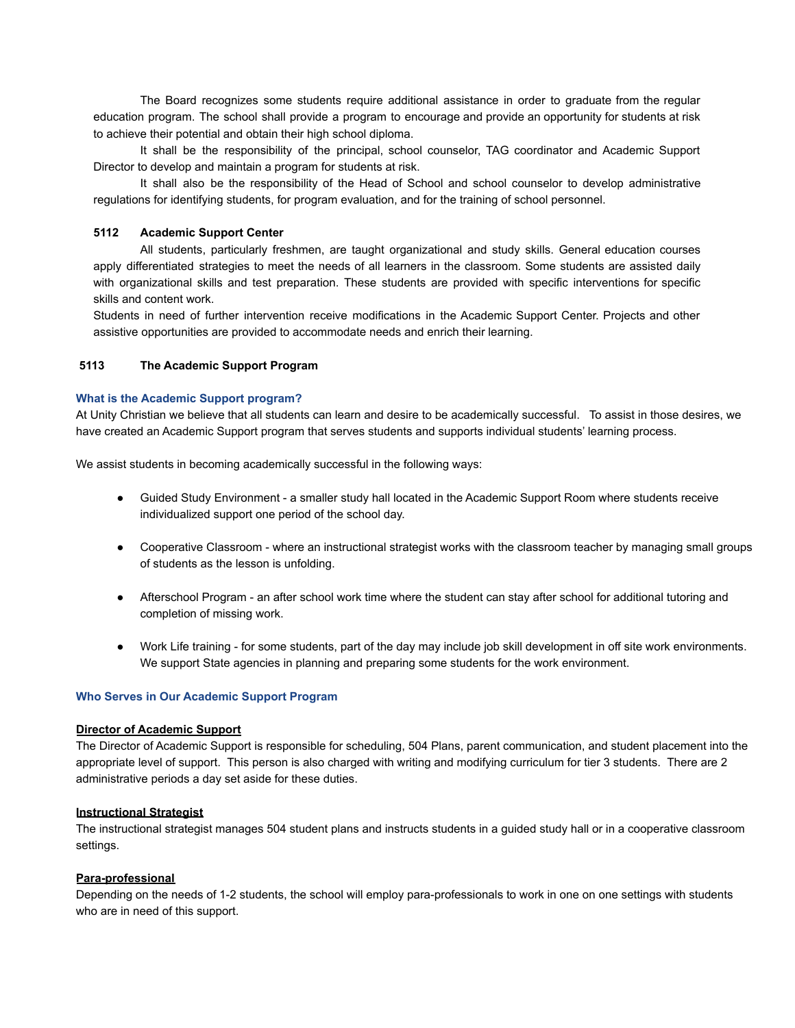The Board recognizes some students require additional assistance in order to graduate from the regular education program. The school shall provide a program to encourage and provide an opportunity for students at risk to achieve their potential and obtain their high school diploma.

It shall be the responsibility of the principal, school counselor, TAG coordinator and Academic Support Director to develop and maintain a program for students at risk.

It shall also be the responsibility of the Head of School and school counselor to develop administrative regulations for identifying students, for program evaluation, and for the training of school personnel.

# **5112 Academic Support Center**

All students, particularly freshmen, are taught organizational and study skills. General education courses apply differentiated strategies to meet the needs of all learners in the classroom. Some students are assisted daily with organizational skills and test preparation. These students are provided with specific interventions for specific skills and content work.

Students in need of further intervention receive modifications in the Academic Support Center. Projects and other assistive opportunities are provided to accommodate needs and enrich their learning.

# **5113 The Academic Support Program**

#### **What is the Academic Support program?**

At Unity Christian we believe that all students can learn and desire to be academically successful. To assist in those desires, we have created an Academic Support program that serves students and supports individual students' learning process.

We assist students in becoming academically successful in the following ways:

- Guided Study Environment a smaller study hall located in the Academic Support Room where students receive individualized support one period of the school day.
- Cooperative Classroom where an instructional strategist works with the classroom teacher by managing small groups of students as the lesson is unfolding.
- Afterschool Program an after school work time where the student can stay after school for additional tutoring and completion of missing work.
- Work Life training for some students, part of the day may include job skill development in off site work environments. We support State agencies in planning and preparing some students for the work environment.

#### **Who Serves in Our Academic Support Program**

#### **Director of Academic Support**

The Director of Academic Support is responsible for scheduling, 504 Plans, parent communication, and student placement into the appropriate level of support. This person is also charged with writing and modifying curriculum for tier 3 students. There are 2 administrative periods a day set aside for these duties.

#### **Instructional Strategist**

The instructional strategist manages 504 student plans and instructs students in a guided study hall or in a cooperative classroom settings.

#### **Para-professional**

Depending on the needs of 1-2 students, the school will employ para-professionals to work in one on one settings with students who are in need of this support.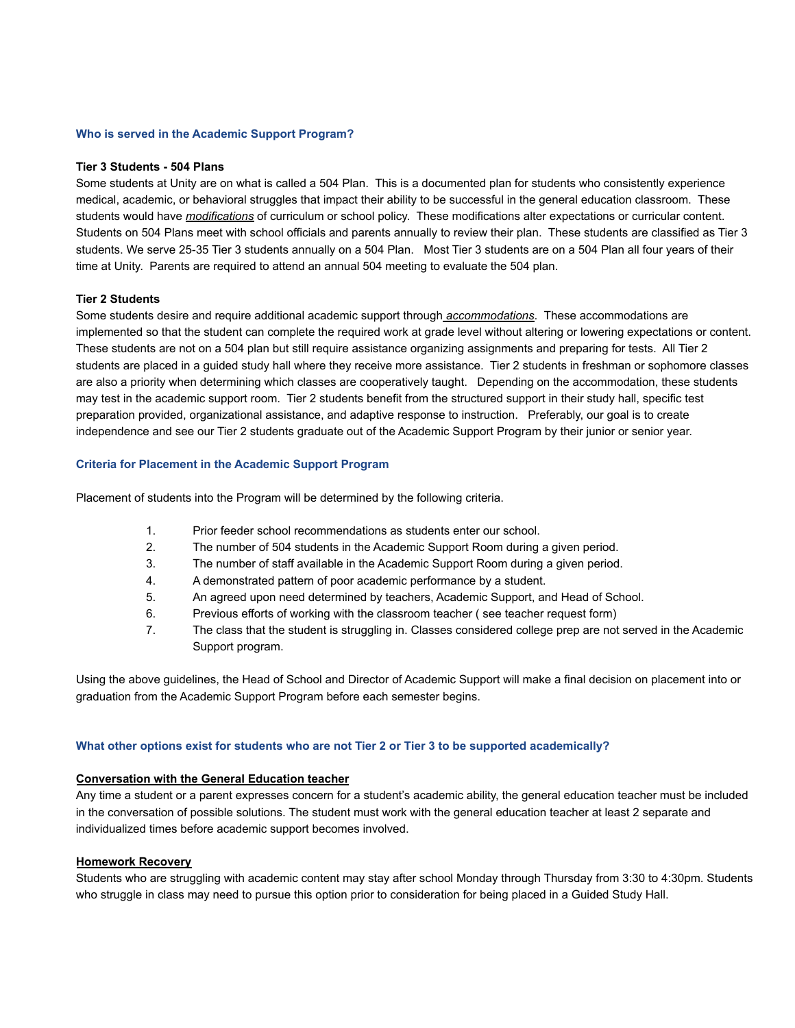#### **Who is served in the Academic Support Program?**

#### **Tier 3 Students - 504 Plans**

Some students at Unity are on what is called a 504 Plan. This is a documented plan for students who consistently experience medical, academic, or behavioral struggles that impact their ability to be successful in the general education classroom. These students would have *modifications* of curriculum or school policy. These modifications alter expectations or curricular content. Students on 504 Plans meet with school officials and parents annually to review their plan. These students are classified as Tier 3 students. We serve 25-35 Tier 3 students annually on a 504 Plan. Most Tier 3 students are on a 504 Plan all four years of their time at Unity. Parents are required to attend an annual 504 meeting to evaluate the 504 plan.

# **Tier 2 Students**

Some students desire and require additional academic support through *accommodations*. These accommodations are implemented so that the student can complete the required work at grade level without altering or lowering expectations or content. These students are not on a 504 plan but still require assistance organizing assignments and preparing for tests. All Tier 2 students are placed in a guided study hall where they receive more assistance. Tier 2 students in freshman or sophomore classes are also a priority when determining which classes are cooperatively taught. Depending on the accommodation, these students may test in the academic support room. Tier 2 students benefit from the structured support in their study hall, specific test preparation provided, organizational assistance, and adaptive response to instruction. Preferably, our goal is to create independence and see our Tier 2 students graduate out of the Academic Support Program by their junior or senior year.

#### **Criteria for Placement in the Academic Support Program**

Placement of students into the Program will be determined by the following criteria.

- 1. Prior feeder school recommendations as students enter our school.
- 2. The number of 504 students in the Academic Support Room during a given period.
- 3. The number of staff available in the Academic Support Room during a given period.
- 4. A demonstrated pattern of poor academic performance by a student.
- 5. An agreed upon need determined by teachers, Academic Support, and Head of School.
- 6. Previous efforts of working with the classroom teacher ( see teacher request form)
- 7. The class that the student is struggling in. Classes considered college prep are not served in the Academic Support program.

Using the above guidelines, the Head of School and Director of Academic Support will make a final decision on placement into or graduation from the Academic Support Program before each semester begins.

#### **What other options exist for students who are not Tier 2 or Tier 3 to be supported academically?**

# **Conversation with the General Education teacher**

Any time a student or a parent expresses concern for a student's academic ability, the general education teacher must be included in the conversation of possible solutions. The student must work with the general education teacher at least 2 separate and individualized times before academic support becomes involved.

### **Homework Recovery**

Students who are struggling with academic content may stay after school Monday through Thursday from 3:30 to 4:30pm. Students who struggle in class may need to pursue this option prior to consideration for being placed in a Guided Study Hall.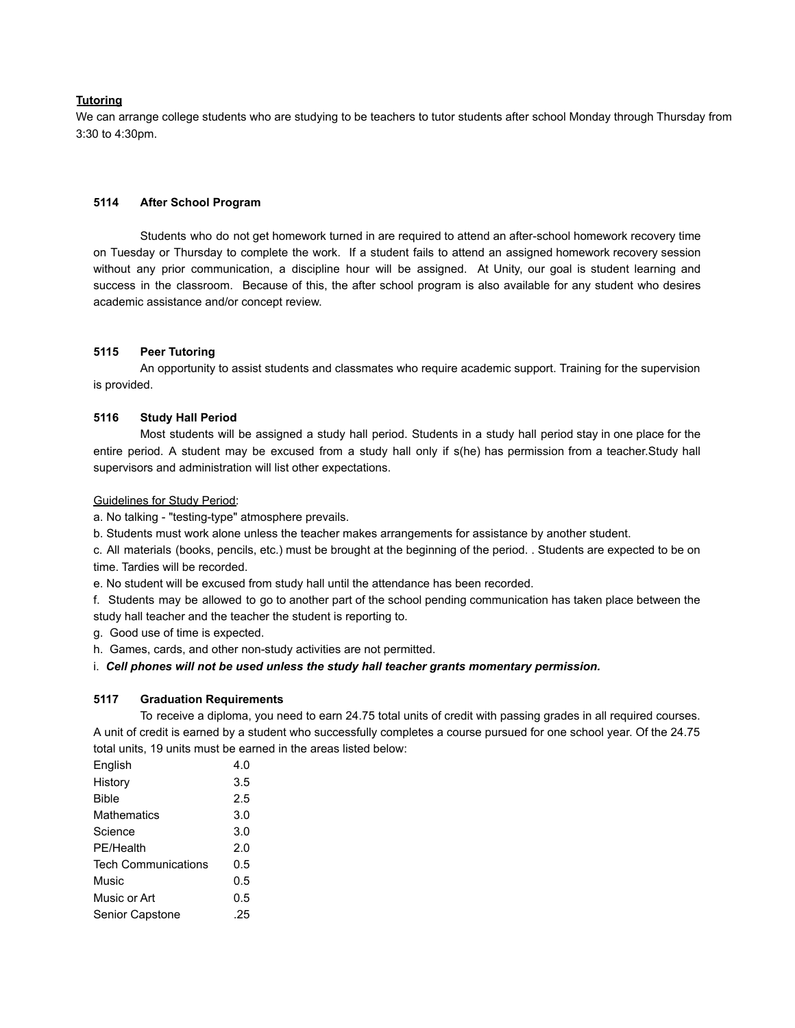# **Tutoring**

We can arrange college students who are studying to be teachers to tutor students after school Monday through Thursday from 3:30 to 4:30pm.

#### **5114 After School Program**

Students who do not get homework turned in are required to attend an after-school homework recovery time on Tuesday or Thursday to complete the work. If a student fails to attend an assigned homework recovery session without any prior communication, a discipline hour will be assigned. At Unity, our goal is student learning and success in the classroom. Because of this, the after school program is also available for any student who desires academic assistance and/or concept review.

# **5115 Peer Tutoring**

An opportunity to assist students and classmates who require academic support. Training for the supervision is provided.

# **5116 Study Hall Period**

Most students will be assigned a study hall period. Students in a study hall period stay in one place for the entire period. A student may be excused from a study hall only if s(he) has permission from a teacher.Study hall supervisors and administration will list other expectations.

#### Guidelines for Study Period:

a. No talking - "testing-type" atmosphere prevails.

b. Students must work alone unless the teacher makes arrangements for assistance by another student.

c. All materials (books, pencils, etc.) must be brought at the beginning of the period. . Students are expected to be on time. Tardies will be recorded.

e. No student will be excused from study hall until the attendance has been recorded.

f. Students may be allowed to go to another part of the school pending communication has taken place between the study hall teacher and the teacher the student is reporting to.

g. Good use of time is expected.

h. Games, cards, and other non-study activities are not permitted.

i. *Cell phones will not be used unless the study hall teacher grants momentary permission.*

#### **5117 Graduation Requirements**

To receive a diploma, you need to earn 24.75 total units of credit with passing grades in all required courses. A unit of credit is earned by a student who successfully completes a course pursued for one school year. Of the 24.75 total units, 19 units must be earned in the areas listed below:

| English             | 4.0 |
|---------------------|-----|
| History             | 3.5 |
| Bible               | 2.5 |
| Mathematics         | 3.0 |
| Science             | 3.0 |
| PE/Health           | 2.0 |
| Tech Communications | 0.5 |
| Music               | 0.5 |
| Music or Art        | 0.5 |
| Senior Capstone     | .25 |
|                     |     |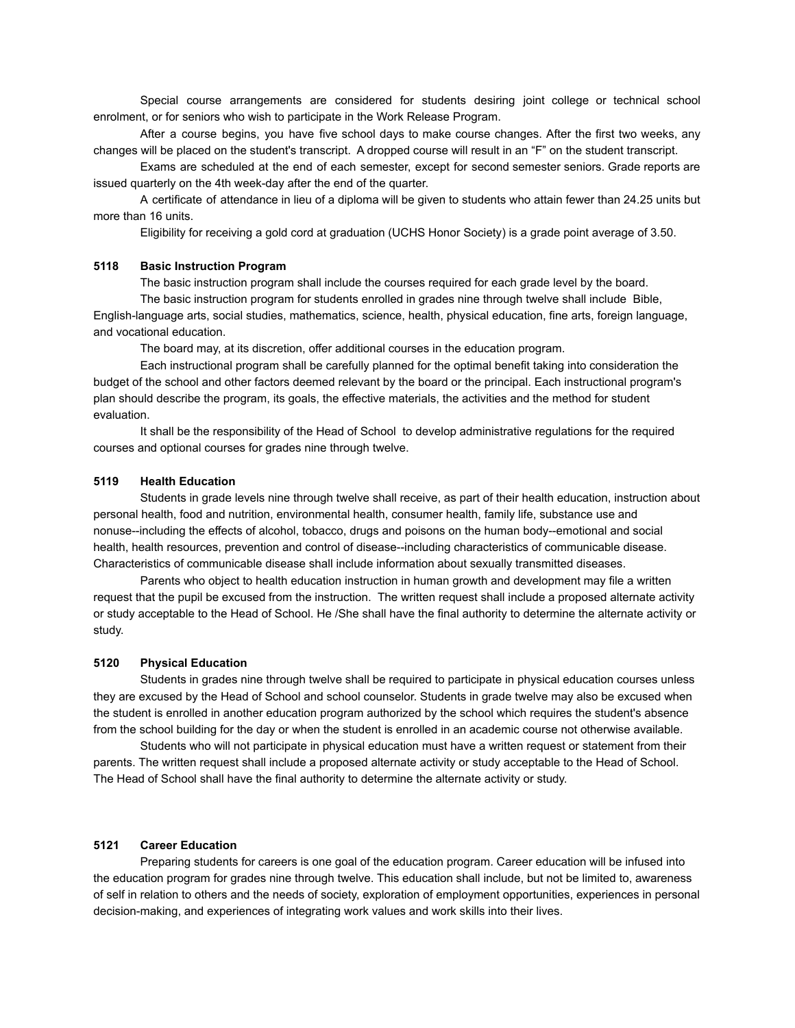Special course arrangements are considered for students desiring joint college or technical school enrolment, or for seniors who wish to participate in the Work Release Program.

After a course begins, you have five school days to make course changes. After the first two weeks, any changes will be placed on the student's transcript. A dropped course will result in an "F" on the student transcript.

Exams are scheduled at the end of each semester, except for second semester seniors. Grade reports are issued quarterly on the 4th week-day after the end of the quarter.

A certificate of attendance in lieu of a diploma will be given to students who attain fewer than 24.25 units but more than 16 units.

Eligibility for receiving a gold cord at graduation (UCHS Honor Society) is a grade point average of 3.50.

## **5118 Basic Instruction Program**

The basic instruction program shall include the courses required for each grade level by the board.

The basic instruction program for students enrolled in grades nine through twelve shall include Bible, English-language arts, social studies, mathematics, science, health, physical education, fine arts, foreign language, and vocational education.

The board may, at its discretion, offer additional courses in the education program.

Each instructional program shall be carefully planned for the optimal benefit taking into consideration the budget of the school and other factors deemed relevant by the board or the principal. Each instructional program's plan should describe the program, its goals, the effective materials, the activities and the method for student evaluation.

It shall be the responsibility of the Head of School to develop administrative regulations for the required courses and optional courses for grades nine through twelve.

### **5119 Health Education**

Students in grade levels nine through twelve shall receive, as part of their health education, instruction about personal health, food and nutrition, environmental health, consumer health, family life, substance use and nonuse--including the effects of alcohol, tobacco, drugs and poisons on the human body--emotional and social health, health resources, prevention and control of disease--including characteristics of communicable disease. Characteristics of communicable disease shall include information about sexually transmitted diseases.

Parents who object to health education instruction in human growth and development may file a written request that the pupil be excused from the instruction. The written request shall include a proposed alternate activity or study acceptable to the Head of School. He /She shall have the final authority to determine the alternate activity or study.

# **5120 Physical Education**

Students in grades nine through twelve shall be required to participate in physical education courses unless they are excused by the Head of School and school counselor. Students in grade twelve may also be excused when the student is enrolled in another education program authorized by the school which requires the student's absence from the school building for the day or when the student is enrolled in an academic course not otherwise available.

Students who will not participate in physical education must have a written request or statement from their parents. The written request shall include a proposed alternate activity or study acceptable to the Head of School. The Head of School shall have the final authority to determine the alternate activity or study.

#### **5121 Career Education**

Preparing students for careers is one goal of the education program. Career education will be infused into the education program for grades nine through twelve. This education shall include, but not be limited to, awareness of self in relation to others and the needs of society, exploration of employment opportunities, experiences in personal decision-making, and experiences of integrating work values and work skills into their lives.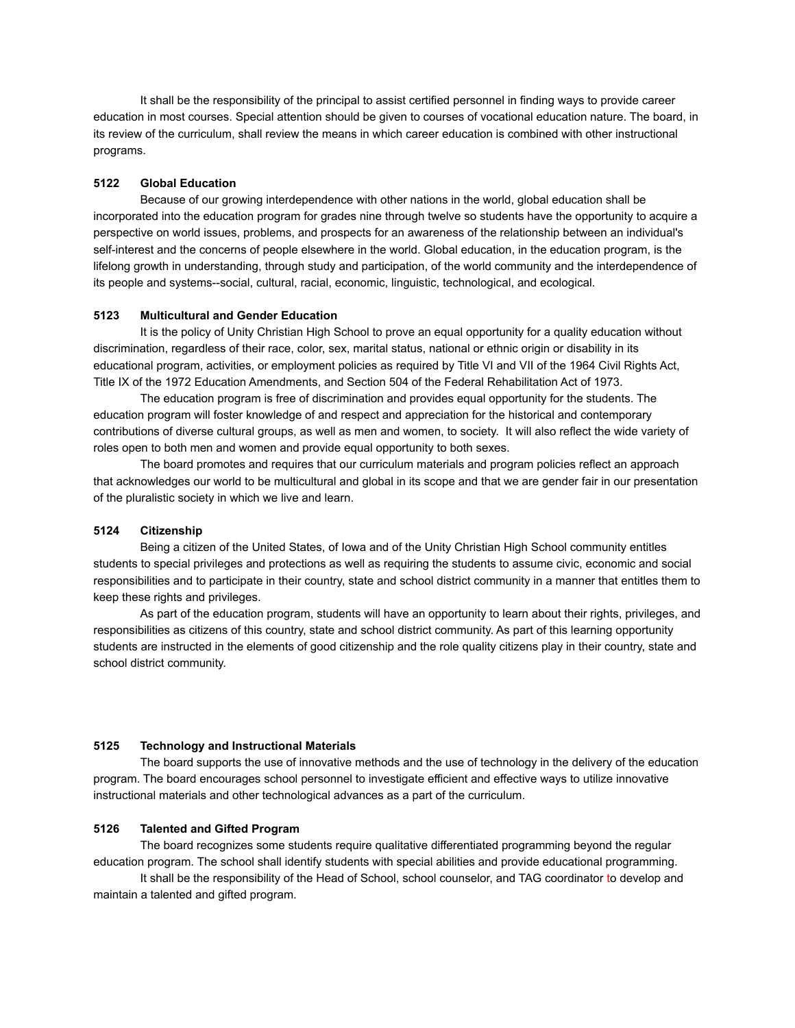It shall be the responsibility of the principal to assist certified personnel in finding ways to provide career education in most courses. Special attention should be given to courses of vocational education nature. The board, in its review of the curriculum, shall review the means in which career education is combined with other instructional programs.

#### **5122 Global Education**

Because of our growing interdependence with other nations in the world, global education shall be incorporated into the education program for grades nine through twelve so students have the opportunity to acquire a perspective on world issues, problems, and prospects for an awareness of the relationship between an individual's self-interest and the concerns of people elsewhere in the world. Global education, in the education program, is the lifelong growth in understanding, through study and participation, of the world community and the interdependence of its people and systems--social, cultural, racial, economic, linguistic, technological, and ecological.

# **5123 Multicultural and Gender Education**

It is the policy of Unity Christian High School to prove an equal opportunity for a quality education without discrimination, regardless of their race, color, sex, marital status, national or ethnic origin or disability in its educational program, activities, or employment policies as required by Title VI and VII of the 1964 Civil Rights Act, Title IX of the 1972 Education Amendments, and Section 504 of the Federal Rehabilitation Act of 1973.

The education program is free of discrimination and provides equal opportunity for the students. The education program will foster knowledge of and respect and appreciation for the historical and contemporary contributions of diverse cultural groups, as well as men and women, to society. It will also reflect the wide variety of roles open to both men and women and provide equal opportunity to both sexes.

The board promotes and requires that our curriculum materials and program policies reflect an approach that acknowledges our world to be multicultural and global in its scope and that we are gender fair in our presentation of the pluralistic society in which we live and learn.

#### **5124 Citizenship**

Being a citizen of the United States, of Iowa and of the Unity Christian High School community entitles students to special privileges and protections as well as requiring the students to assume civic, economic and social responsibilities and to participate in their country, state and school district community in a manner that entitles them to keep these rights and privileges.

As part of the education program, students will have an opportunity to learn about their rights, privileges, and responsibilities as citizens of this country, state and school district community. As part of this learning opportunity students are instructed in the elements of good citizenship and the role quality citizens play in their country, state and school district community.

#### **5125 Technology and Instructional Materials**

The board supports the use of innovative methods and the use of technology in the delivery of the education program. The board encourages school personnel to investigate efficient and effective ways to utilize innovative instructional materials and other technological advances as a part of the curriculum.

#### **5126 Talented and Gifted Program**

The board recognizes some students require qualitative differentiated programming beyond the regular education program. The school shall identify students with special abilities and provide educational programming.

It shall be the responsibility of the Head of School, school counselor, and TAG coordinator to develop and maintain a talented and gifted program.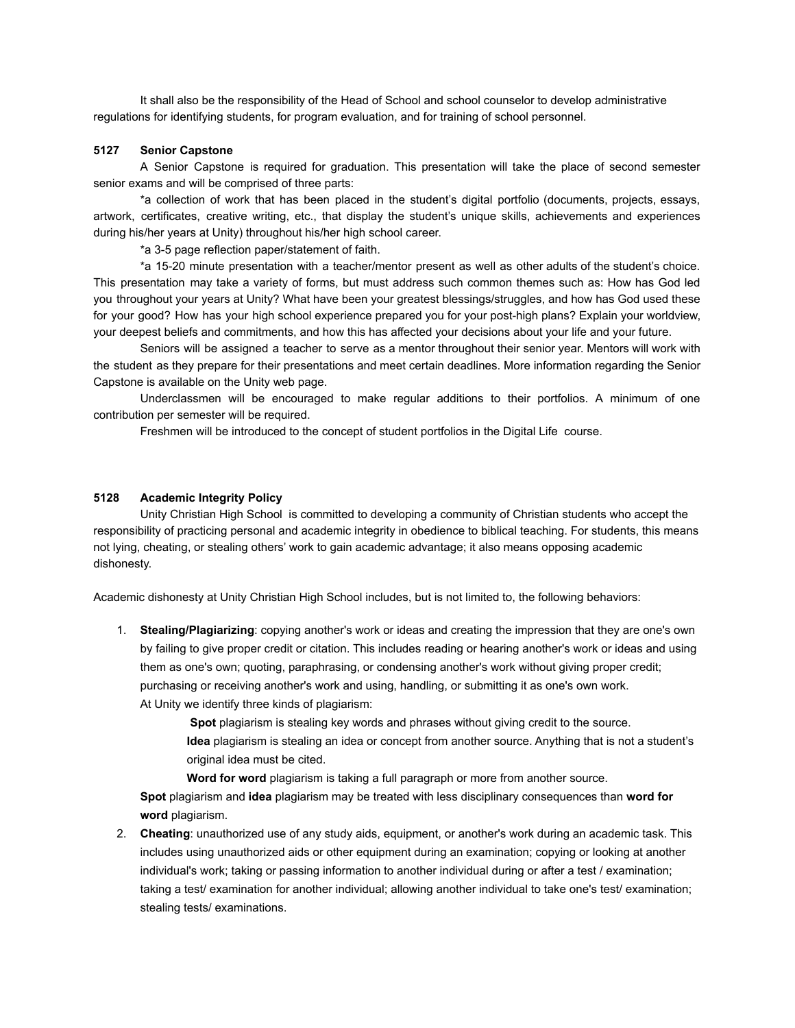It shall also be the responsibility of the Head of School and school counselor to develop administrative regulations for identifying students, for program evaluation, and for training of school personnel.

### **5127 Senior Capstone**

A Senior Capstone is required for graduation. This presentation will take the place of second semester senior exams and will be comprised of three parts:

\*a collection of work that has been placed in the student's digital portfolio (documents, projects, essays, artwork, certificates, creative writing, etc., that display the student's unique skills, achievements and experiences during his/her years at Unity) throughout his/her high school career.

\*a 3-5 page reflection paper/statement of faith.

\*a 15-20 minute presentation with a teacher/mentor present as well as other adults of the student's choice. This presentation may take a variety of forms, but must address such common themes such as: How has God led you throughout your years at Unity? What have been your greatest blessings/struggles, and how has God used these for your good? How has your high school experience prepared you for your post-high plans? Explain your worldview, your deepest beliefs and commitments, and how this has affected your decisions about your life and your future.

Seniors will be assigned a teacher to serve as a mentor throughout their senior year. Mentors will work with the student as they prepare for their presentations and meet certain deadlines. More information regarding the Senior Capstone is available on the Unity web page.

Underclassmen will be encouraged to make regular additions to their portfolios. A minimum of one contribution per semester will be required.

Freshmen will be introduced to the concept of student portfolios in the Digital Life course.

#### **5128 Academic Integrity Policy**

Unity Christian High School is committed to developing a community of Christian students who accept the responsibility of practicing personal and academic integrity in obedience to biblical teaching. For students, this means not lying, cheating, or stealing others' work to gain academic advantage; it also means opposing academic dishonesty.

Academic dishonesty at Unity Christian High School includes, but is not limited to, the following behaviors:

1. **Stealing/Plagiarizing**: copying another's work or ideas and creating the impression that they are one's own by failing to give proper credit or citation. This includes reading or hearing another's work or ideas and using them as one's own; quoting, paraphrasing, or condensing another's work without giving proper credit; purchasing or receiving another's work and using, handling, or submitting it as one's own work. At Unity we identify three kinds of plagiarism:

> **Spot** plagiarism is stealing key words and phrases without giving credit to the source. **Idea** plagiarism is stealing an idea or concept from another source. Anything that is not a student's original idea must be cited.

**Word for word** plagiarism is taking a full paragraph or more from another source. **Spot** plagiarism and **idea** plagiarism may be treated with less disciplinary consequences than **word for word** plagiarism.

2. **Cheating**: unauthorized use of any study aids, equipment, or another's work during an academic task. This includes using unauthorized aids or other equipment during an examination; copying or looking at another individual's work; taking or passing information to another individual during or after a test / examination; taking a test/ examination for another individual; allowing another individual to take one's test/ examination; stealing tests/ examinations.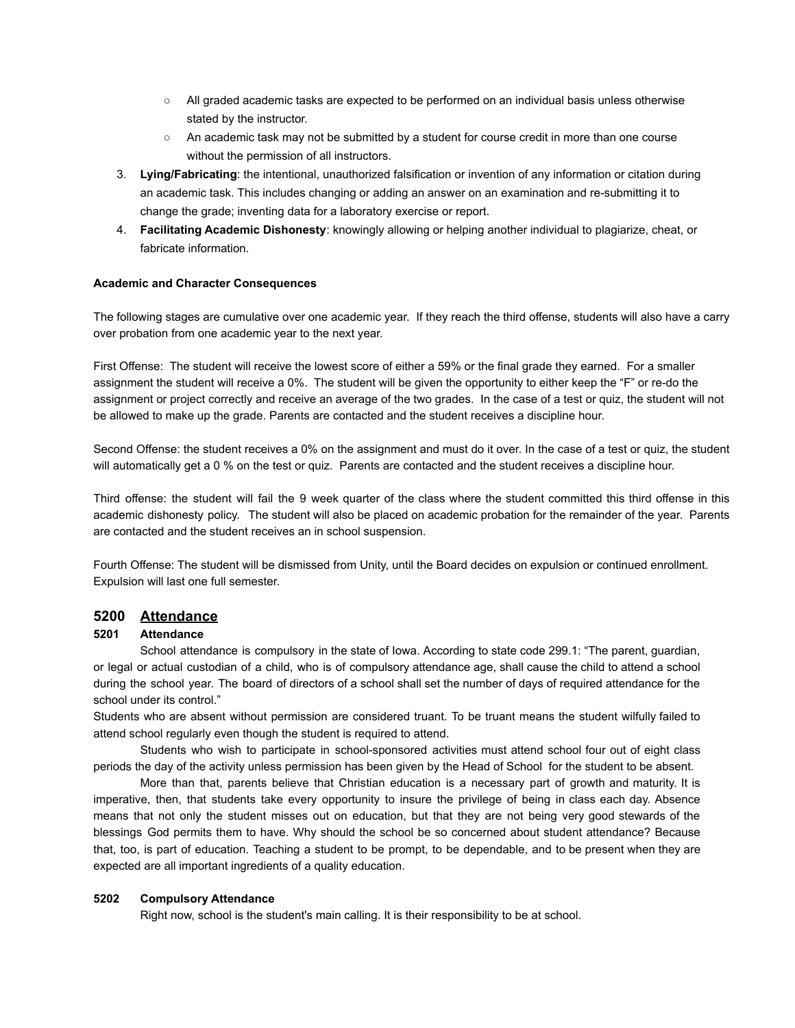- All graded academic tasks are expected to be performed on an individual basis unless otherwise stated by the instructor.
- An academic task may not be submitted by a student for course credit in more than one course without the permission of all instructors.
- 3. **Lying/Fabricating**: the intentional, unauthorized falsification or invention of any information or citation during an academic task. This includes changing or adding an answer on an examination and re-submitting it to change the grade; inventing data for a laboratory exercise or report.
- 4. **Facilitating Academic Dishonesty**: knowingly allowing or helping another individual to plagiarize, cheat, or fabricate information.

#### **Academic and Character Consequences**

The following stages are cumulative over one academic year. If they reach the third offense, students will also have a carry over probation from one academic year to the next year.

First Offense: The student will receive the lowest score of either a 59% or the final grade they earned. For a smaller assignment the student will receive a 0%. The student will be given the opportunity to either keep the "F" or re-do the assignment or project correctly and receive an average of the two grades. In the case of a test or quiz, the student will not be allowed to make up the grade. Parents are contacted and the student receives a discipline hour.

Second Offense: the student receives a 0% on the assignment and must do it over. In the case of a test or quiz, the student will automatically get a 0 % on the test or quiz. Parents are contacted and the student receives a discipline hour.

Third offense: the student will fail the 9 week quarter of the class where the student committed this third offense in this academic dishonesty policy. The student will also be placed on academic probation for the remainder of the year. Parents are contacted and the student receives an in school suspension.

Fourth Offense: The student will be dismissed from Unity, until the Board decides on expulsion or continued enrollment. Expulsion will last one full semester.

# **5200 Attendance**

# **5201 Attendance**

School attendance is compulsory in the state of Iowa. According to state code 299.1: "The parent, guardian, or legal or actual custodian of a child, who is of compulsory attendance age, shall cause the child to attend a school during the school year. The board of directors of a school shall set the number of days of required attendance for the school under its control."

Students who are absent without permission are considered truant. To be truant means the student wilfully failed to attend school regularly even though the student is required to attend.

Students who wish to participate in school-sponsored activities must attend school four out of eight class periods the day of the activity unless permission has been given by the Head of School for the student to be absent.

More than that, parents believe that Christian education is a necessary part of growth and maturity. It is imperative, then, that students take every opportunity to insure the privilege of being in class each day. Absence means that not only the student misses out on education, but that they are not being very good stewards of the blessings God permits them to have. Why should the school be so concerned about student attendance? Because that, too, is part of education. Teaching a student to be prompt, to be dependable, and to be present when they are expected are all important ingredients of a quality education.

# **5202 Compulsory Attendance**

Right now, school is the student's main calling. It is their responsibility to be at school.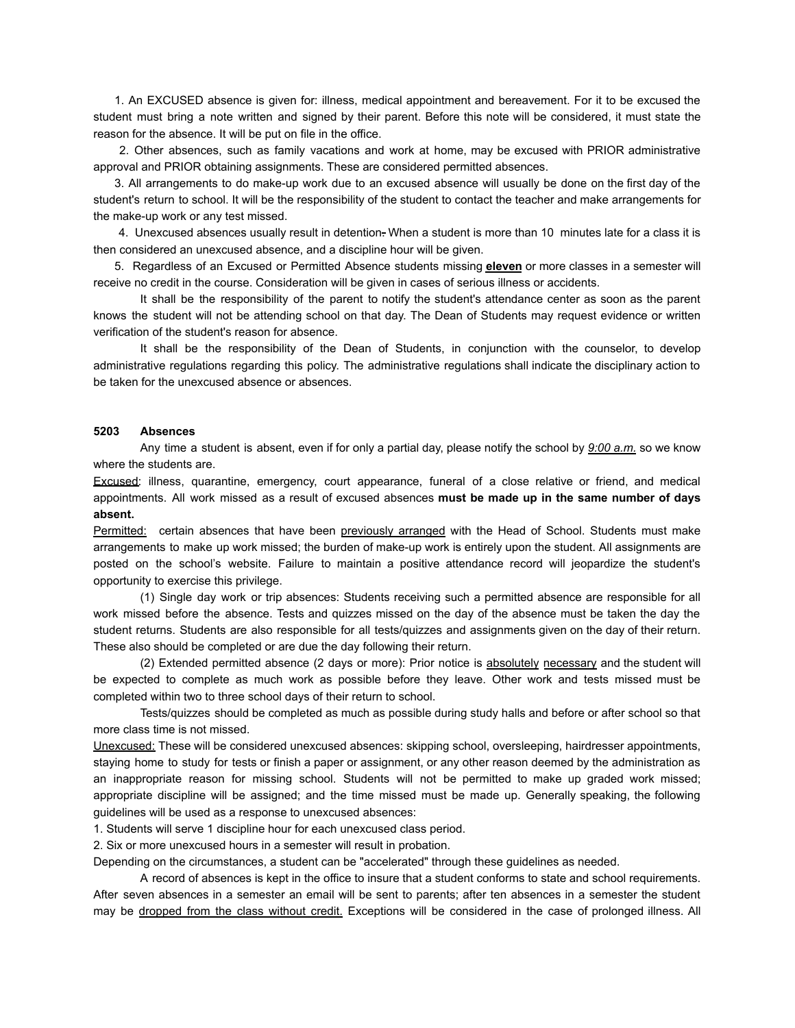1. An EXCUSED absence is given for: illness, medical appointment and bereavement. For it to be excused the student must bring a note written and signed by their parent. Before this note will be considered, it must state the reason for the absence. It will be put on file in the office.

2. Other absences, such as family vacations and work at home, may be excused with PRIOR administrative approval and PRIOR obtaining assignments. These are considered permitted absences.

3. All arrangements to do make-up work due to an excused absence will usually be done on the first day of the student's return to school. It will be the responsibility of the student to contact the teacher and make arrangements for the make-up work or any test missed.

4. Unexcused absences usually result in detention. When a student is more than 10 minutes late for a class it is then considered an unexcused absence, and a discipline hour will be given.

5. Regardless of an Excused or Permitted Absence students missing **eleven** or more classes in a semester will receive no credit in the course. Consideration will be given in cases of serious illness or accidents.

It shall be the responsibility of the parent to notify the student's attendance center as soon as the parent knows the student will not be attending school on that day. The Dean of Students may request evidence or written verification of the student's reason for absence.

It shall be the responsibility of the Dean of Students, in conjunction with the counselor, to develop administrative regulations regarding this policy. The administrative regulations shall indicate the disciplinary action to be taken for the unexcused absence or absences.

#### **5203 Absences**

Any time a student is absent, even if for only a partial day, please notify the school by *9:00 a.m.* so we know where the students are.

Excused: illness, quarantine, emergency, court appearance, funeral of a close relative or friend, and medical appointments. All work missed as a result of excused absences **must be made up in the same number of days absent.**

Permitted: certain absences that have been previously arranged with the Head of School. Students must make arrangements to make up work missed; the burden of make-up work is entirely upon the student. All assignments are posted on the school's website. Failure to maintain a positive attendance record will jeopardize the student's opportunity to exercise this privilege.

(1) Single day work or trip absences: Students receiving such a permitted absence are responsible for all work missed before the absence. Tests and quizzes missed on the day of the absence must be taken the day the student returns. Students are also responsible for all tests/quizzes and assignments given on the day of their return. These also should be completed or are due the day following their return.

(2) Extended permitted absence (2 days or more): Prior notice is absolutely necessary and the student will be expected to complete as much work as possible before they leave. Other work and tests missed must be completed within two to three school days of their return to school.

Tests/quizzes should be completed as much as possible during study halls and before or after school so that more class time is not missed.

Unexcused: These will be considered unexcused absences: skipping school, oversleeping, hairdresser appointments, staying home to study for tests or finish a paper or assignment, or any other reason deemed by the administration as an inappropriate reason for missing school. Students will not be permitted to make up graded work missed; appropriate discipline will be assigned; and the time missed must be made up. Generally speaking, the following guidelines will be used as a response to unexcused absences:

1. Students will serve 1 discipline hour for each unexcused class period.

2. Six or more unexcused hours in a semester will result in probation.

Depending on the circumstances, a student can be "accelerated" through these guidelines as needed.

A record of absences is kept in the office to insure that a student conforms to state and school requirements. After seven absences in a semester an email will be sent to parents; after ten absences in a semester the student may be dropped from the class without credit. Exceptions will be considered in the case of prolonged illness. All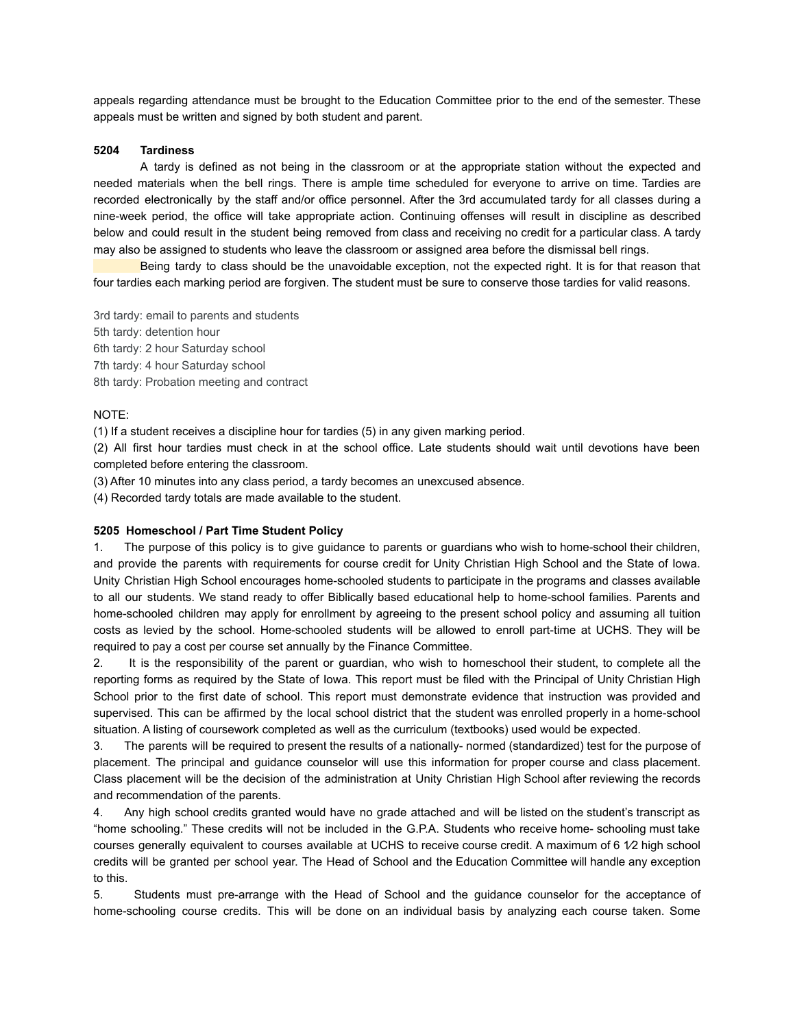appeals regarding attendance must be brought to the Education Committee prior to the end of the semester. These appeals must be written and signed by both student and parent.

#### **5204 Tardiness**

A tardy is defined as not being in the classroom or at the appropriate station without the expected and needed materials when the bell rings. There is ample time scheduled for everyone to arrive on time. Tardies are recorded electronically by the staff and/or office personnel. After the 3rd accumulated tardy for all classes during a nine-week period, the office will take appropriate action. Continuing offenses will result in discipline as described below and could result in the student being removed from class and receiving no credit for a particular class. A tardy may also be assigned to students who leave the classroom or assigned area before the dismissal bell rings.

Being tardy to class should be the unavoidable exception, not the expected right. It is for that reason that four tardies each marking period are forgiven. The student must be sure to conserve those tardies for valid reasons.

3rd tardy: email to parents and students 5th tardy: detention hour 6th tardy: 2 hour Saturday school 7th tardy: 4 hour Saturday school 8th tardy: Probation meeting and contract

#### NOTE:

(1) If a student receives a discipline hour for tardies (5) in any given marking period.

(2) All first hour tardies must check in at the school office. Late students should wait until devotions have been completed before entering the classroom.

(3) After 10 minutes into any class period, a tardy becomes an unexcused absence.

(4) Recorded tardy totals are made available to the student.

#### **5205 Homeschool / Part Time Student Policy**

1. The purpose of this policy is to give guidance to parents or guardians who wish to home-school their children, and provide the parents with requirements for course credit for Unity Christian High School and the State of Iowa. Unity Christian High School encourages home-schooled students to participate in the programs and classes available to all our students. We stand ready to offer Biblically based educational help to home-school families. Parents and home-schooled children may apply for enrollment by agreeing to the present school policy and assuming all tuition costs as levied by the school. Home-schooled students will be allowed to enroll part-time at UCHS. They will be required to pay a cost per course set annually by the Finance Committee.

2. It is the responsibility of the parent or guardian, who wish to homeschool their student, to complete all the reporting forms as required by the State of Iowa. This report must be filed with the Principal of Unity Christian High School prior to the first date of school. This report must demonstrate evidence that instruction was provided and supervised. This can be affirmed by the local school district that the student was enrolled properly in a home-school situation. A listing of coursework completed as well as the curriculum (textbooks) used would be expected.

3. The parents will be required to present the results of a nationally- normed (standardized) test for the purpose of placement. The principal and guidance counselor will use this information for proper course and class placement. Class placement will be the decision of the administration at Unity Christian High School after reviewing the records and recommendation of the parents.

4. Any high school credits granted would have no grade attached and will be listed on the student's transcript as "home schooling." These credits will not be included in the G.P.A. Students who receive home- schooling must take courses generally equivalent to courses available at UCHS to receive course credit. A maximum of 6 1⁄2 high school credits will be granted per school year. The Head of School and the Education Committee will handle any exception to this.

5. Students must pre-arrange with the Head of School and the guidance counselor for the acceptance of home-schooling course credits. This will be done on an individual basis by analyzing each course taken. Some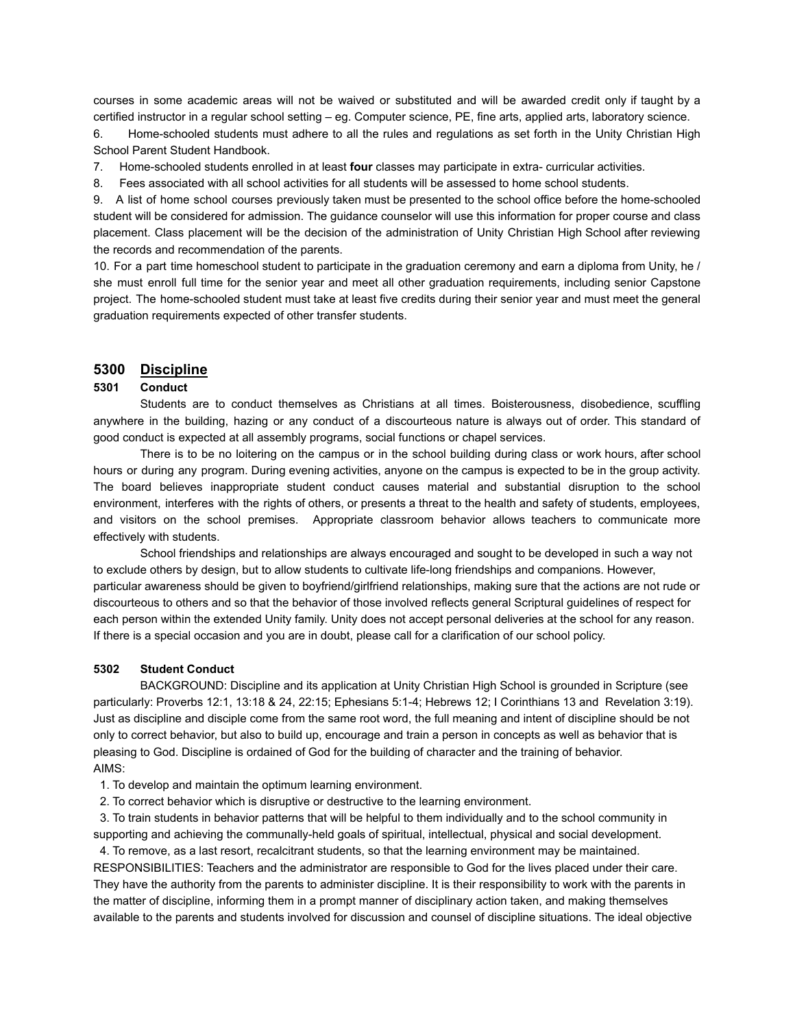courses in some academic areas will not be waived or substituted and will be awarded credit only if taught by a certified instructor in a regular school setting – eg. Computer science, PE, fine arts, applied arts, laboratory science.

6. Home-schooled students must adhere to all the rules and regulations as set forth in the Unity Christian High School Parent Student Handbook.

7. Home-schooled students enrolled in at least **four** classes may participate in extra- curricular activities.

8. Fees associated with all school activities for all students will be assessed to home school students.

9. A list of home school courses previously taken must be presented to the school office before the home-schooled student will be considered for admission. The guidance counselor will use this information for proper course and class placement. Class placement will be the decision of the administration of Unity Christian High School after reviewing the records and recommendation of the parents.

10. For a part time homeschool student to participate in the graduation ceremony and earn a diploma from Unity, he / she must enroll full time for the senior year and meet all other graduation requirements, including senior Capstone project. The home-schooled student must take at least five credits during their senior year and must meet the general graduation requirements expected of other transfer students.

# **5300 Discipline**

# **5301 Conduct**

Students are to conduct themselves as Christians at all times. Boisterousness, disobedience, scuffling anywhere in the building, hazing or any conduct of a discourteous nature is always out of order. This standard of good conduct is expected at all assembly programs, social functions or chapel services.

There is to be no loitering on the campus or in the school building during class or work hours, after school hours or during any program. During evening activities, anyone on the campus is expected to be in the group activity. The board believes inappropriate student conduct causes material and substantial disruption to the school environment, interferes with the rights of others, or presents a threat to the health and safety of students, employees, and visitors on the school premises. Appropriate classroom behavior allows teachers to communicate more effectively with students.

School friendships and relationships are always encouraged and sought to be developed in such a way not to exclude others by design, but to allow students to cultivate life-long friendships and companions. However, particular awareness should be given to boyfriend/girlfriend relationships, making sure that the actions are not rude or discourteous to others and so that the behavior of those involved reflects general Scriptural guidelines of respect for each person within the extended Unity family. Unity does not accept personal deliveries at the school for any reason. If there is a special occasion and you are in doubt, please call for a clarification of our school policy.

#### **5302 Student Conduct**

BACKGROUND: Discipline and its application at Unity Christian High School is grounded in Scripture (see particularly: Proverbs 12:1, 13:18 & 24, 22:15; Ephesians 5:1-4; Hebrews 12; I Corinthians 13 and Revelation 3:19). Just as discipline and disciple come from the same root word, the full meaning and intent of discipline should be not only to correct behavior, but also to build up, encourage and train a person in concepts as well as behavior that is pleasing to God. Discipline is ordained of God for the building of character and the training of behavior. AIMS:

- 1. To develop and maintain the optimum learning environment.
- 2. To correct behavior which is disruptive or destructive to the learning environment.

3. To train students in behavior patterns that will be helpful to them individually and to the school community in supporting and achieving the communally-held goals of spiritual, intellectual, physical and social development.

4. To remove, as a last resort, recalcitrant students, so that the learning environment may be maintained. RESPONSIBILITIES: Teachers and the administrator are responsible to God for the lives placed under their care. They have the authority from the parents to administer discipline. It is their responsibility to work with the parents in the matter of discipline, informing them in a prompt manner of disciplinary action taken, and making themselves available to the parents and students involved for discussion and counsel of discipline situations. The ideal objective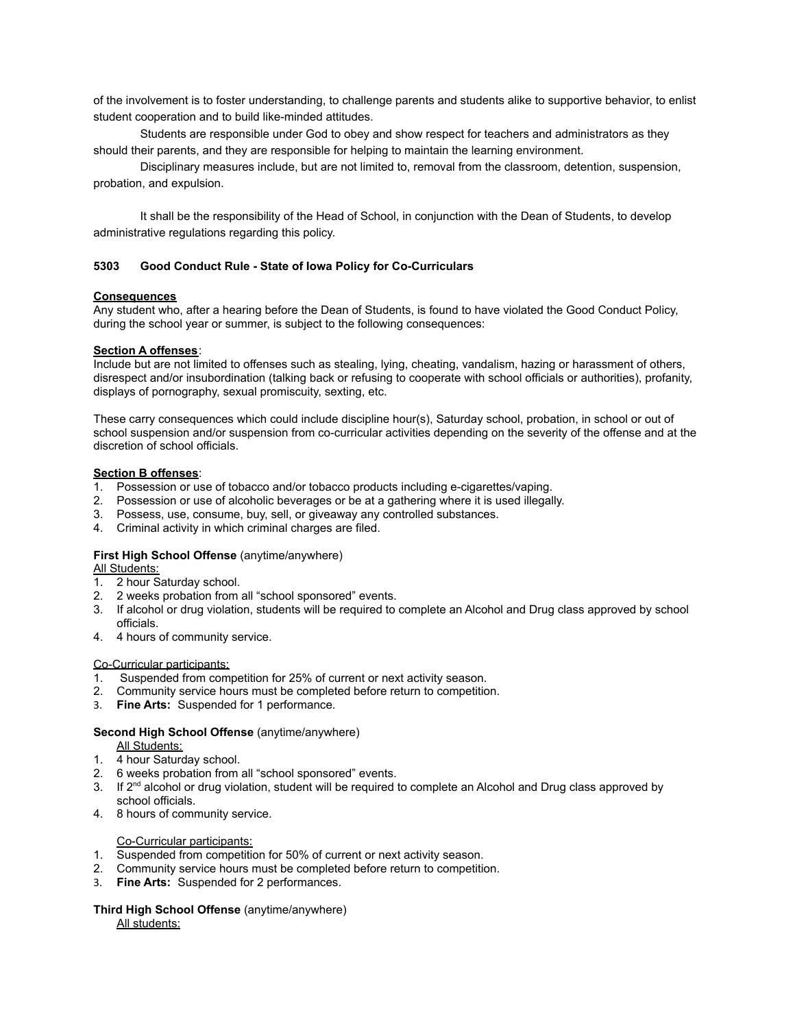of the involvement is to foster understanding, to challenge parents and students alike to supportive behavior, to enlist student cooperation and to build like-minded attitudes.

Students are responsible under God to obey and show respect for teachers and administrators as they should their parents, and they are responsible for helping to maintain the learning environment.

Disciplinary measures include, but are not limited to, removal from the classroom, detention, suspension, probation, and expulsion.

It shall be the responsibility of the Head of School, in conjunction with the Dean of Students, to develop administrative regulations regarding this policy.

#### **5303 Good Conduct Rule - State of Iowa Policy for Co-Curriculars**

#### **Consequences**

Any student who, after a hearing before the Dean of Students, is found to have violated the Good Conduct Policy, during the school year or summer, is subject to the following consequences:

#### **Section A offenses**:

Include but are not limited to offenses such as stealing, lying, cheating, vandalism, hazing or harassment of others, disrespect and/or insubordination (talking back or refusing to cooperate with school officials or authorities), profanity, displays of pornography, sexual promiscuity, sexting, etc.

These carry consequences which could include discipline hour(s), Saturday school, probation, in school or out of school suspension and/or suspension from co-curricular activities depending on the severity of the offense and at the discretion of school officials.

#### **Section B offenses**:

- 1. Possession or use of tobacco and/or tobacco products including e-cigarettes/vaping.
- 2. Possession or use of alcoholic beverages or be at a gathering where it is used illegally.
- 3. Possess, use, consume, buy, sell, or giveaway any controlled substances.
- 4. Criminal activity in which criminal charges are filed.

# **First High School Offense** (anytime/anywhere)

**All Students:** 

- 1. 2 hour Saturday school.
- 2. 2 weeks probation from all "school sponsored" events.
- 3. If alcohol or drug violation, students will be required to complete an Alcohol and Drug class approved by school officials.
- 4. 4 hours of community service.

#### Co-Curricular participants:

- 1. Suspended from competition for 25% of current or next activity season.
- 2. Community service hours must be completed before return to competition.
- 3. **Fine Arts:** Suspended for 1 performance.

#### **Second High School Offense** (anytime/anywhere)

All Students:

- 1. 4 hour Saturday school.
- 2. 6 weeks probation from all "school sponsored" events.
- 3. If 2<sup>nd</sup> alcohol or drug violation, student will be required to complete an Alcohol and Drug class approved by school officials.
- 4. 8 hours of community service.

#### Co-Curricular participants:

- 1. Suspended from competition for 50% of current or next activity season.
- 2. Community service hours must be completed before return to competition.
- 3. **Fine Arts:** Suspended for 2 performances.

# **Third High School Offense** (anytime/anywhere)

All students: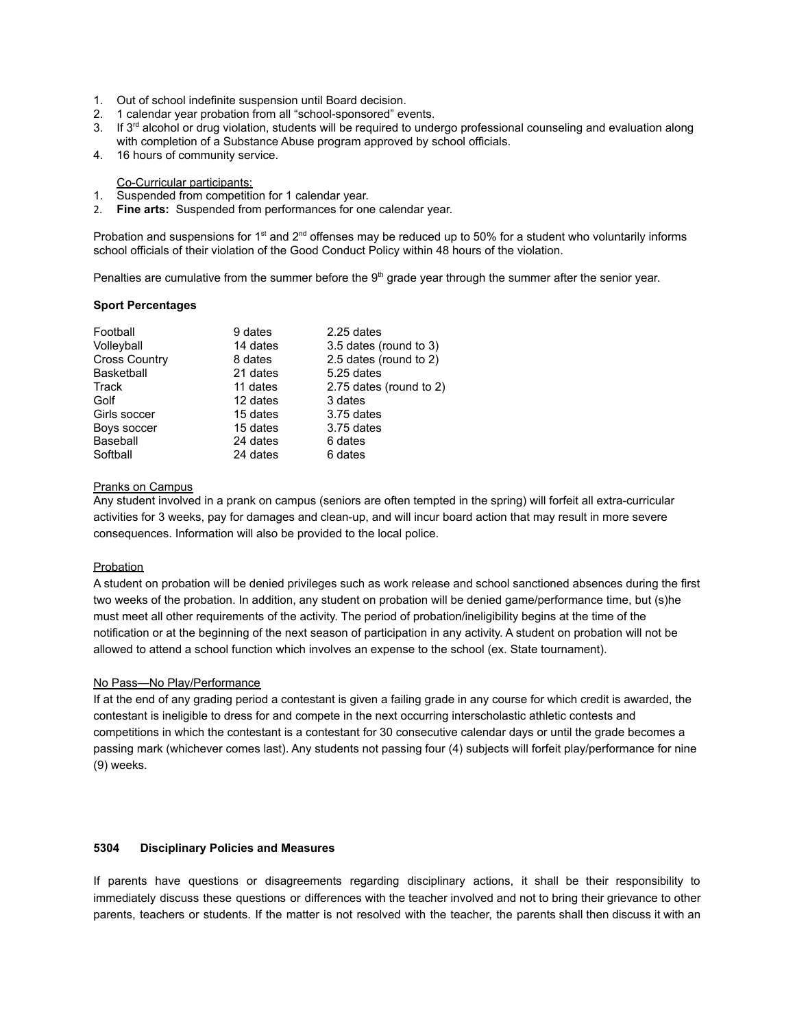- 1. Out of school indefinite suspension until Board decision.
- 2. 1 calendar year probation from all "school-sponsored" events.
- 3. If 3<sup>rd</sup> alcohol or drug violation, students will be required to undergo professional counseling and evaluation along with completion of a Substance Abuse program approved by school officials.
- 4. 16 hours of community service.

Co-Curricular participants:

- 1. Suspended from competition for 1 calendar year.
- 2. **Fine arts:** Suspended from performances for one calendar year.

Probation and suspensions for 1<sup>st</sup> and  $2^{nd}$  offenses may be reduced up to 50% for a student who voluntarily informs school officials of their violation of the Good Conduct Policy within 48 hours of the violation.

Penalties are cumulative from the summer before the  $9<sup>th</sup>$  grade year through the summer after the senior year.

#### **Sport Percentages**

| Football             | 9 dates  | 2.25 dates              |
|----------------------|----------|-------------------------|
| Volleyball           | 14 dates | 3.5 dates (round to 3)  |
| <b>Cross Country</b> | 8 dates  | 2.5 dates (round to 2)  |
| Basketball           | 21 dates | 5.25 dates              |
| Track                | 11 dates | 2.75 dates (round to 2) |
| Golf                 | 12 dates | 3 dates                 |
| Girls soccer         | 15 dates | 3.75 dates              |
| Boys soccer          | 15 dates | 3.75 dates              |
| Baseball             | 24 dates | 6 dates                 |
| Softball             | 24 dates | 6 dates                 |

# Pranks on Campus

Any student involved in a prank on campus (seniors are often tempted in the spring) will forfeit all extra-curricular activities for 3 weeks, pay for damages and clean-up, and will incur board action that may result in more severe consequences. Information will also be provided to the local police.

# **Probation**

A student on probation will be denied privileges such as work release and school sanctioned absences during the first two weeks of the probation. In addition, any student on probation will be denied game/performance time, but (s)he must meet all other requirements of the activity. The period of probation/ineligibility begins at the time of the notification or at the beginning of the next season of participation in any activity. A student on probation will not be allowed to attend a school function which involves an expense to the school (ex. State tournament).

#### No Pass—No Play/Performance

If at the end of any grading period a contestant is given a failing grade in any course for which credit is awarded, the contestant is ineligible to dress for and compete in the next occurring interscholastic athletic contests and competitions in which the contestant is a contestant for 30 consecutive calendar days or until the grade becomes a passing mark (whichever comes last). Any students not passing four (4) subjects will forfeit play/performance for nine (9) weeks.

### **5304 Disciplinary Policies and Measures**

If parents have questions or disagreements regarding disciplinary actions, it shall be their responsibility to immediately discuss these questions or differences with the teacher involved and not to bring their grievance to other parents, teachers or students. If the matter is not resolved with the teacher, the parents shall then discuss it with an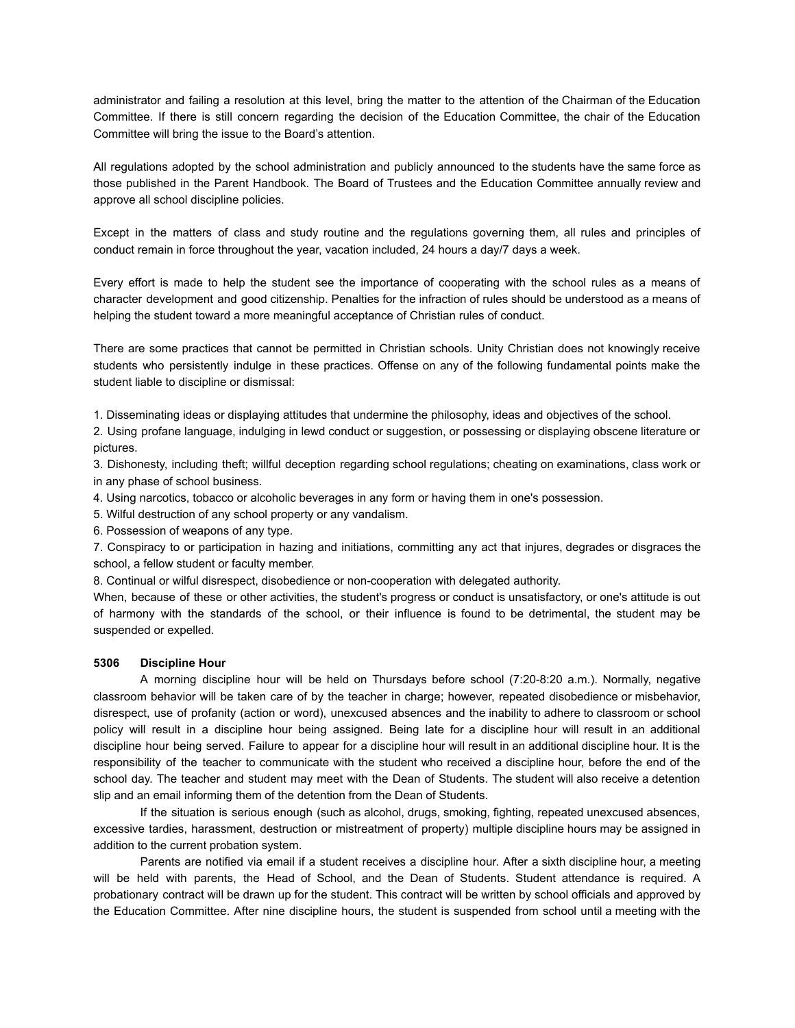administrator and failing a resolution at this level, bring the matter to the attention of the Chairman of the Education Committee. If there is still concern regarding the decision of the Education Committee, the chair of the Education Committee will bring the issue to the Board's attention.

All regulations adopted by the school administration and publicly announced to the students have the same force as those published in the Parent Handbook. The Board of Trustees and the Education Committee annually review and approve all school discipline policies.

Except in the matters of class and study routine and the regulations governing them, all rules and principles of conduct remain in force throughout the year, vacation included, 24 hours a day/7 days a week.

Every effort is made to help the student see the importance of cooperating with the school rules as a means of character development and good citizenship. Penalties for the infraction of rules should be understood as a means of helping the student toward a more meaningful acceptance of Christian rules of conduct.

There are some practices that cannot be permitted in Christian schools. Unity Christian does not knowingly receive students who persistently indulge in these practices. Offense on any of the following fundamental points make the student liable to discipline or dismissal:

1. Disseminating ideas or displaying attitudes that undermine the philosophy, ideas and objectives of the school.

2. Using profane language, indulging in lewd conduct or suggestion, or possessing or displaying obscene literature or pictures.

3. Dishonesty, including theft; willful deception regarding school regulations; cheating on examinations, class work or in any phase of school business.

4. Using narcotics, tobacco or alcoholic beverages in any form or having them in one's possession.

5. Wilful destruction of any school property or any vandalism.

6. Possession of weapons of any type.

7. Conspiracy to or participation in hazing and initiations, committing any act that injures, degrades or disgraces the school, a fellow student or faculty member.

8. Continual or wilful disrespect, disobedience or non-cooperation with delegated authority.

When, because of these or other activities, the student's progress or conduct is unsatisfactory, or one's attitude is out of harmony with the standards of the school, or their influence is found to be detrimental, the student may be suspended or expelled.

# **5306 Discipline Hour**

A morning discipline hour will be held on Thursdays before school (7:20-8:20 a.m.). Normally, negative classroom behavior will be taken care of by the teacher in charge; however, repeated disobedience or misbehavior, disrespect, use of profanity (action or word), unexcused absences and the inability to adhere to classroom or school policy will result in a discipline hour being assigned. Being late for a discipline hour will result in an additional discipline hour being served. Failure to appear for a discipline hour will result in an additional discipline hour. It is the responsibility of the teacher to communicate with the student who received a discipline hour, before the end of the school day. The teacher and student may meet with the Dean of Students. The student will also receive a detention slip and an email informing them of the detention from the Dean of Students.

If the situation is serious enough (such as alcohol, drugs, smoking, fighting, repeated unexcused absences, excessive tardies, harassment, destruction or mistreatment of property) multiple discipline hours may be assigned in addition to the current probation system.

Parents are notified via email if a student receives a discipline hour. After a sixth discipline hour, a meeting will be held with parents, the Head of School, and the Dean of Students. Student attendance is required. A probationary contract will be drawn up for the student. This contract will be written by school officials and approved by the Education Committee. After nine discipline hours, the student is suspended from school until a meeting with the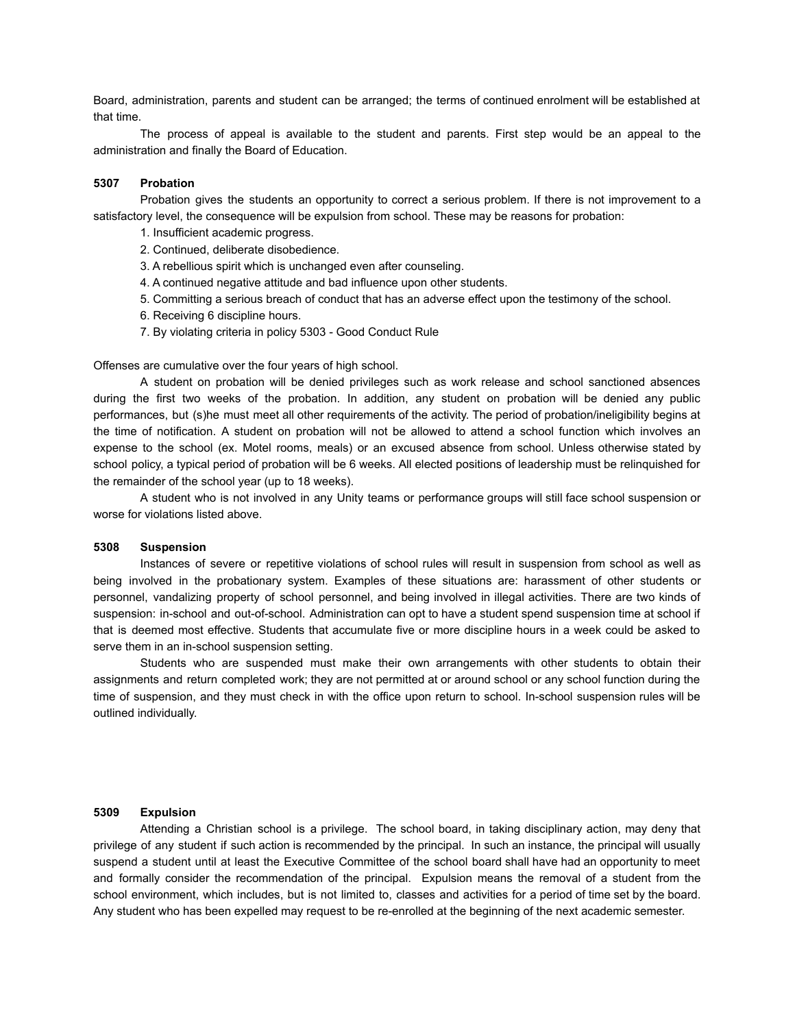Board, administration, parents and student can be arranged; the terms of continued enrolment will be established at that time.

The process of appeal is available to the student and parents. First step would be an appeal to the administration and finally the Board of Education.

#### **5307 Probation**

Probation gives the students an opportunity to correct a serious problem. If there is not improvement to a satisfactory level, the consequence will be expulsion from school. These may be reasons for probation:

- 1. Insufficient academic progress.
- 2. Continued, deliberate disobedience.
- 3. A rebellious spirit which is unchanged even after counseling.
- 4. A continued negative attitude and bad influence upon other students.
- 5. Committing a serious breach of conduct that has an adverse effect upon the testimony of the school.
- 6. Receiving 6 discipline hours.
- 7. By violating criteria in policy 5303 Good Conduct Rule

Offenses are cumulative over the four years of high school.

A student on probation will be denied privileges such as work release and school sanctioned absences during the first two weeks of the probation. In addition, any student on probation will be denied any public performances, but (s)he must meet all other requirements of the activity. The period of probation/ineligibility begins at the time of notification. A student on probation will not be allowed to attend a school function which involves an expense to the school (ex. Motel rooms, meals) or an excused absence from school. Unless otherwise stated by school policy, a typical period of probation will be 6 weeks. All elected positions of leadership must be relinquished for the remainder of the school year (up to 18 weeks).

A student who is not involved in any Unity teams or performance groups will still face school suspension or worse for violations listed above.

#### **5308 Suspension**

Instances of severe or repetitive violations of school rules will result in suspension from school as well as being involved in the probationary system. Examples of these situations are: harassment of other students or personnel, vandalizing property of school personnel, and being involved in illegal activities. There are two kinds of suspension: in-school and out-of-school. Administration can opt to have a student spend suspension time at school if that is deemed most effective. Students that accumulate five or more discipline hours in a week could be asked to serve them in an in-school suspension setting.

Students who are suspended must make their own arrangements with other students to obtain their assignments and return completed work; they are not permitted at or around school or any school function during the time of suspension, and they must check in with the office upon return to school. In-school suspension rules will be outlined individually.

# **5309 Expulsion**

Attending a Christian school is a privilege. The school board, in taking disciplinary action, may deny that privilege of any student if such action is recommended by the principal. In such an instance, the principal will usually suspend a student until at least the Executive Committee of the school board shall have had an opportunity to meet and formally consider the recommendation of the principal. Expulsion means the removal of a student from the school environment, which includes, but is not limited to, classes and activities for a period of time set by the board. Any student who has been expelled may request to be re-enrolled at the beginning of the next academic semester.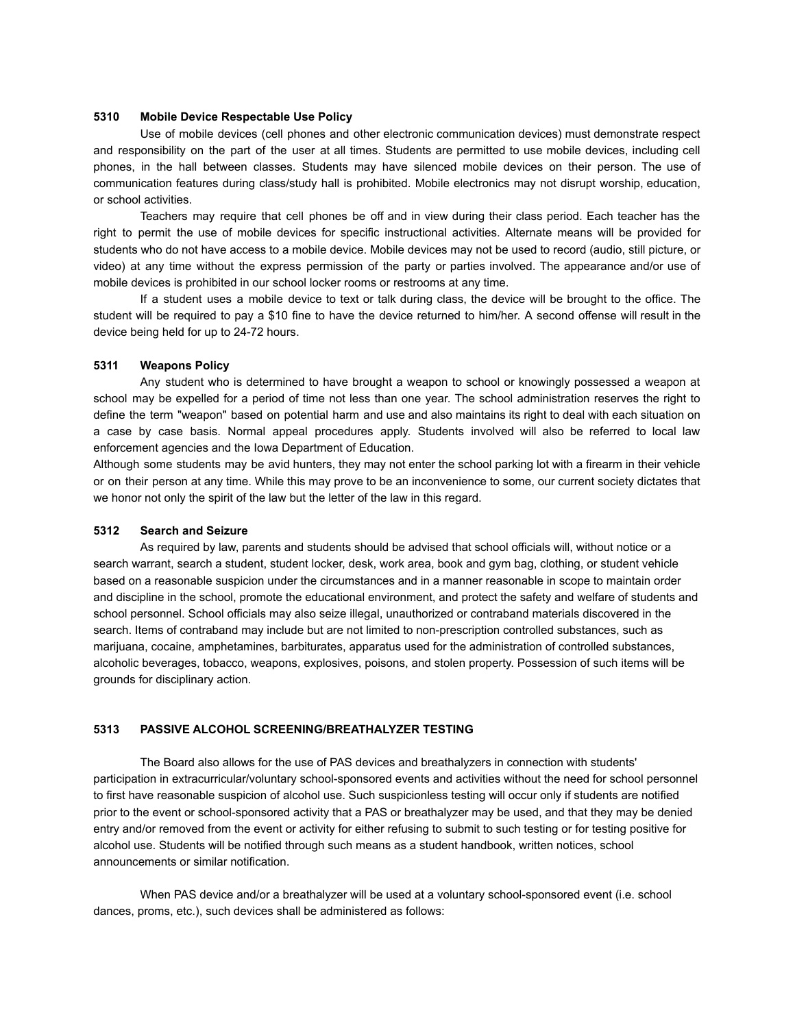#### **5310 Mobile Device Respectable Use Policy**

Use of mobile devices (cell phones and other electronic communication devices) must demonstrate respect and responsibility on the part of the user at all times. Students are permitted to use mobile devices, including cell phones, in the hall between classes. Students may have silenced mobile devices on their person. The use of communication features during class/study hall is prohibited. Mobile electronics may not disrupt worship, education, or school activities.

Teachers may require that cell phones be off and in view during their class period. Each teacher has the right to permit the use of mobile devices for specific instructional activities. Alternate means will be provided for students who do not have access to a mobile device. Mobile devices may not be used to record (audio, still picture, or video) at any time without the express permission of the party or parties involved. The appearance and/or use of mobile devices is prohibited in our school locker rooms or restrooms at any time.

If a student uses a mobile device to text or talk during class, the device will be brought to the office. The student will be required to pay a \$10 fine to have the device returned to him/her. A second offense will result in the device being held for up to 24-72 hours.

#### **5311 Weapons Policy**

Any student who is determined to have brought a weapon to school or knowingly possessed a weapon at school may be expelled for a period of time not less than one year. The school administration reserves the right to define the term "weapon" based on potential harm and use and also maintains its right to deal with each situation on a case by case basis. Normal appeal procedures apply. Students involved will also be referred to local law enforcement agencies and the Iowa Department of Education.

Although some students may be avid hunters, they may not enter the school parking lot with a firearm in their vehicle or on their person at any time. While this may prove to be an inconvenience to some, our current society dictates that we honor not only the spirit of the law but the letter of the law in this regard.

#### **5312 Search and Seizure**

As required by law, parents and students should be advised that school officials will, without notice or a search warrant, search a student, student locker, desk, work area, book and gym bag, clothing, or student vehicle based on a reasonable suspicion under the circumstances and in a manner reasonable in scope to maintain order and discipline in the school, promote the educational environment, and protect the safety and welfare of students and school personnel. School officials may also seize illegal, unauthorized or contraband materials discovered in the search. Items of contraband may include but are not limited to non-prescription controlled substances, such as marijuana, cocaine, amphetamines, barbiturates, apparatus used for the administration of controlled substances, alcoholic beverages, tobacco, weapons, explosives, poisons, and stolen property. Possession of such items will be grounds for disciplinary action.

#### **5313 PASSIVE ALCOHOL SCREENING/BREATHALYZER TESTING**

The Board also allows for the use of PAS devices and breathalyzers in connection with students' participation in extracurricular/voluntary school-sponsored events and activities without the need for school personnel to first have reasonable suspicion of alcohol use. Such suspicionless testing will occur only if students are notified prior to the event or school-sponsored activity that a PAS or breathalyzer may be used, and that they may be denied entry and/or removed from the event or activity for either refusing to submit to such testing or for testing positive for alcohol use. Students will be notified through such means as a student handbook, written notices, school announcements or similar notification.

When PAS device and/or a breathalyzer will be used at a voluntary school-sponsored event (i.e. school dances, proms, etc.), such devices shall be administered as follows: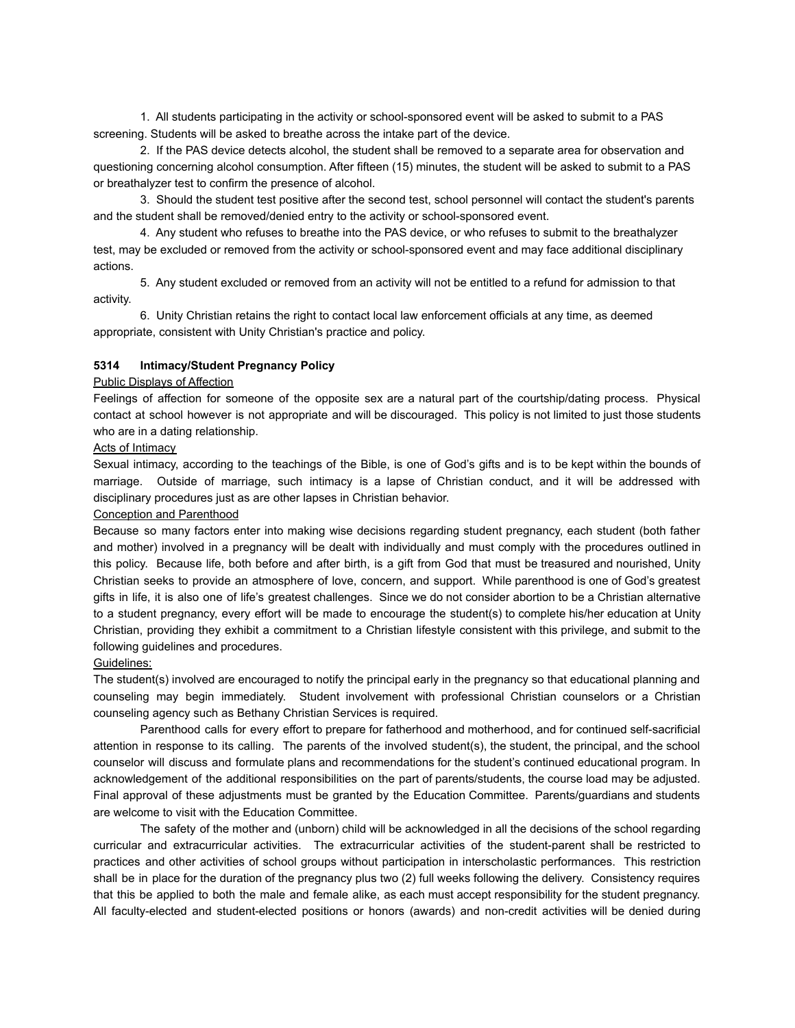1. All students participating in the activity or school-sponsored event will be asked to submit to a PAS screening. Students will be asked to breathe across the intake part of the device.

2. If the PAS device detects alcohol, the student shall be removed to a separate area for observation and questioning concerning alcohol consumption. After fifteen (15) minutes, the student will be asked to submit to a PAS or breathalyzer test to confirm the presence of alcohol.

3. Should the student test positive after the second test, school personnel will contact the student's parents and the student shall be removed/denied entry to the activity or school-sponsored event.

4. Any student who refuses to breathe into the PAS device, or who refuses to submit to the breathalyzer test, may be excluded or removed from the activity or school-sponsored event and may face additional disciplinary actions.

5. Any student excluded or removed from an activity will not be entitled to a refund for admission to that activity.

6. Unity Christian retains the right to contact local law enforcement officials at any time, as deemed appropriate, consistent with Unity Christian's practice and policy.

#### **5314 Intimacy/Student Pregnancy Policy**

#### Public Displays of Affection

Feelings of affection for someone of the opposite sex are a natural part of the courtship/dating process. Physical contact at school however is not appropriate and will be discouraged. This policy is not limited to just those students who are in a dating relationship.

#### **Acts of Intimacy**

Sexual intimacy, according to the teachings of the Bible, is one of God's gifts and is to be kept within the bounds of marriage. Outside of marriage, such intimacy is a lapse of Christian conduct, and it will be addressed with disciplinary procedures just as are other lapses in Christian behavior.

#### Conception and Parenthood

Because so many factors enter into making wise decisions regarding student pregnancy, each student (both father and mother) involved in a pregnancy will be dealt with individually and must comply with the procedures outlined in this policy. Because life, both before and after birth, is a gift from God that must be treasured and nourished, Unity Christian seeks to provide an atmosphere of love, concern, and support. While parenthood is one of God's greatest gifts in life, it is also one of life's greatest challenges. Since we do not consider abortion to be a Christian alternative to a student pregnancy, every effort will be made to encourage the student(s) to complete his/her education at Unity Christian, providing they exhibit a commitment to a Christian lifestyle consistent with this privilege, and submit to the following guidelines and procedures.

# Guidelines:

The student(s) involved are encouraged to notify the principal early in the pregnancy so that educational planning and counseling may begin immediately. Student involvement with professional Christian counselors or a Christian counseling agency such as Bethany Christian Services is required.

Parenthood calls for every effort to prepare for fatherhood and motherhood, and for continued self-sacrificial attention in response to its calling. The parents of the involved student(s), the student, the principal, and the school counselor will discuss and formulate plans and recommendations for the student's continued educational program. In acknowledgement of the additional responsibilities on the part of parents/students, the course load may be adjusted. Final approval of these adjustments must be granted by the Education Committee. Parents/guardians and students are welcome to visit with the Education Committee.

The safety of the mother and (unborn) child will be acknowledged in all the decisions of the school regarding curricular and extracurricular activities. The extracurricular activities of the student-parent shall be restricted to practices and other activities of school groups without participation in interscholastic performances. This restriction shall be in place for the duration of the pregnancy plus two (2) full weeks following the delivery. Consistency requires that this be applied to both the male and female alike, as each must accept responsibility for the student pregnancy. All faculty-elected and student-elected positions or honors (awards) and non-credit activities will be denied during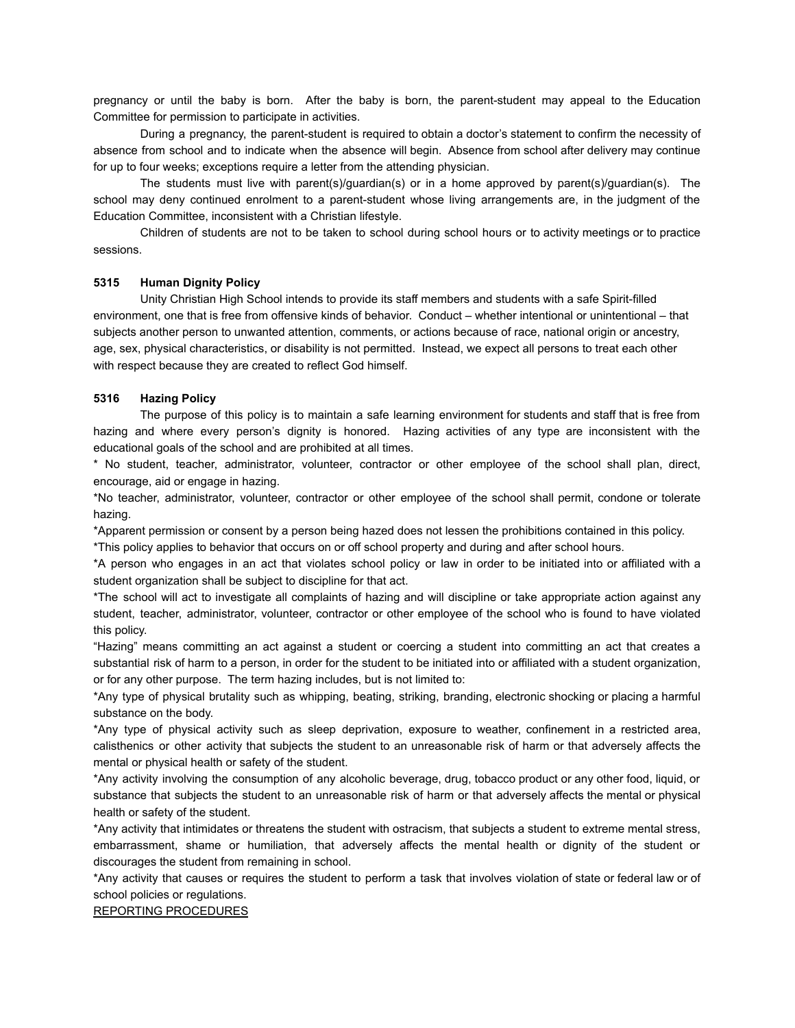pregnancy or until the baby is born. After the baby is born, the parent-student may appeal to the Education Committee for permission to participate in activities.

During a pregnancy, the parent-student is required to obtain a doctor's statement to confirm the necessity of absence from school and to indicate when the absence will begin. Absence from school after delivery may continue for up to four weeks; exceptions require a letter from the attending physician.

The students must live with parent(s)/guardian(s) or in a home approved by parent(s)/guardian(s). The school may deny continued enrolment to a parent-student whose living arrangements are, in the judgment of the Education Committee, inconsistent with a Christian lifestyle.

Children of students are not to be taken to school during school hours or to activity meetings or to practice sessions.

#### **5315 Human Dignity Policy**

Unity Christian High School intends to provide its staff members and students with a safe Spirit-filled environment, one that is free from offensive kinds of behavior. Conduct – whether intentional or unintentional – that subjects another person to unwanted attention, comments, or actions because of race, national origin or ancestry, age, sex, physical characteristics, or disability is not permitted. Instead, we expect all persons to treat each other with respect because they are created to reflect God himself.

# **5316 Hazing Policy**

The purpose of this policy is to maintain a safe learning environment for students and staff that is free from hazing and where every person's dignity is honored. Hazing activities of any type are inconsistent with the educational goals of the school and are prohibited at all times.

\* No student, teacher, administrator, volunteer, contractor or other employee of the school shall plan, direct, encourage, aid or engage in hazing.

\*No teacher, administrator, volunteer, contractor or other employee of the school shall permit, condone or tolerate hazing.

\*Apparent permission or consent by a person being hazed does not lessen the prohibitions contained in this policy.

\*This policy applies to behavior that occurs on or off school property and during and after school hours.

\*A person who engages in an act that violates school policy or law in order to be initiated into or affiliated with a student organization shall be subject to discipline for that act.

\*The school will act to investigate all complaints of hazing and will discipline or take appropriate action against any student, teacher, administrator, volunteer, contractor or other employee of the school who is found to have violated this policy.

"Hazing" means committing an act against a student or coercing a student into committing an act that creates a substantial risk of harm to a person, in order for the student to be initiated into or affiliated with a student organization, or for any other purpose. The term hazing includes, but is not limited to:

\*Any type of physical brutality such as whipping, beating, striking, branding, electronic shocking or placing a harmful substance on the body.

\*Any type of physical activity such as sleep deprivation, exposure to weather, confinement in a restricted area, calisthenics or other activity that subjects the student to an unreasonable risk of harm or that adversely affects the mental or physical health or safety of the student.

\*Any activity involving the consumption of any alcoholic beverage, drug, tobacco product or any other food, liquid, or substance that subjects the student to an unreasonable risk of harm or that adversely affects the mental or physical health or safety of the student.

\*Any activity that intimidates or threatens the student with ostracism, that subjects a student to extreme mental stress, embarrassment, shame or humiliation, that adversely affects the mental health or dignity of the student or discourages the student from remaining in school.

\*Any activity that causes or requires the student to perform a task that involves violation of state or federal law or of school policies or regulations.

REPORTING PROCEDURES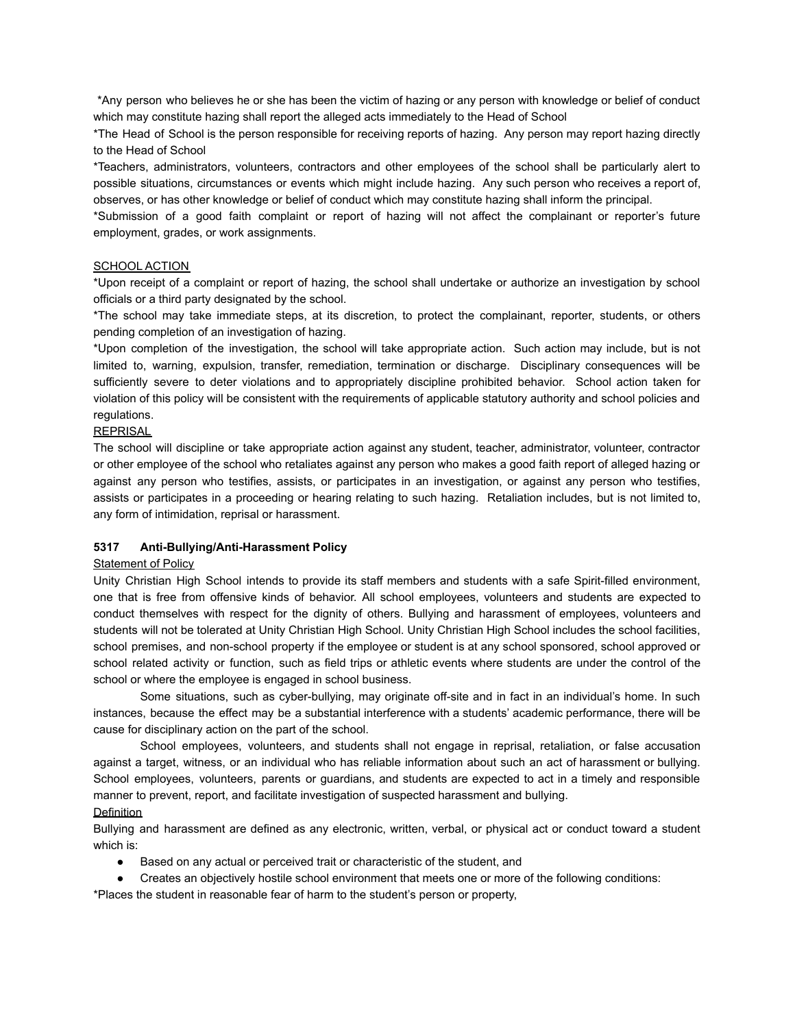\*Any person who believes he or she has been the victim of hazing or any person with knowledge or belief of conduct which may constitute hazing shall report the alleged acts immediately to the Head of School

\*The Head of School is the person responsible for receiving reports of hazing. Any person may report hazing directly to the Head of School

\*Teachers, administrators, volunteers, contractors and other employees of the school shall be particularly alert to possible situations, circumstances or events which might include hazing. Any such person who receives a report of, observes, or has other knowledge or belief of conduct which may constitute hazing shall inform the principal.

\*Submission of a good faith complaint or report of hazing will not affect the complainant or reporter's future employment, grades, or work assignments.

#### SCHOOL ACTION

\*Upon receipt of a complaint or report of hazing, the school shall undertake or authorize an investigation by school officials or a third party designated by the school.

\*The school may take immediate steps, at its discretion, to protect the complainant, reporter, students, or others pending completion of an investigation of hazing.

\*Upon completion of the investigation, the school will take appropriate action. Such action may include, but is not limited to, warning, expulsion, transfer, remediation, termination or discharge. Disciplinary consequences will be sufficiently severe to deter violations and to appropriately discipline prohibited behavior. School action taken for violation of this policy will be consistent with the requirements of applicable statutory authority and school policies and regulations.

# REPRISAL

The school will discipline or take appropriate action against any student, teacher, administrator, volunteer, contractor or other employee of the school who retaliates against any person who makes a good faith report of alleged hazing or against any person who testifies, assists, or participates in an investigation, or against any person who testifies, assists or participates in a proceeding or hearing relating to such hazing. Retaliation includes, but is not limited to, any form of intimidation, reprisal or harassment.

#### **5317 Anti-Bullying/Anti-Harassment Policy**

#### Statement of Policy

Unity Christian High School intends to provide its staff members and students with a safe Spirit-filled environment, one that is free from offensive kinds of behavior. All school employees, volunteers and students are expected to conduct themselves with respect for the dignity of others. Bullying and harassment of employees, volunteers and students will not be tolerated at Unity Christian High School. Unity Christian High School includes the school facilities, school premises, and non-school property if the employee or student is at any school sponsored, school approved or school related activity or function, such as field trips or athletic events where students are under the control of the school or where the employee is engaged in school business.

Some situations, such as cyber-bullying, may originate off-site and in fact in an individual's home. In such instances, because the effect may be a substantial interference with a students' academic performance, there will be cause for disciplinary action on the part of the school.

School employees, volunteers, and students shall not engage in reprisal, retaliation, or false accusation against a target, witness, or an individual who has reliable information about such an act of harassment or bullying. School employees, volunteers, parents or guardians, and students are expected to act in a timely and responsible manner to prevent, report, and facilitate investigation of suspected harassment and bullying.

# **Definition**

Bullying and harassment are defined as any electronic, written, verbal, or physical act or conduct toward a student which is:

- Based on any actual or perceived trait or characteristic of the student, and
- Creates an objectively hostile school environment that meets one or more of the following conditions:

\*Places the student in reasonable fear of harm to the student's person or property,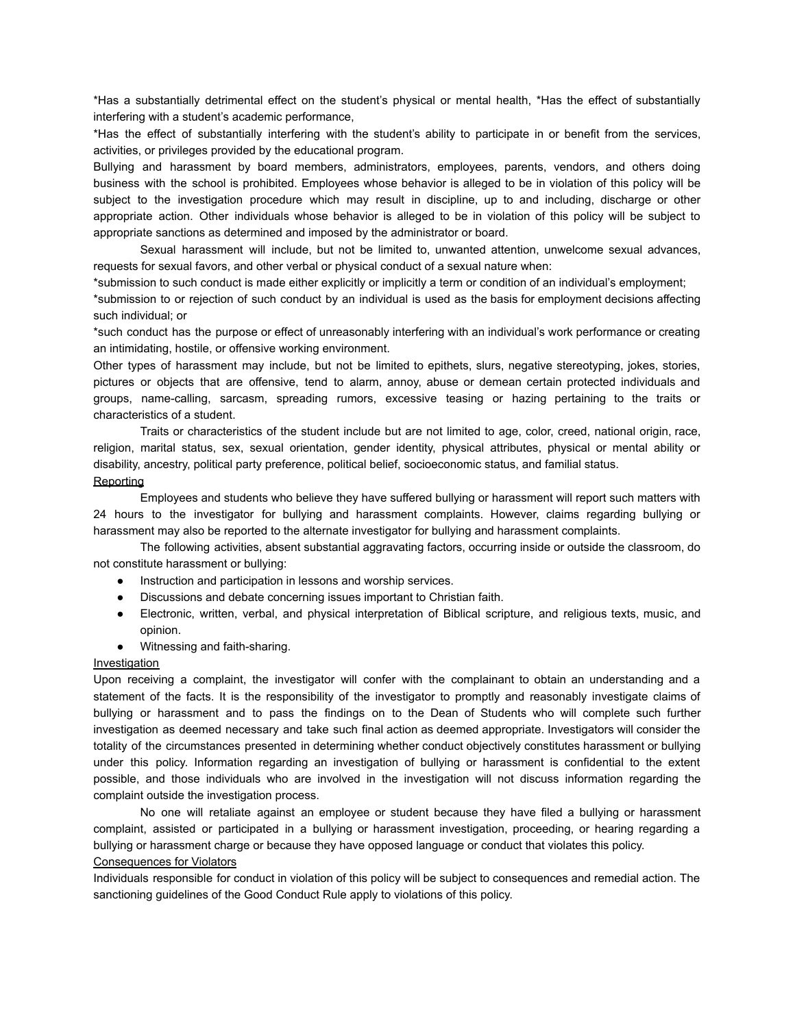\*Has a substantially detrimental effect on the student's physical or mental health, \*Has the effect of substantially interfering with a student's academic performance,

\*Has the effect of substantially interfering with the student's ability to participate in or benefit from the services, activities, or privileges provided by the educational program.

Bullying and harassment by board members, administrators, employees, parents, vendors, and others doing business with the school is prohibited. Employees whose behavior is alleged to be in violation of this policy will be subject to the investigation procedure which may result in discipline, up to and including, discharge or other appropriate action. Other individuals whose behavior is alleged to be in violation of this policy will be subject to appropriate sanctions as determined and imposed by the administrator or board.

Sexual harassment will include, but not be limited to, unwanted attention, unwelcome sexual advances, requests for sexual favors, and other verbal or physical conduct of a sexual nature when:

\*submission to such conduct is made either explicitly or implicitly a term or condition of an individual's employment;

\*submission to or rejection of such conduct by an individual is used as the basis for employment decisions affecting such individual; or

\*such conduct has the purpose or effect of unreasonably interfering with an individual's work performance or creating an intimidating, hostile, or offensive working environment.

Other types of harassment may include, but not be limited to epithets, slurs, negative stereotyping, jokes, stories, pictures or objects that are offensive, tend to alarm, annoy, abuse or demean certain protected individuals and groups, name-calling, sarcasm, spreading rumors, excessive teasing or hazing pertaining to the traits or characteristics of a student.

Traits or characteristics of the student include but are not limited to age, color, creed, national origin, race, religion, marital status, sex, sexual orientation, gender identity, physical attributes, physical or mental ability or disability, ancestry, political party preference, political belief, socioeconomic status, and familial status.

#### **Reporting**

Employees and students who believe they have suffered bullying or harassment will report such matters with 24 hours to the investigator for bullying and harassment complaints. However, claims regarding bullying or harassment may also be reported to the alternate investigator for bullying and harassment complaints.

The following activities, absent substantial aggravating factors, occurring inside or outside the classroom, do not constitute harassment or bullying:

- Instruction and participation in lessons and worship services.
- Discussions and debate concerning issues important to Christian faith.
- Electronic, written, verbal, and physical interpretation of Biblical scripture, and religious texts, music, and opinion.
- Witnessing and faith-sharing.

# **Investigation**

Upon receiving a complaint, the investigator will confer with the complainant to obtain an understanding and a statement of the facts. It is the responsibility of the investigator to promptly and reasonably investigate claims of bullying or harassment and to pass the findings on to the Dean of Students who will complete such further investigation as deemed necessary and take such final action as deemed appropriate. Investigators will consider the totality of the circumstances presented in determining whether conduct objectively constitutes harassment or bullying under this policy. Information regarding an investigation of bullying or harassment is confidential to the extent possible, and those individuals who are involved in the investigation will not discuss information regarding the complaint outside the investigation process.

No one will retaliate against an employee or student because they have filed a bullying or harassment complaint, assisted or participated in a bullying or harassment investigation, proceeding, or hearing regarding a bullying or harassment charge or because they have opposed language or conduct that violates this policy.

### Consequences for Violators

Individuals responsible for conduct in violation of this policy will be subject to consequences and remedial action. The sanctioning guidelines of the Good Conduct Rule apply to violations of this policy.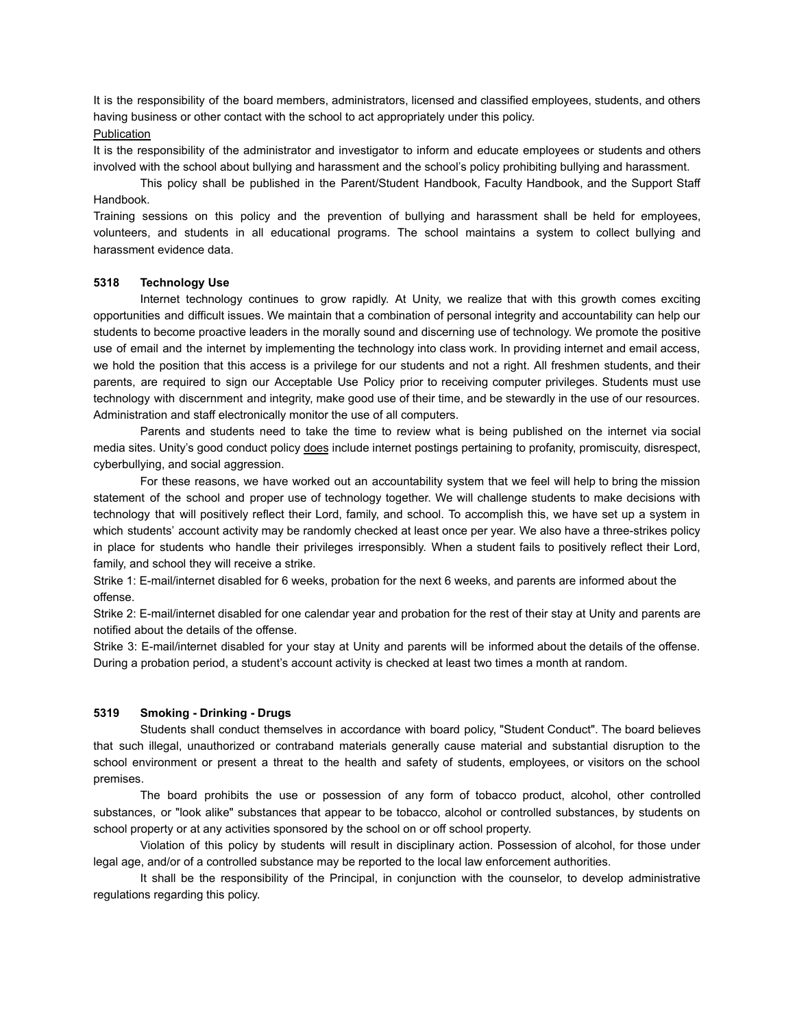It is the responsibility of the board members, administrators, licensed and classified employees, students, and others having business or other contact with the school to act appropriately under this policy.

# **Publication**

It is the responsibility of the administrator and investigator to inform and educate employees or students and others involved with the school about bullying and harassment and the school's policy prohibiting bullying and harassment.

This policy shall be published in the Parent/Student Handbook, Faculty Handbook, and the Support Staff Handbook.

Training sessions on this policy and the prevention of bullying and harassment shall be held for employees, volunteers, and students in all educational programs. The school maintains a system to collect bullying and harassment evidence data.

#### **5318 Technology Use**

Internet technology continues to grow rapidly. At Unity, we realize that with this growth comes exciting opportunities and difficult issues. We maintain that a combination of personal integrity and accountability can help our students to become proactive leaders in the morally sound and discerning use of technology. We promote the positive use of email and the internet by implementing the technology into class work. In providing internet and email access, we hold the position that this access is a privilege for our students and not a right. All freshmen students, and their parents, are required to sign our Acceptable Use Policy prior to receiving computer privileges. Students must use technology with discernment and integrity, make good use of their time, and be stewardly in the use of our resources. Administration and staff electronically monitor the use of all computers.

Parents and students need to take the time to review what is being published on the internet via social media sites. Unity's good conduct policy does include internet postings pertaining to profanity, promiscuity, disrespect, cyberbullying, and social aggression.

For these reasons, we have worked out an accountability system that we feel will help to bring the mission statement of the school and proper use of technology together. We will challenge students to make decisions with technology that will positively reflect their Lord, family, and school. To accomplish this, we have set up a system in which students' account activity may be randomly checked at least once per year. We also have a three-strikes policy in place for students who handle their privileges irresponsibly. When a student fails to positively reflect their Lord, family, and school they will receive a strike.

Strike 1: E-mail/internet disabled for 6 weeks, probation for the next 6 weeks, and parents are informed about the offense.

Strike 2: E-mail/internet disabled for one calendar year and probation for the rest of their stay at Unity and parents are notified about the details of the offense.

Strike 3: E-mail/internet disabled for your stay at Unity and parents will be informed about the details of the offense. During a probation period, a student's account activity is checked at least two times a month at random.

# **5319 Smoking - Drinking - Drugs**

Students shall conduct themselves in accordance with board policy, "Student Conduct". The board believes that such illegal, unauthorized or contraband materials generally cause material and substantial disruption to the school environment or present a threat to the health and safety of students, employees, or visitors on the school premises.

The board prohibits the use or possession of any form of tobacco product, alcohol, other controlled substances, or "look alike" substances that appear to be tobacco, alcohol or controlled substances, by students on school property or at any activities sponsored by the school on or off school property.

Violation of this policy by students will result in disciplinary action. Possession of alcohol, for those under legal age, and/or of a controlled substance may be reported to the local law enforcement authorities.

It shall be the responsibility of the Principal, in conjunction with the counselor, to develop administrative regulations regarding this policy.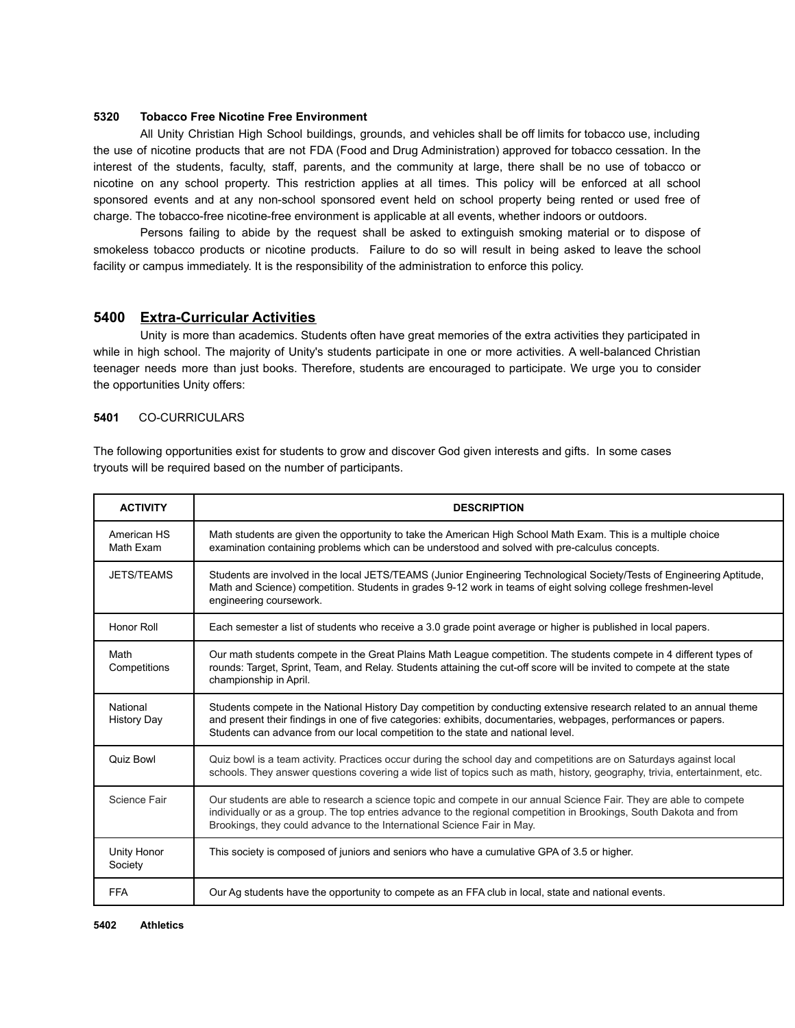## **5320 Tobacco Free Nicotine Free Environment**

All Unity Christian High School buildings, grounds, and vehicles shall be off limits for tobacco use, including the use of nicotine products that are not FDA (Food and Drug Administration) approved for tobacco cessation. In the interest of the students, faculty, staff, parents, and the community at large, there shall be no use of tobacco or nicotine on any school property. This restriction applies at all times. This policy will be enforced at all school sponsored events and at any non-school sponsored event held on school property being rented or used free of charge. The tobacco-free nicotine-free environment is applicable at all events, whether indoors or outdoors.

Persons failing to abide by the request shall be asked to extinguish smoking material or to dispose of smokeless tobacco products or nicotine products. Failure to do so will result in being asked to leave the school facility or campus immediately. It is the responsibility of the administration to enforce this policy.

# **5400 Extra-Curricular Activities**

Unity is more than academics. Students often have great memories of the extra activities they participated in while in high school. The majority of Unity's students participate in one or more activities. A well-balanced Christian teenager needs more than just books. Therefore, students are encouraged to participate. We urge you to consider the opportunities Unity offers:

#### **5401** CO-CURRICULARS

The following opportunities exist for students to grow and discover God given interests and gifts. In some cases tryouts will be required based on the number of participants.

| <b>ACTIVITY</b>                | <b>DESCRIPTION</b>                                                                                                                                                                                                                                                                                                           |
|--------------------------------|------------------------------------------------------------------------------------------------------------------------------------------------------------------------------------------------------------------------------------------------------------------------------------------------------------------------------|
| American HS<br>Math Exam       | Math students are given the opportunity to take the American High School Math Exam. This is a multiple choice<br>examination containing problems which can be understood and solved with pre-calculus concepts.                                                                                                              |
| <b>JETS/TEAMS</b>              | Students are involved in the local JETS/TEAMS (Junior Engineering Technological Society/Tests of Engineering Aptitude,<br>Math and Science) competition. Students in grades 9-12 work in teams of eight solving college freshmen-level<br>engineering coursework.                                                            |
| Honor Roll                     | Each semester a list of students who receive a 3.0 grade point average or higher is published in local papers.                                                                                                                                                                                                               |
| Math<br>Competitions           | Our math students compete in the Great Plains Math League competition. The students compete in 4 different types of<br>rounds: Target, Sprint, Team, and Relay. Students attaining the cut-off score will be invited to compete at the state<br>championship in April.                                                       |
| National<br><b>History Day</b> | Students compete in the National History Day competition by conducting extensive research related to an annual theme<br>and present their findings in one of five categories: exhibits, documentaries, webpages, performances or papers.<br>Students can advance from our local competition to the state and national level. |
| <b>Quiz Bowl</b>               | Quiz bowl is a team activity. Practices occur during the school day and competitions are on Saturdays against local<br>schools. They answer questions covering a wide list of topics such as math, history, geography, trivia, entertainment, etc.                                                                           |
| Science Fair                   | Our students are able to research a science topic and compete in our annual Science Fair. They are able to compete<br>individually or as a group. The top entries advance to the regional competition in Brookings, South Dakota and from<br>Brookings, they could advance to the International Science Fair in May.         |
| Unity Honor<br>Society         | This society is composed of juniors and seniors who have a cumulative GPA of 3.5 or higher.                                                                                                                                                                                                                                  |
| <b>FFA</b>                     | Our Ag students have the opportunity to compete as an FFA club in local, state and national events.                                                                                                                                                                                                                          |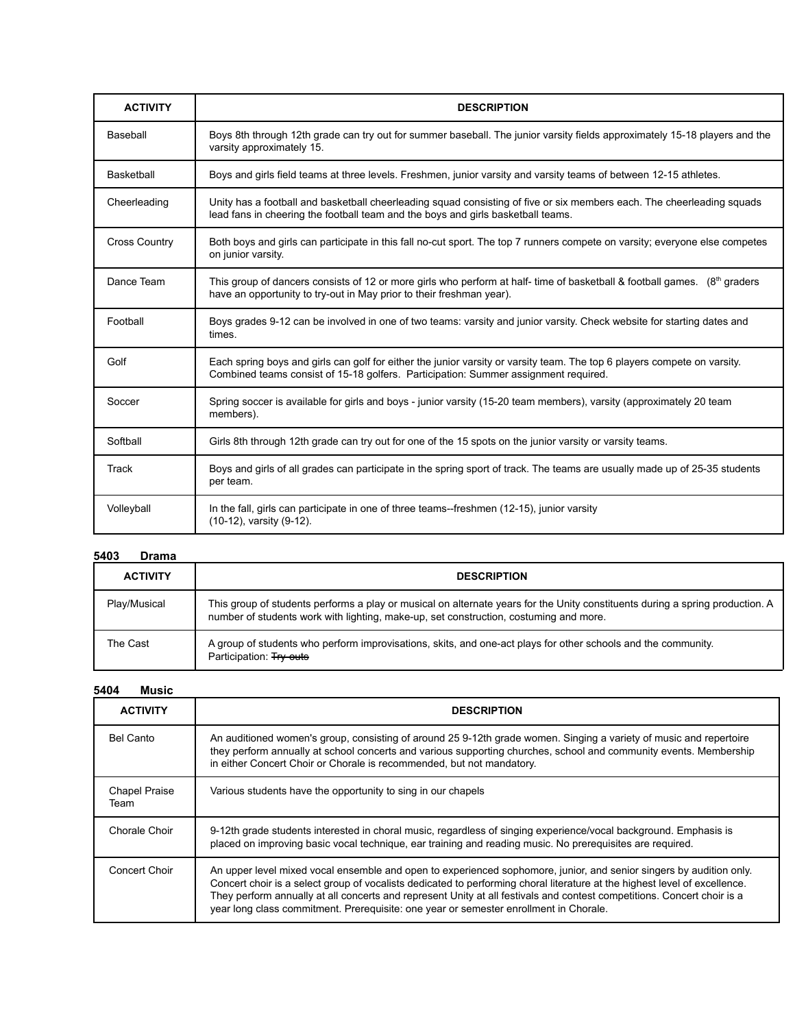| <b>ACTIVITY</b>      | <b>DESCRIPTION</b>                                                                                                                                                                                              |
|----------------------|-----------------------------------------------------------------------------------------------------------------------------------------------------------------------------------------------------------------|
| Baseball             | Boys 8th through 12th grade can try out for summer baseball. The junior varsity fields approximately 15-18 players and the<br>varsity approximately 15.                                                         |
| Basketball           | Boys and girls field teams at three levels. Freshmen, junior varsity and varsity teams of between 12-15 athletes.                                                                                               |
| Cheerleading         | Unity has a football and basketball cheerleading squad consisting of five or six members each. The cheerleading squads<br>lead fans in cheering the football team and the boys and girls basketball teams.      |
| <b>Cross Country</b> | Both boys and girls can participate in this fall no-cut sport. The top 7 runners compete on varsity; everyone else competes<br>on junior varsity.                                                               |
| Dance Team           | This group of dancers consists of 12 or more girls who perform at half-time of basketball & football games. (8 <sup>th</sup> graders<br>have an opportunity to try-out in May prior to their freshman year).    |
| Football             | Boys grades 9-12 can be involved in one of two teams: varsity and junior varsity. Check website for starting dates and<br>times.                                                                                |
| Golf                 | Each spring boys and girls can golf for either the junior varsity or varsity team. The top 6 players compete on varsity.<br>Combined teams consist of 15-18 golfers. Participation: Summer assignment required. |
| Soccer               | Spring soccer is available for girls and boys - junior varsity (15-20 team members), varsity (approximately 20 team<br>members).                                                                                |
| Softball             | Girls 8th through 12th grade can try out for one of the 15 spots on the junior varsity or varsity teams.                                                                                                        |
| Track                | Boys and girls of all grades can participate in the spring sport of track. The teams are usually made up of 25-35 students<br>per team.                                                                         |
| Volleyball           | In the fall, girls can participate in one of three teams--freshmen (12-15), junior varsity<br>(10-12), varsity (9-12).                                                                                          |

# **5403 Drama**

| <b>ACTIVITY</b> | <b>DESCRIPTION</b>                                                                                                                                                                                                     |
|-----------------|------------------------------------------------------------------------------------------------------------------------------------------------------------------------------------------------------------------------|
| Play/Musical    | This group of students performs a play or musical on alternate years for the Unity constituents during a spring production. A<br>number of students work with lighting, make-up, set construction, costuming and more. |
| The Cast        | A group of students who perform improvisations, skits, and one-act plays for other schools and the community.<br>Participation: Try outs                                                                               |

# **5404 Music**

| <b>ACTIVITY</b>              | <b>DESCRIPTION</b>                                                                                                                                                                                                                                                                                                                                                                                                                                                    |
|------------------------------|-----------------------------------------------------------------------------------------------------------------------------------------------------------------------------------------------------------------------------------------------------------------------------------------------------------------------------------------------------------------------------------------------------------------------------------------------------------------------|
| Bel Canto                    | An auditioned women's group, consisting of around 25 9-12th grade women. Singing a variety of music and repertoire<br>they perform annually at school concerts and various supporting churches, school and community events. Membership<br>in either Concert Choir or Chorale is recommended, but not mandatory.                                                                                                                                                      |
| <b>Chapel Praise</b><br>Team | Various students have the opportunity to sing in our chapels                                                                                                                                                                                                                                                                                                                                                                                                          |
| Chorale Choir                | 9-12th grade students interested in choral music, regardless of singing experience/vocal background. Emphasis is<br>placed on improving basic vocal technique, ear training and reading music. No prerequisites are required.                                                                                                                                                                                                                                         |
| Concert Choir                | An upper level mixed vocal ensemble and open to experienced sophomore, junior, and senior singers by audition only.<br>Concert choir is a select group of vocalists dedicated to performing choral literature at the highest level of excellence.<br>They perform annually at all concerts and represent Unity at all festivals and contest competitions. Concert choir is a<br>year long class commitment. Prerequisite: one year or semester enrollment in Chorale. |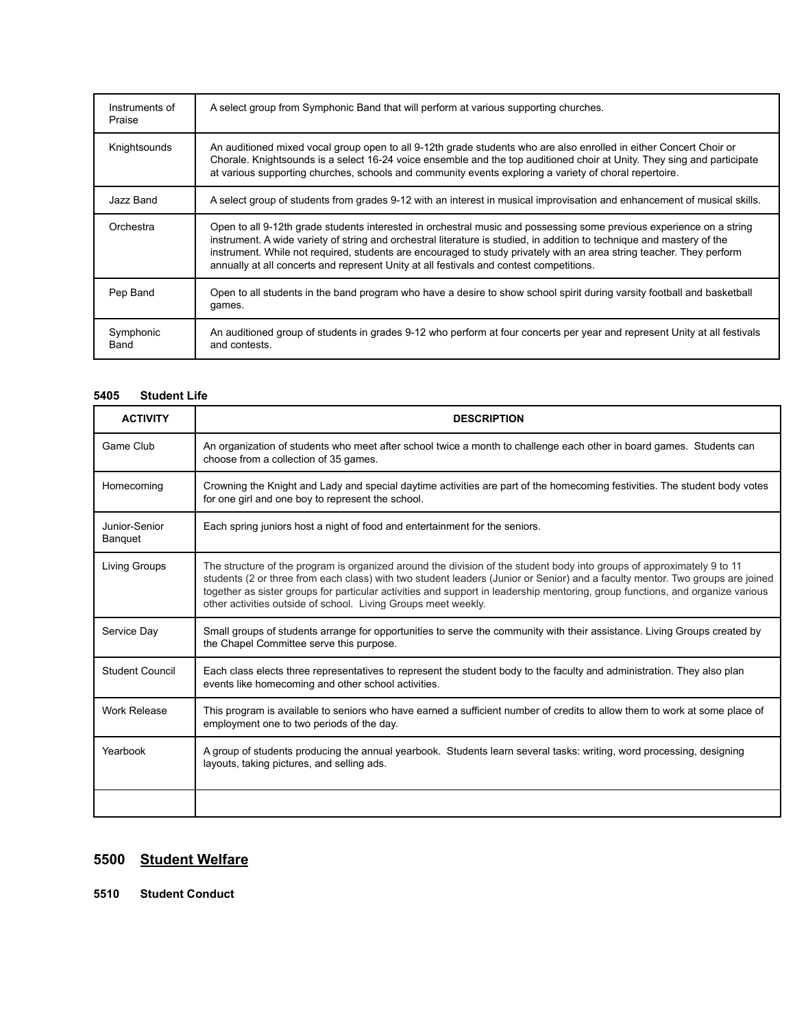| Instruments of<br>Praise | A select group from Symphonic Band that will perform at various supporting churches.                                                                                                                                                                                                                                                                                                                                                                              |
|--------------------------|-------------------------------------------------------------------------------------------------------------------------------------------------------------------------------------------------------------------------------------------------------------------------------------------------------------------------------------------------------------------------------------------------------------------------------------------------------------------|
| Knightsounds             | An auditioned mixed vocal group open to all 9-12th grade students who are also enrolled in either Concert Choir or<br>Chorale. Knightsounds is a select 16-24 voice ensemble and the top auditioned choir at Unity. They sing and participate<br>at various supporting churches, schools and community events exploring a variety of choral repertoire.                                                                                                           |
| Jazz Band                | A select group of students from grades 9-12 with an interest in musical improvisation and enhancement of musical skills.                                                                                                                                                                                                                                                                                                                                          |
| Orchestra                | Open to all 9-12th grade students interested in orchestral music and possessing some previous experience on a string<br>instrument. A wide variety of string and orchestral literature is studied, in addition to technique and mastery of the<br>instrument. While not required, students are encouraged to study privately with an area string teacher. They perform<br>annually at all concerts and represent Unity at all festivals and contest competitions. |
| Pep Band                 | Open to all students in the band program who have a desire to show school spirit during varsity football and basketball<br>games.                                                                                                                                                                                                                                                                                                                                 |
| Symphonic<br>Band        | An auditioned group of students in grades 9-12 who perform at four concerts per year and represent Unity at all festivals<br>and contests.                                                                                                                                                                                                                                                                                                                        |

# **5405 Student Life**

| <b>ACTIVITY</b>                 | <b>DESCRIPTION</b>                                                                                                                                                                                                                                                                                                                                                                                                                                          |
|---------------------------------|-------------------------------------------------------------------------------------------------------------------------------------------------------------------------------------------------------------------------------------------------------------------------------------------------------------------------------------------------------------------------------------------------------------------------------------------------------------|
| Game Club                       | An organization of students who meet after school twice a month to challenge each other in board games. Students can<br>choose from a collection of 35 games.                                                                                                                                                                                                                                                                                               |
| Homecoming                      | Crowning the Knight and Lady and special daytime activities are part of the homecoming festivities. The student body votes<br>for one girl and one boy to represent the school.                                                                                                                                                                                                                                                                             |
| Junior-Senior<br><b>Banquet</b> | Each spring juniors host a night of food and entertainment for the seniors.                                                                                                                                                                                                                                                                                                                                                                                 |
| Living Groups                   | The structure of the program is organized around the division of the student body into groups of approximately 9 to 11<br>students (2 or three from each class) with two student leaders (Junior or Senior) and a faculty mentor. Two groups are joined<br>together as sister groups for particular activities and support in leadership mentoring, group functions, and organize various<br>other activities outside of school. Living Groups meet weekly. |
| Service Day                     | Small groups of students arrange for opportunities to serve the community with their assistance. Living Groups created by<br>the Chapel Committee serve this purpose.                                                                                                                                                                                                                                                                                       |
| Student Council                 | Each class elects three representatives to represent the student body to the faculty and administration. They also plan<br>events like homecoming and other school activities.                                                                                                                                                                                                                                                                              |
| <b>Work Release</b>             | This program is available to seniors who have earned a sufficient number of credits to allow them to work at some place of<br>employment one to two periods of the day.                                                                                                                                                                                                                                                                                     |
| Yearbook                        | A group of students producing the annual yearbook. Students learn several tasks: writing, word processing, designing<br>layouts, taking pictures, and selling ads.                                                                                                                                                                                                                                                                                          |
|                                 |                                                                                                                                                                                                                                                                                                                                                                                                                                                             |

# **5500 Student Welfare**

**5510 Student Conduct**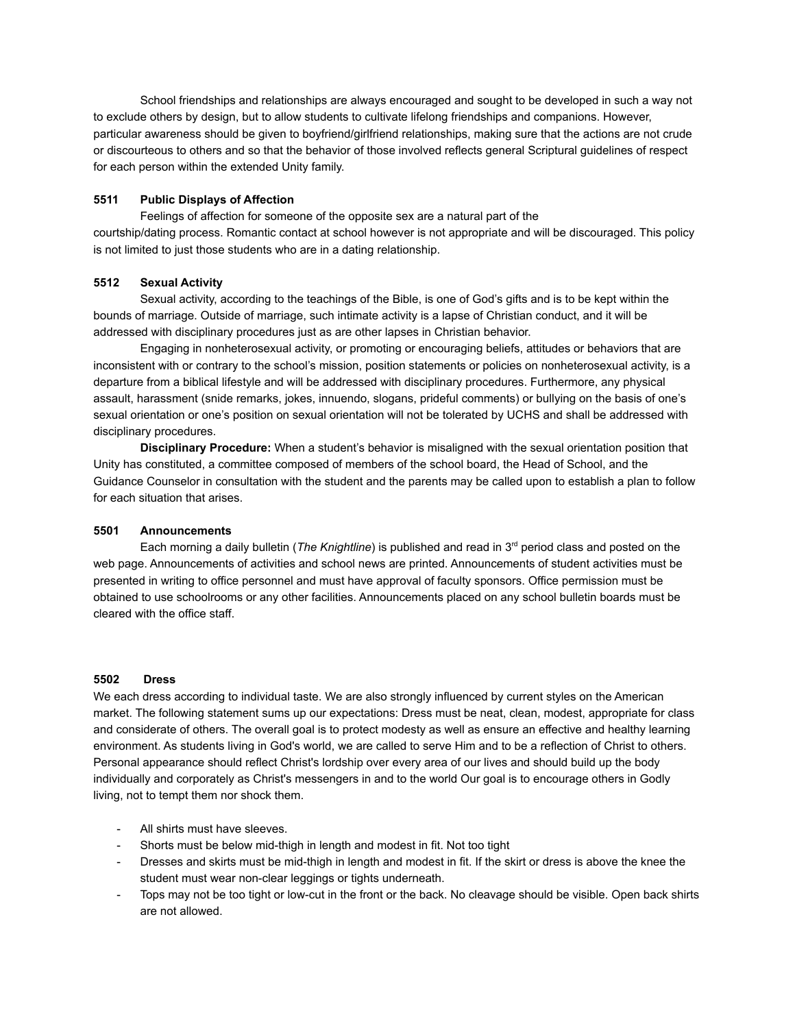School friendships and relationships are always encouraged and sought to be developed in such a way not to exclude others by design, but to allow students to cultivate lifelong friendships and companions. However, particular awareness should be given to boyfriend/girlfriend relationships, making sure that the actions are not crude or discourteous to others and so that the behavior of those involved reflects general Scriptural guidelines of respect for each person within the extended Unity family.

# **5511 Public Displays of Affection**

Feelings of affection for someone of the opposite sex are a natural part of the courtship/dating process. Romantic contact at school however is not appropriate and will be discouraged. This policy is not limited to just those students who are in a dating relationship.

# **5512 Sexual Activity**

Sexual activity, according to the teachings of the Bible, is one of God's gifts and is to be kept within the bounds of marriage. Outside of marriage, such intimate activity is a lapse of Christian conduct, and it will be addressed with disciplinary procedures just as are other lapses in Christian behavior.

Engaging in nonheterosexual activity, or promoting or encouraging beliefs, attitudes or behaviors that are inconsistent with or contrary to the school's mission, position statements or policies on nonheterosexual activity, is a departure from a biblical lifestyle and will be addressed with disciplinary procedures. Furthermore, any physical assault, harassment (snide remarks, jokes, innuendo, slogans, prideful comments) or bullying on the basis of one's sexual orientation or one's position on sexual orientation will not be tolerated by UCHS and shall be addressed with disciplinary procedures.

**Disciplinary Procedure:** When a student's behavior is misaligned with the sexual orientation position that Unity has constituted, a committee composed of members of the school board, the Head of School, and the Guidance Counselor in consultation with the student and the parents may be called upon to establish a plan to follow for each situation that arises.

# **5501 Announcements**

Each morning a daily bulletin (*The Knightline*) is published and read in 3<sup>rd</sup> period class and posted on the web page. Announcements of activities and school news are printed. Announcements of student activities must be presented in writing to office personnel and must have approval of faculty sponsors. Office permission must be obtained to use schoolrooms or any other facilities. Announcements placed on any school bulletin boards must be cleared with the office staff.

# **5502 Dress**

We each dress according to individual taste. We are also strongly influenced by current styles on the American market. The following statement sums up our expectations: Dress must be neat, clean, modest, appropriate for class and considerate of others. The overall goal is to protect modesty as well as ensure an effective and healthy learning environment. As students living in God's world, we are called to serve Him and to be a reflection of Christ to others. Personal appearance should reflect Christ's lordship over every area of our lives and should build up the body individually and corporately as Christ's messengers in and to the world Our goal is to encourage others in Godly living, not to tempt them nor shock them.

- All shirts must have sleeves.
- Shorts must be below mid-thigh in length and modest in fit. Not too tight
- Dresses and skirts must be mid-thigh in length and modest in fit. If the skirt or dress is above the knee the student must wear non-clear leggings or tights underneath.
- Tops may not be too tight or low-cut in the front or the back. No cleavage should be visible. Open back shirts are not allowed.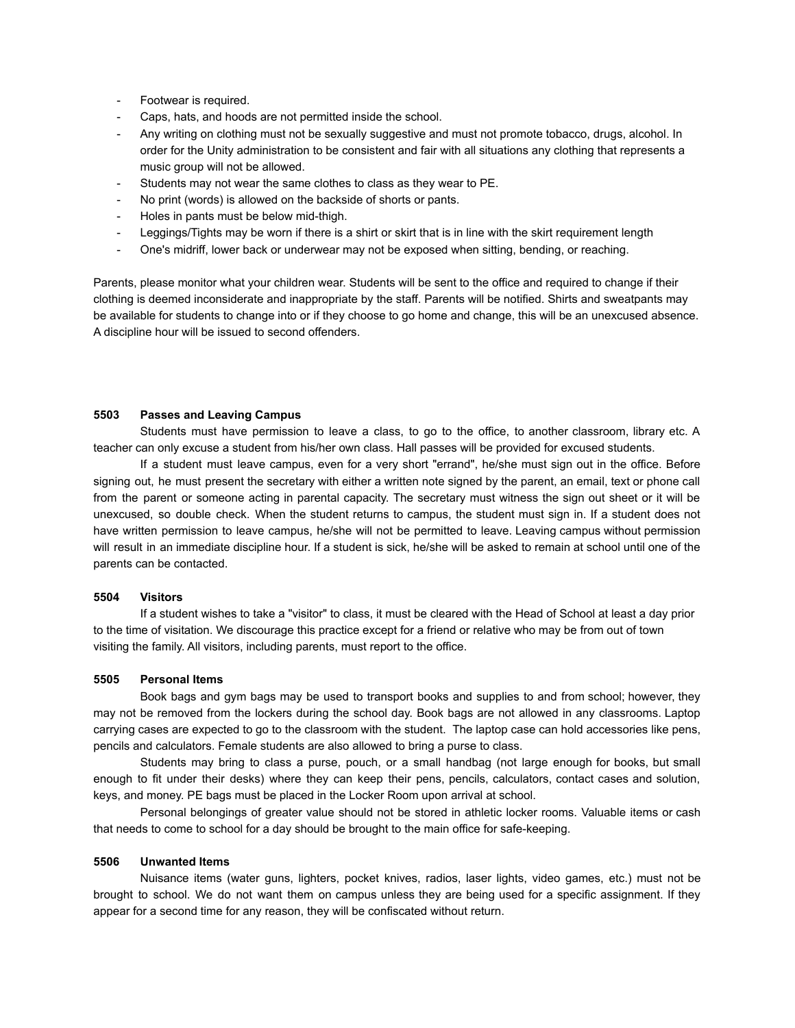- Footwear is required.
- Caps, hats, and hoods are not permitted inside the school.
- Any writing on clothing must not be sexually suggestive and must not promote tobacco, drugs, alcohol. In order for the Unity administration to be consistent and fair with all situations any clothing that represents a music group will not be allowed.
- Students may not wear the same clothes to class as they wear to PE.
- No print (words) is allowed on the backside of shorts or pants.
- Holes in pants must be below mid-thigh.
- Leggings/Tights may be worn if there is a shirt or skirt that is in line with the skirt requirement length
- One's midriff, lower back or underwear may not be exposed when sitting, bending, or reaching.

Parents, please monitor what your children wear. Students will be sent to the office and required to change if their clothing is deemed inconsiderate and inappropriate by the staff. Parents will be notified. Shirts and sweatpants may be available for students to change into or if they choose to go home and change, this will be an unexcused absence. A discipline hour will be issued to second offenders.

#### **5503 Passes and Leaving Campus**

Students must have permission to leave a class, to go to the office, to another classroom, library etc. A teacher can only excuse a student from his/her own class. Hall passes will be provided for excused students.

If a student must leave campus, even for a very short "errand", he/she must sign out in the office. Before signing out, he must present the secretary with either a written note signed by the parent, an email, text or phone call from the parent or someone acting in parental capacity. The secretary must witness the sign out sheet or it will be unexcused, so double check. When the student returns to campus, the student must sign in. If a student does not have written permission to leave campus, he/she will not be permitted to leave. Leaving campus without permission will result in an immediate discipline hour. If a student is sick, he/she will be asked to remain at school until one of the parents can be contacted.

#### **5504 Visitors**

If a student wishes to take a "visitor" to class, it must be cleared with the Head of School at least a day prior to the time of visitation. We discourage this practice except for a friend or relative who may be from out of town visiting the family. All visitors, including parents, must report to the office.

#### **5505 Personal Items**

Book bags and gym bags may be used to transport books and supplies to and from school; however, they may not be removed from the lockers during the school day. Book bags are not allowed in any classrooms. Laptop carrying cases are expected to go to the classroom with the student. The laptop case can hold accessories like pens, pencils and calculators. Female students are also allowed to bring a purse to class.

Students may bring to class a purse, pouch, or a small handbag (not large enough for books, but small enough to fit under their desks) where they can keep their pens, pencils, calculators, contact cases and solution, keys, and money. PE bags must be placed in the Locker Room upon arrival at school.

Personal belongings of greater value should not be stored in athletic locker rooms. Valuable items or cash that needs to come to school for a day should be brought to the main office for safe-keeping.

#### **5506 Unwanted Items**

Nuisance items (water guns, lighters, pocket knives, radios, laser lights, video games, etc.) must not be brought to school. We do not want them on campus unless they are being used for a specific assignment. If they appear for a second time for any reason, they will be confiscated without return.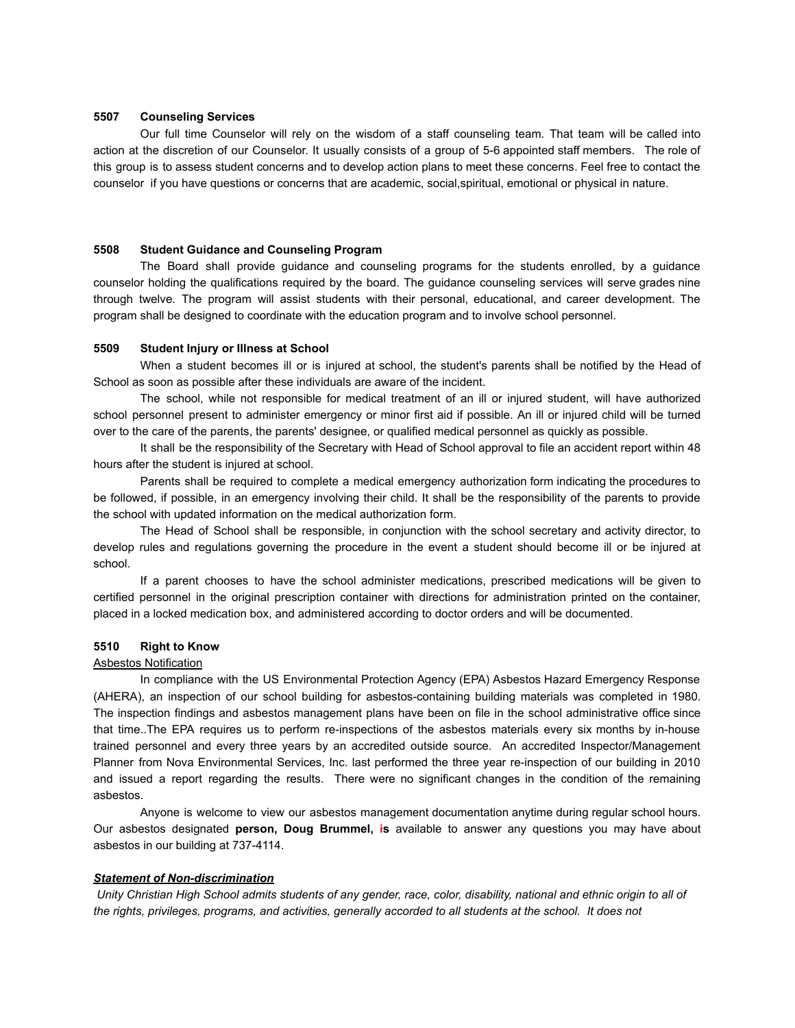#### **5507 Counseling Services**

Our full time Counselor will rely on the wisdom of a staff counseling team. That team will be called into action at the discretion of our Counselor. It usually consists of a group of 5-6 appointed staff members. The role of this group is to assess student concerns and to develop action plans to meet these concerns. Feel free to contact the counselor if you have questions or concerns that are academic, social,spiritual, emotional or physical in nature.

#### **5508 Student Guidance and Counseling Program**

The Board shall provide guidance and counseling programs for the students enrolled, by a guidance counselor holding the qualifications required by the board. The guidance counseling services will serve grades nine through twelve. The program will assist students with their personal, educational, and career development. The program shall be designed to coordinate with the education program and to involve school personnel.

### **5509 Student Injury or Illness at School**

When a student becomes ill or is injured at school, the student's parents shall be notified by the Head of School as soon as possible after these individuals are aware of the incident.

The school, while not responsible for medical treatment of an ill or injured student, will have authorized school personnel present to administer emergency or minor first aid if possible. An ill or injured child will be turned over to the care of the parents, the parents' designee, or qualified medical personnel as quickly as possible.

It shall be the responsibility of the Secretary with Head of School approval to file an accident report within 48 hours after the student is injured at school.

Parents shall be required to complete a medical emergency authorization form indicating the procedures to be followed, if possible, in an emergency involving their child. It shall be the responsibility of the parents to provide the school with updated information on the medical authorization form.

The Head of School shall be responsible, in conjunction with the school secretary and activity director, to develop rules and regulations governing the procedure in the event a student should become ill or be injured at school.

If a parent chooses to have the school administer medications, prescribed medications will be given to certified personnel in the original prescription container with directions for administration printed on the container, placed in a locked medication box, and administered according to doctor orders and will be documented.

#### **5510 Right to Know**

#### Asbestos Notification

In compliance with the US Environmental Protection Agency (EPA) Asbestos Hazard Emergency Response (AHERA), an inspection of our school building for asbestos-containing building materials was completed in 1980. The inspection findings and asbestos management plans have been on file in the school administrative office since that time..The EPA requires us to perform re-inspections of the asbestos materials every six months by in-house trained personnel and every three years by an accredited outside source. An accredited Inspector/Management Planner from Nova Environmental Services, Inc. last performed the three year re-inspection of our building in 2010 and issued a report regarding the results. There were no significant changes in the condition of the remaining asbestos.

Anyone is welcome to view our asbestos management documentation anytime during regular school hours. Our asbestos designated **person, Doug Brummel, is** available to answer any questions you may have about asbestos in our building at 737-4114.

### *Statement of Non-discrimination*

*Unity Christian High School admits students of any gender, race, color, disability, national and ethnic origin to all of the rights, privileges, programs, and activities, generally accorded to all students at the school. It does not*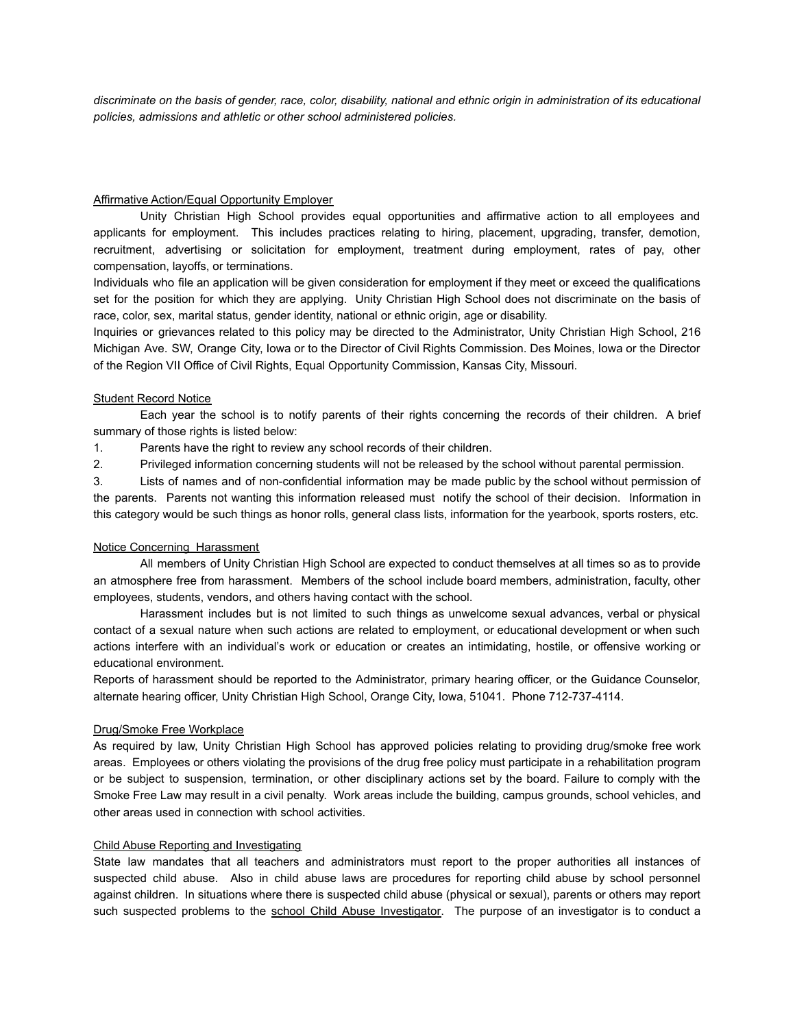*discriminate on the basis of gender, race, color, disability, national and ethnic origin in administration of its educational policies, admissions and athletic or other school administered policies.*

# Affirmative Action/Equal Opportunity Employer

Unity Christian High School provides equal opportunities and affirmative action to all employees and applicants for employment. This includes practices relating to hiring, placement, upgrading, transfer, demotion, recruitment, advertising or solicitation for employment, treatment during employment, rates of pay, other compensation, layoffs, or terminations.

Individuals who file an application will be given consideration for employment if they meet or exceed the qualifications set for the position for which they are applying. Unity Christian High School does not discriminate on the basis of race, color, sex, marital status, gender identity, national or ethnic origin, age or disability.

Inquiries or grievances related to this policy may be directed to the Administrator, Unity Christian High School, 216 Michigan Ave. SW, Orange City, Iowa or to the Director of Civil Rights Commission. Des Moines, Iowa or the Director of the Region VII Office of Civil Rights, Equal Opportunity Commission, Kansas City, Missouri.

# Student Record Notice

Each year the school is to notify parents of their rights concerning the records of their children. A brief summary of those rights is listed below:

1. Parents have the right to review any school records of their children.

2. Privileged information concerning students will not be released by the school without parental permission.

3. Lists of names and of non-confidential information may be made public by the school without permission of the parents. Parents not wanting this information released must notify the school of their decision. Information in this category would be such things as honor rolls, general class lists, information for the yearbook, sports rosters, etc.

#### Notice Concerning Harassment

All members of Unity Christian High School are expected to conduct themselves at all times so as to provide an atmosphere free from harassment. Members of the school include board members, administration, faculty, other employees, students, vendors, and others having contact with the school.

Harassment includes but is not limited to such things as unwelcome sexual advances, verbal or physical contact of a sexual nature when such actions are related to employment, or educational development or when such actions interfere with an individual's work or education or creates an intimidating, hostile, or offensive working or educational environment.

Reports of harassment should be reported to the Administrator, primary hearing officer, or the Guidance Counselor, alternate hearing officer, Unity Christian High School, Orange City, Iowa, 51041. Phone 712-737-4114.

#### Drug/Smoke Free Workplace

As required by law, Unity Christian High School has approved policies relating to providing drug/smoke free work areas. Employees or others violating the provisions of the drug free policy must participate in a rehabilitation program or be subject to suspension, termination, or other disciplinary actions set by the board. Failure to comply with the Smoke Free Law may result in a civil penalty. Work areas include the building, campus grounds, school vehicles, and other areas used in connection with school activities.

### Child Abuse Reporting and Investigating

State law mandates that all teachers and administrators must report to the proper authorities all instances of suspected child abuse. Also in child abuse laws are procedures for reporting child abuse by school personnel against children. In situations where there is suspected child abuse (physical or sexual), parents or others may report such suspected problems to the school Child Abuse Investigator. The purpose of an investigator is to conduct a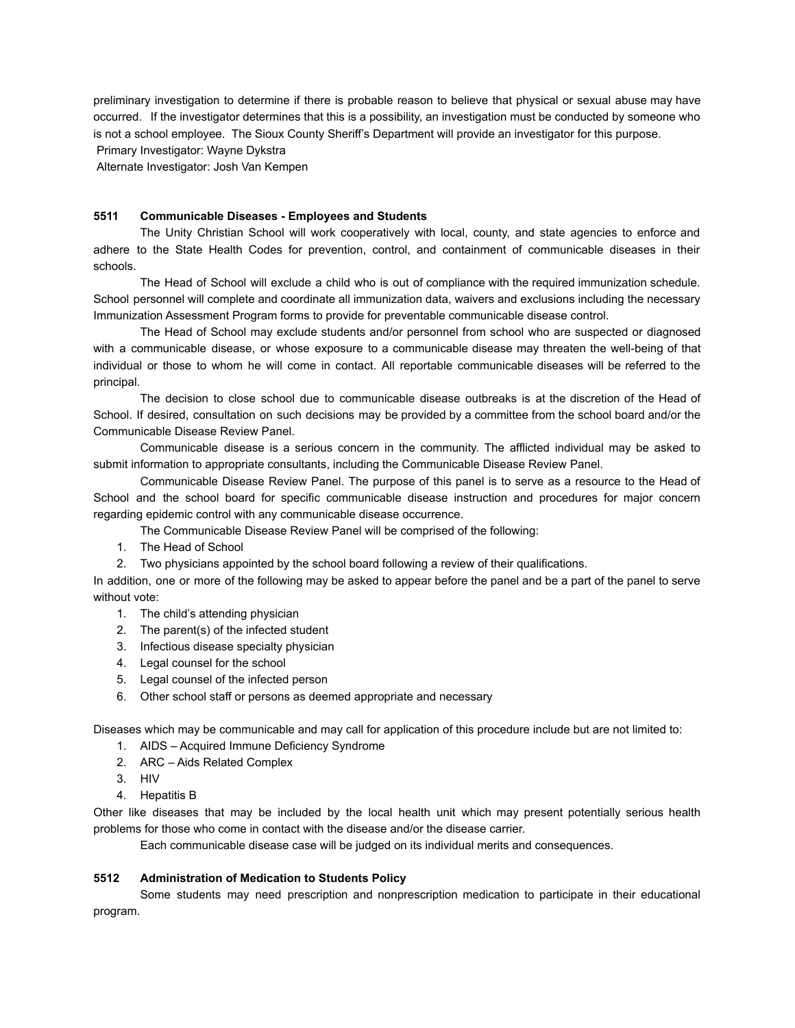preliminary investigation to determine if there is probable reason to believe that physical or sexual abuse may have occurred. If the investigator determines that this is a possibility, an investigation must be conducted by someone who is not a school employee. The Sioux County Sheriff's Department will provide an investigator for this purpose.

Primary Investigator: Wayne Dykstra

Alternate Investigator: Josh Van Kempen

### **5511 Communicable Diseases - Employees and Students**

The Unity Christian School will work cooperatively with local, county, and state agencies to enforce and adhere to the State Health Codes for prevention, control, and containment of communicable diseases in their schools.

The Head of School will exclude a child who is out of compliance with the required immunization schedule. School personnel will complete and coordinate all immunization data, waivers and exclusions including the necessary Immunization Assessment Program forms to provide for preventable communicable disease control.

The Head of School may exclude students and/or personnel from school who are suspected or diagnosed with a communicable disease, or whose exposure to a communicable disease may threaten the well-being of that individual or those to whom he will come in contact. All reportable communicable diseases will be referred to the principal.

The decision to close school due to communicable disease outbreaks is at the discretion of the Head of School. If desired, consultation on such decisions may be provided by a committee from the school board and/or the Communicable Disease Review Panel.

Communicable disease is a serious concern in the community. The afflicted individual may be asked to submit information to appropriate consultants, including the Communicable Disease Review Panel.

Communicable Disease Review Panel. The purpose of this panel is to serve as a resource to the Head of School and the school board for specific communicable disease instruction and procedures for major concern regarding epidemic control with any communicable disease occurrence.

The Communicable Disease Review Panel will be comprised of the following:

- 1. The Head of School
- 2. Two physicians appointed by the school board following a review of their qualifications.

In addition, one or more of the following may be asked to appear before the panel and be a part of the panel to serve without vote:

- 1. The child's attending physician
- 2. The parent(s) of the infected student
- 3. Infectious disease specialty physician
- 4. Legal counsel for the school
- 5. Legal counsel of the infected person
- 6. Other school staff or persons as deemed appropriate and necessary

Diseases which may be communicable and may call for application of this procedure include but are not limited to:

- 1. AIDS Acquired Immune Deficiency Syndrome
- 2. ARC Aids Related Complex
- 3. HIV
- 4. Hepatitis B

Other like diseases that may be included by the local health unit which may present potentially serious health problems for those who come in contact with the disease and/or the disease carrier.

Each communicable disease case will be judged on its individual merits and consequences.

# **5512 Administration of Medication to Students Policy**

Some students may need prescription and nonprescription medication to participate in their educational program.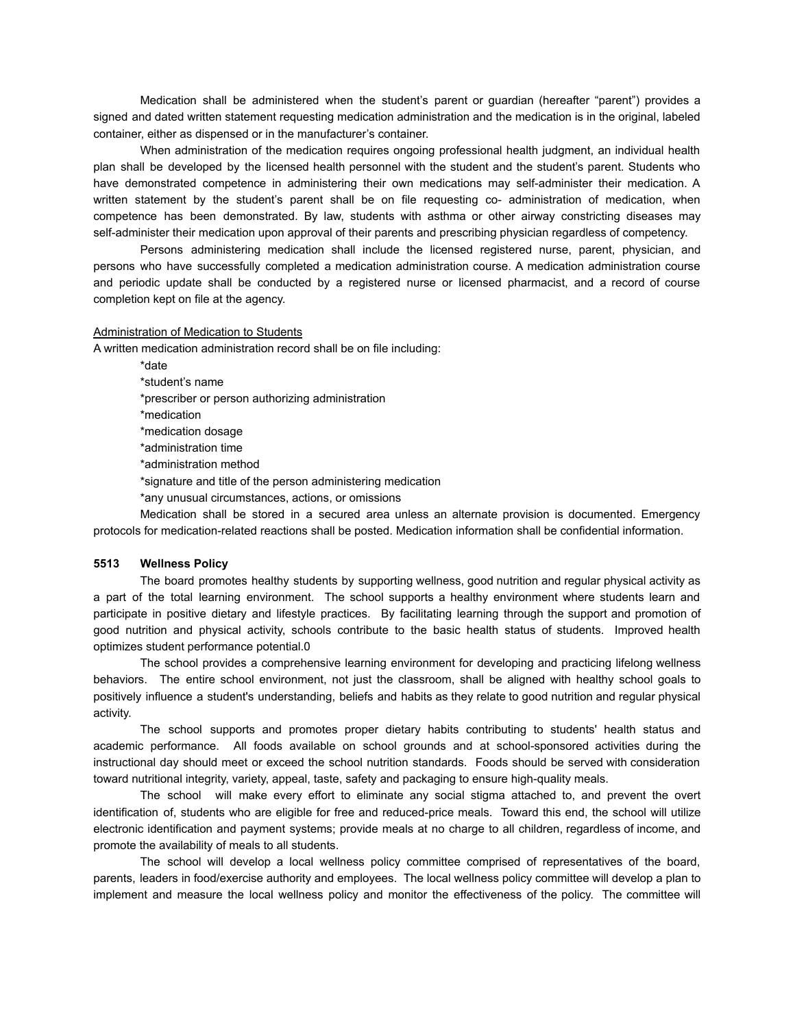Medication shall be administered when the student's parent or guardian (hereafter "parent") provides a signed and dated written statement requesting medication administration and the medication is in the original, labeled container, either as dispensed or in the manufacturer's container.

When administration of the medication requires ongoing professional health judgment, an individual health plan shall be developed by the licensed health personnel with the student and the student's parent. Students who have demonstrated competence in administering their own medications may self-administer their medication. A written statement by the student's parent shall be on file requesting co- administration of medication, when competence has been demonstrated. By law, students with asthma or other airway constricting diseases may self-administer their medication upon approval of their parents and prescribing physician regardless of competency.

Persons administering medication shall include the licensed registered nurse, parent, physician, and persons who have successfully completed a medication administration course. A medication administration course and periodic update shall be conducted by a registered nurse or licensed pharmacist, and a record of course completion kept on file at the agency.

#### Administration of Medication to Students

A written medication administration record shall be on file including:

\*date \*student's name \*prescriber or person authorizing administration \*medication \*medication dosage \*administration time \*administration method \*signature and title of the person administering medication \*any unusual circumstances, actions, or omissions

Medication shall be stored in a secured area unless an alternate provision is documented. Emergency protocols for medication-related reactions shall be posted. Medication information shall be confidential information.

#### **5513 Wellness Policy**

The board promotes healthy students by supporting wellness, good nutrition and regular physical activity as a part of the total learning environment. The school supports a healthy environment where students learn and participate in positive dietary and lifestyle practices. By facilitating learning through the support and promotion of good nutrition and physical activity, schools contribute to the basic health status of students. Improved health optimizes student performance potential.0

The school provides a comprehensive learning environment for developing and practicing lifelong wellness behaviors. The entire school environment, not just the classroom, shall be aligned with healthy school goals to positively influence a student's understanding, beliefs and habits as they relate to good nutrition and regular physical activity.

The school supports and promotes proper dietary habits contributing to students' health status and academic performance. All foods available on school grounds and at school-sponsored activities during the instructional day should meet or exceed the school nutrition standards. Foods should be served with consideration toward nutritional integrity, variety, appeal, taste, safety and packaging to ensure high-quality meals.

The school will make every effort to eliminate any social stigma attached to, and prevent the overt identification of, students who are eligible for free and reduced-price meals. Toward this end, the school will utilize electronic identification and payment systems; provide meals at no charge to all children, regardless of income, and promote the availability of meals to all students.

The school will develop a local wellness policy committee comprised of representatives of the board, parents, leaders in food/exercise authority and employees. The local wellness policy committee will develop a plan to implement and measure the local wellness policy and monitor the effectiveness of the policy. The committee will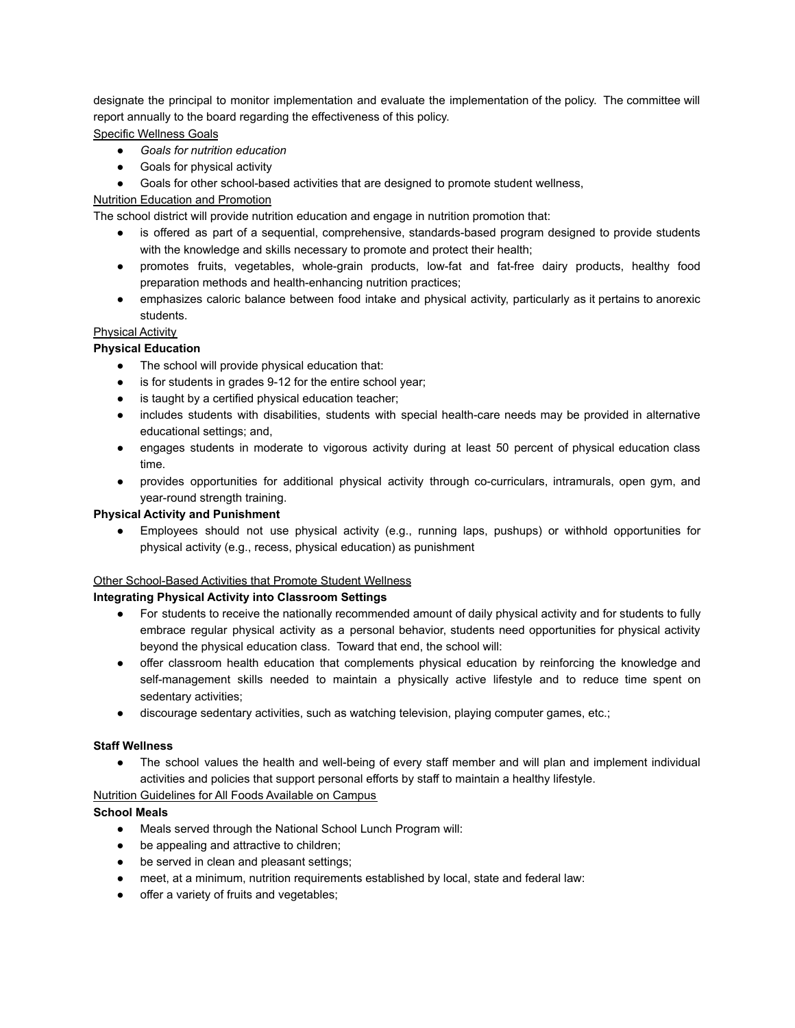designate the principal to monitor implementation and evaluate the implementation of the policy. The committee will report annually to the board regarding the effectiveness of this policy.

# Specific Wellness Goals

- *● Goals for nutrition education*
- Goals for physical activity
- Goals for other school-based activities that are designed to promote student wellness,

# Nutrition Education and Promotion

The school district will provide nutrition education and engage in nutrition promotion that:

- is offered as part of a sequential, comprehensive, standards-based program designed to provide students with the knowledge and skills necessary to promote and protect their health;
- promotes fruits, vegetables, whole-grain products, low-fat and fat-free dairy products, healthy food preparation methods and health-enhancing nutrition practices;
- emphasizes caloric balance between food intake and physical activity, particularly as it pertains to anorexic students.

# Physical Activity

# **Physical Education**

- The school will provide physical education that:
- is for students in grades 9-12 for the entire school year;
- is taught by a certified physical education teacher;
- includes students with disabilities, students with special health-care needs may be provided in alternative educational settings; and,
- engages students in moderate to vigorous activity during at least 50 percent of physical education class time.
- provides opportunities for additional physical activity through co-curriculars, intramurals, open gym, and year-round strength training.

# **Physical Activity and Punishment**

● Employees should not use physical activity (e.g., running laps, pushups) or withhold opportunities for physical activity (e.g., recess, physical education) as punishment

# Other School-Based Activities that Promote Student Wellness

# **Integrating Physical Activity into Classroom Settings**

- For students to receive the nationally recommended amount of daily physical activity and for students to fully embrace regular physical activity as a personal behavior, students need opportunities for physical activity beyond the physical education class. Toward that end, the school will:
- offer classroom health education that complements physical education by reinforcing the knowledge and self-management skills needed to maintain a physically active lifestyle and to reduce time spent on sedentary activities;
- discourage sedentary activities, such as watching television, playing computer games, etc.;

# **Staff Wellness**

● The school values the health and well-being of every staff member and will plan and implement individual activities and policies that support personal efforts by staff to maintain a healthy lifestyle.

# Nutrition Guidelines for All Foods Available on Campus

# **School Meals**

- Meals served through the National School Lunch Program will:
- be appealing and attractive to children;
- be served in clean and pleasant settings;
- meet, at a minimum, nutrition requirements established by local, state and federal law:
- offer a variety of fruits and vegetables;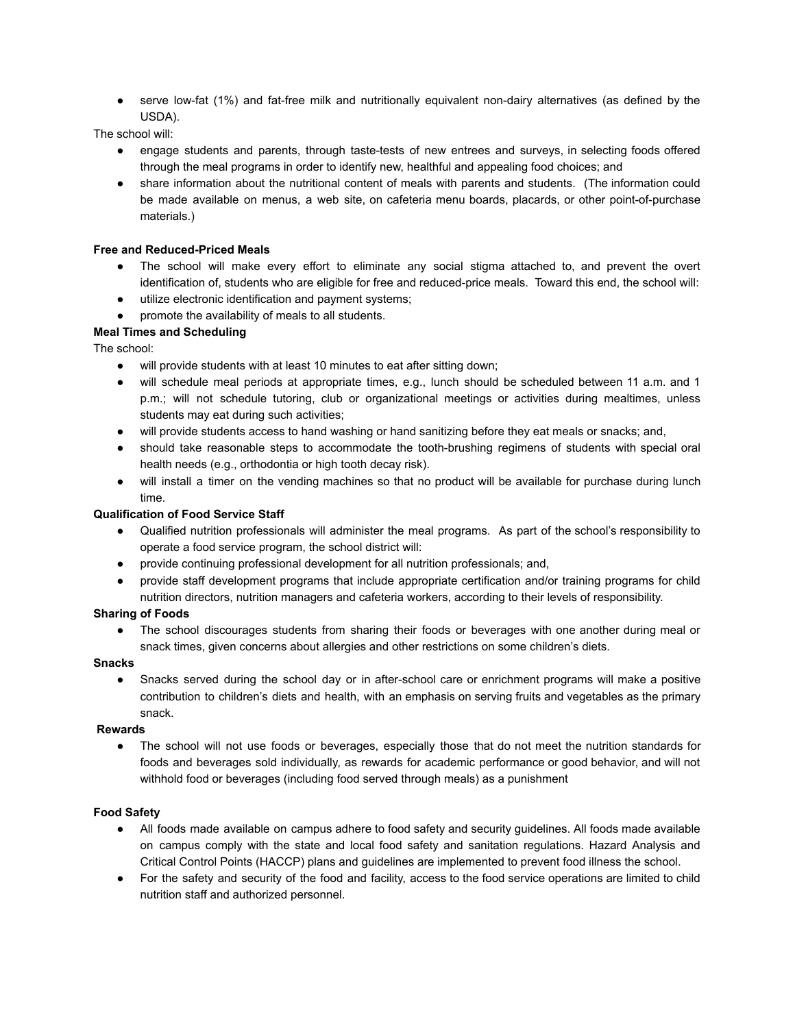● serve low-fat (1%) and fat-free milk and nutritionally equivalent non-dairy alternatives (as defined by the USDA).

The school will:

- engage students and parents, through taste-tests of new entrees and surveys, in selecting foods offered through the meal programs in order to identify new, healthful and appealing food choices; and
- share information about the nutritional content of meals with parents and students. (The information could be made available on menus, a web site, on cafeteria menu boards, placards, or other point-of-purchase materials.)

# **Free and Reduced-Priced Meals**

- The school will make every effort to eliminate any social stigma attached to, and prevent the overt identification of, students who are eligible for free and reduced-price meals. Toward this end, the school will:
- utilize electronic identification and payment systems;
- promote the availability of meals to all students.

# **Meal Times and Scheduling**

The school:

- will provide students with at least 10 minutes to eat after sitting down;
- will schedule meal periods at appropriate times, e.g., lunch should be scheduled between 11 a.m. and 1 p.m.; will not schedule tutoring, club or organizational meetings or activities during mealtimes, unless students may eat during such activities;
- will provide students access to hand washing or hand sanitizing before they eat meals or snacks; and,
- should take reasonable steps to accommodate the tooth-brushing regimens of students with special oral health needs (e.g., orthodontia or high tooth decay risk).
- will install a timer on the vending machines so that no product will be available for purchase during lunch time.

### **Qualification of Food Service Staff**

- Qualified nutrition professionals will administer the meal programs. As part of the school's responsibility to operate a food service program, the school district will:
- provide continuing professional development for all nutrition professionals; and,
- provide staff development programs that include appropriate certification and/or training programs for child nutrition directors, nutrition managers and cafeteria workers, according to their levels of responsibility.

# **Sharing of Foods**

• The school discourages students from sharing their foods or beverages with one another during meal or snack times, given concerns about allergies and other restrictions on some children's diets.

#### **Snacks**

• Snacks served during the school day or in after-school care or enrichment programs will make a positive contribution to children's diets and health, with an emphasis on serving fruits and vegetables as the primary snack.

#### **Rewards**

• The school will not use foods or beverages, especially those that do not meet the nutrition standards for foods and beverages sold individually, as rewards for academic performance or good behavior, and will not withhold food or beverages (including food served through meals) as a punishment

#### **Food Safety**

- All foods made available on campus adhere to food safety and security guidelines. All foods made available on campus comply with the state and local food safety and sanitation regulations. Hazard Analysis and Critical Control Points (HACCP) plans and guidelines are implemented to prevent food illness the school.
- For the safety and security of the food and facility, access to the food service operations are limited to child nutrition staff and authorized personnel.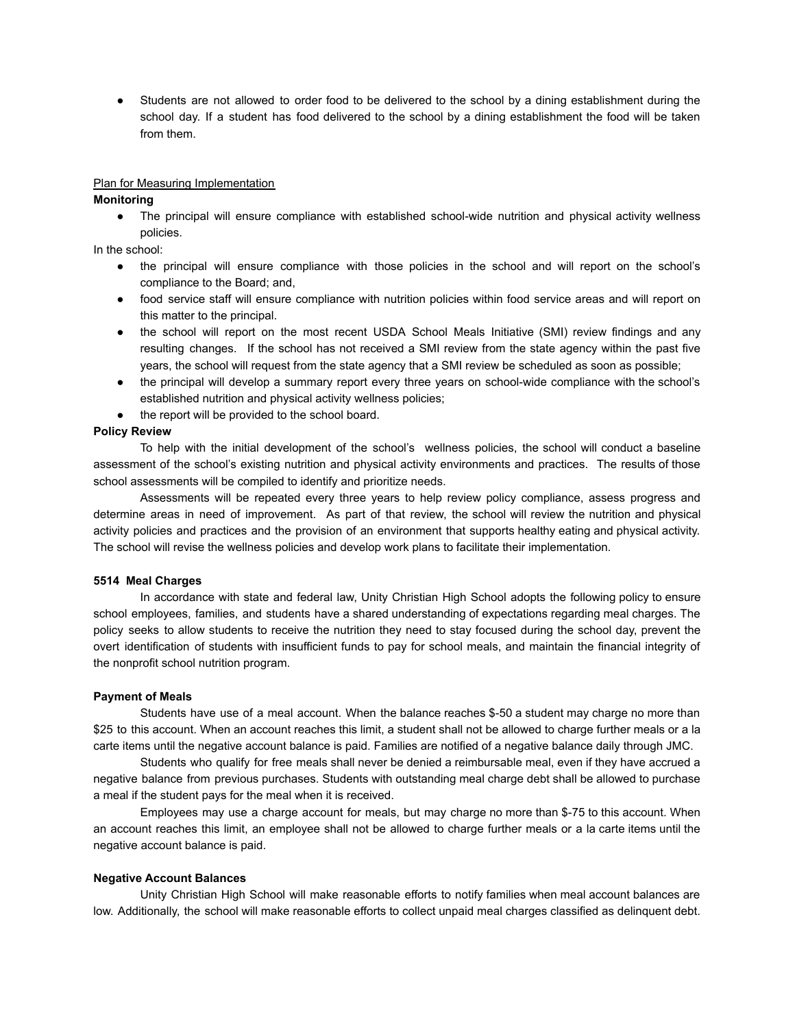● Students are not allowed to order food to be delivered to the school by a dining establishment during the school day. If a student has food delivered to the school by a dining establishment the food will be taken from them.

#### Plan for Measuring Implementation

#### **Monitoring**

The principal will ensure compliance with established school-wide nutrition and physical activity wellness policies.

In the school:

- the principal will ensure compliance with those policies in the school and will report on the school's compliance to the Board; and,
- food service staff will ensure compliance with nutrition policies within food service areas and will report on this matter to the principal.
- the school will report on the most recent USDA School Meals Initiative (SMI) review findings and any resulting changes. If the school has not received a SMI review from the state agency within the past five years, the school will request from the state agency that a SMI review be scheduled as soon as possible;
- the principal will develop a summary report every three years on school-wide compliance with the school's established nutrition and physical activity wellness policies;
- the report will be provided to the school board.

#### **Policy Review**

To help with the initial development of the school's wellness policies, the school will conduct a baseline assessment of the school's existing nutrition and physical activity environments and practices. The results of those school assessments will be compiled to identify and prioritize needs.

Assessments will be repeated every three years to help review policy compliance, assess progress and determine areas in need of improvement. As part of that review, the school will review the nutrition and physical activity policies and practices and the provision of an environment that supports healthy eating and physical activity. The school will revise the wellness policies and develop work plans to facilitate their implementation.

#### **5514 Meal Charges**

In accordance with state and federal law, Unity Christian High School adopts the following policy to ensure school employees, families, and students have a shared understanding of expectations regarding meal charges. The policy seeks to allow students to receive the nutrition they need to stay focused during the school day, prevent the overt identification of students with insufficient funds to pay for school meals, and maintain the financial integrity of the nonprofit school nutrition program.

#### **Payment of Meals**

Students have use of a meal account. When the balance reaches \$-50 a student may charge no more than \$25 to this account. When an account reaches this limit, a student shall not be allowed to charge further meals or a la carte items until the negative account balance is paid. Families are notified of a negative balance daily through JMC.

Students who qualify for free meals shall never be denied a reimbursable meal, even if they have accrued a negative balance from previous purchases. Students with outstanding meal charge debt shall be allowed to purchase a meal if the student pays for the meal when it is received.

Employees may use a charge account for meals, but may charge no more than \$-75 to this account. When an account reaches this limit, an employee shall not be allowed to charge further meals or a la carte items until the negative account balance is paid.

#### **Negative Account Balances**

Unity Christian High School will make reasonable efforts to notify families when meal account balances are low. Additionally, the school will make reasonable efforts to collect unpaid meal charges classified as delinquent debt.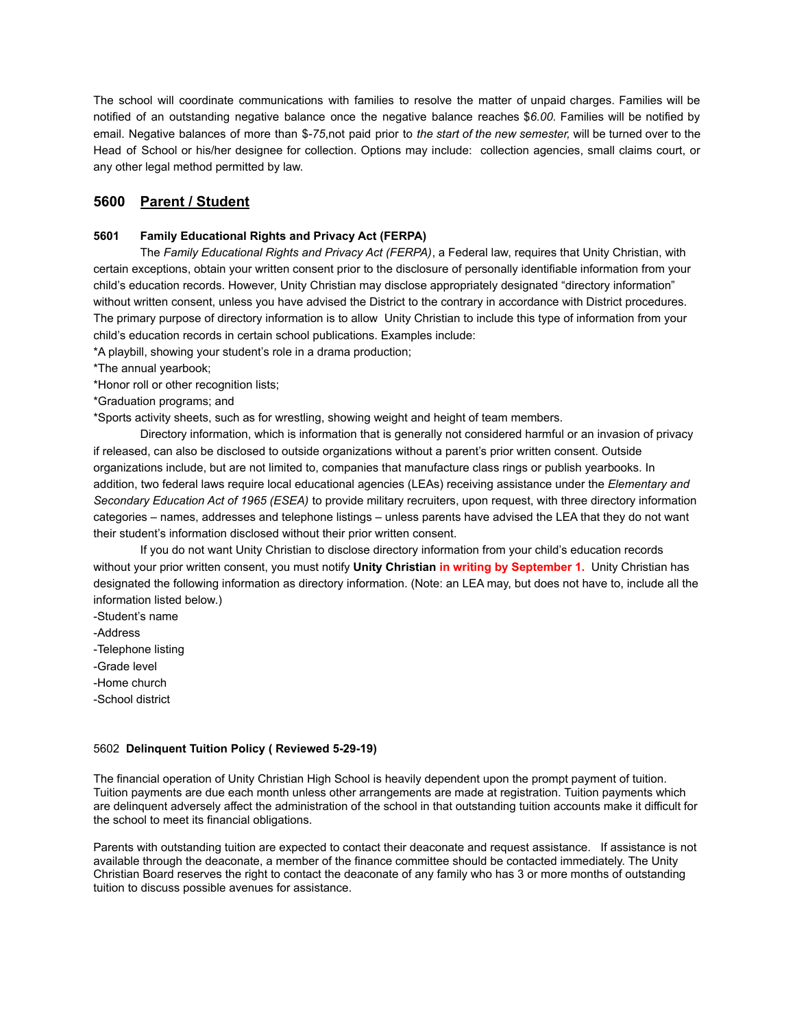The school will coordinate communications with families to resolve the matter of unpaid charges. Families will be notified of an outstanding negative balance once the negative balance reaches \$*6.00.* Families will be notified by email. Negative balances of more than \$*-75*,not paid prior to *the start of the new semester,* will be turned over to the Head of School or his/her designee for collection. Options may include: collection agencies, small claims court, or any other legal method permitted by law.

# **5600 Parent / Student**

# **5601 Family Educational Rights and Privacy Act (FERPA)**

The *Family Educational Rights and Privacy Act (FERPA)*, a Federal law, requires that Unity Christian, with certain exceptions, obtain your written consent prior to the disclosure of personally identifiable information from your child's education records. However, Unity Christian may disclose appropriately designated "directory information" without written consent, unless you have advised the District to the contrary in accordance with District procedures. The primary purpose of directory information is to allow Unity Christian to include this type of information from your child's education records in certain school publications. Examples include:

\*A playbill, showing your student's role in a drama production;

- \*The annual yearbook;
- \*Honor roll or other recognition lists;
- \*Graduation programs; and

\*Sports activity sheets, such as for wrestling, showing weight and height of team members.

Directory information, which is information that is generally not considered harmful or an invasion of privacy if released, can also be disclosed to outside organizations without a parent's prior written consent. Outside organizations include, but are not limited to, companies that manufacture class rings or publish yearbooks. In addition, two federal laws require local educational agencies (LEAs) receiving assistance under the *Elementary and Secondary Education Act of 1965 (ESEA)* to provide military recruiters, upon request, with three directory information categories – names, addresses and telephone listings – unless parents have advised the LEA that they do not want their student's information disclosed without their prior written consent.

If you do not want Unity Christian to disclose directory information from your child's education records without your prior written consent, you must notify **Unity Christian in writing by September 1.** Unity Christian has designated the following information as directory information. (Note: an LEA may, but does not have to, include all the information listed below.)

- -Student's name
- -Address
- -Telephone listing
- -Grade level
- -Home church
- -School district

#### 5602 **Delinquent Tuition Policy ( Reviewed 5-29-19)**

The financial operation of Unity Christian High School is heavily dependent upon the prompt payment of tuition. Tuition payments are due each month unless other arrangements are made at registration. Tuition payments which are delinquent adversely affect the administration of the school in that outstanding tuition accounts make it difficult for the school to meet its financial obligations.

Parents with outstanding tuition are expected to contact their deaconate and request assistance. If assistance is not available through the deaconate, a member of the finance committee should be contacted immediately. The Unity Christian Board reserves the right to contact the deaconate of any family who has 3 or more months of outstanding tuition to discuss possible avenues for assistance.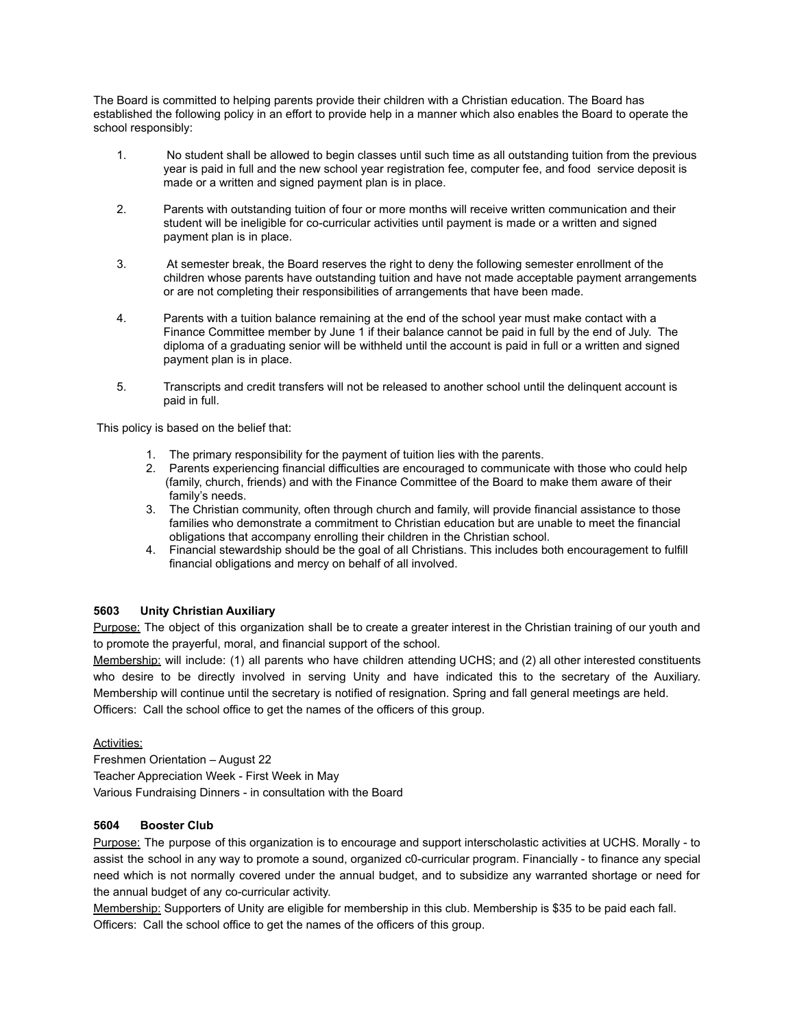The Board is committed to helping parents provide their children with a Christian education. The Board has established the following policy in an effort to provide help in a manner which also enables the Board to operate the school responsibly:

- 1. No student shall be allowed to begin classes until such time as all outstanding tuition from the previous year is paid in full and the new school year registration fee, computer fee, and food service deposit is made or a written and signed payment plan is in place.
- 2. Parents with outstanding tuition of four or more months will receive written communication and their student will be ineligible for co-curricular activities until payment is made or a written and signed payment plan is in place.
- 3. At semester break, the Board reserves the right to deny the following semester enrollment of the children whose parents have outstanding tuition and have not made acceptable payment arrangements or are not completing their responsibilities of arrangements that have been made.
- 4. Parents with a tuition balance remaining at the end of the school year must make contact with a Finance Committee member by June 1 if their balance cannot be paid in full by the end of July. The diploma of a graduating senior will be withheld until the account is paid in full or a written and signed payment plan is in place.
- 5. Transcripts and credit transfers will not be released to another school until the delinquent account is paid in full.

This policy is based on the belief that:

- 1. The primary responsibility for the payment of tuition lies with the parents.
- 2. Parents experiencing financial difficulties are encouraged to communicate with those who could help (family, church, friends) and with the Finance Committee of the Board to make them aware of their family's needs.
- 3. The Christian community, often through church and family, will provide financial assistance to those families who demonstrate a commitment to Christian education but are unable to meet the financial obligations that accompany enrolling their children in the Christian school.
- 4. Financial stewardship should be the goal of all Christians. This includes both encouragement to fulfill financial obligations and mercy on behalf of all involved.

# **5603 Unity Christian Auxiliary**

Purpose: The object of this organization shall be to create a greater interest in the Christian training of our youth and to promote the prayerful, moral, and financial support of the school.

Membership: will include: (1) all parents who have children attending UCHS; and (2) all other interested constituents who desire to be directly involved in serving Unity and have indicated this to the secretary of the Auxiliary. Membership will continue until the secretary is notified of resignation. Spring and fall general meetings are held. Officers: Call the school office to get the names of the officers of this group.

#### Activities:

Freshmen Orientation – August 22 Teacher Appreciation Week - First Week in May Various Fundraising Dinners - in consultation with the Board

#### **5604 Booster Club**

Purpose: The purpose of this organization is to encourage and support interscholastic activities at UCHS. Morally - to assist the school in any way to promote a sound, organized c0-curricular program. Financially - to finance any special need which is not normally covered under the annual budget, and to subsidize any warranted shortage or need for the annual budget of any co-curricular activity.

Membership: Supporters of Unity are eligible for membership in this club. Membership is \$35 to be paid each fall. Officers: Call the school office to get the names of the officers of this group.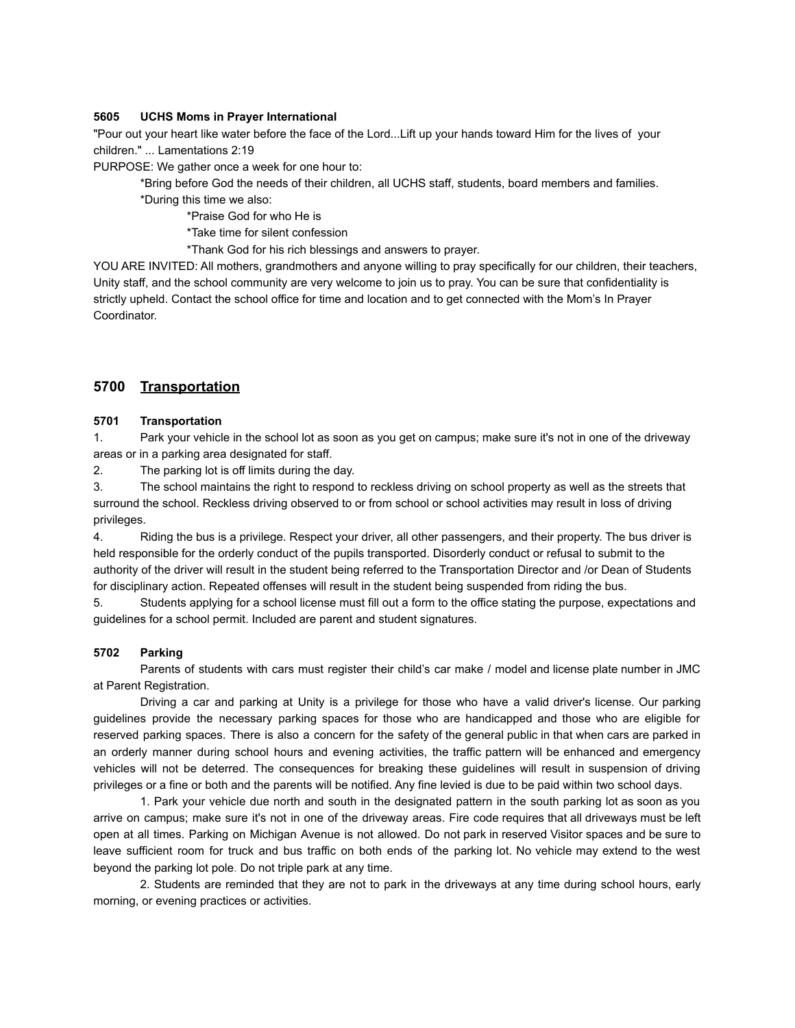### **5605 UCHS Moms in Prayer International**

"Pour out your heart like water before the face of the Lord...Lift up your hands toward Him for the lives of your children." ... Lamentations 2:19

PURPOSE: We gather once a week for one hour to:

\*Bring before God the needs of their children, all UCHS staff, students, board members and families.

\*During this time we also:

\*Praise God for who He is

\*Take time for silent confession

\*Thank God for his rich blessings and answers to prayer.

YOU ARE INVITED: All mothers, grandmothers and anyone willing to pray specifically for our children, their teachers, Unity staff, and the school community are very welcome to join us to pray. You can be sure that confidentiality is strictly upheld. Contact the school office for time and location and to get connected with the Mom's In Prayer Coordinator.

# **5700 Transportation**

# **5701 Transportation**

1. Park your vehicle in the school lot as soon as you get on campus; make sure it's not in one of the driveway areas or in a parking area designated for staff.

2. The parking lot is off limits during the day.

3. The school maintains the right to respond to reckless driving on school property as well as the streets that surround the school. Reckless driving observed to or from school or school activities may result in loss of driving privileges.

4. Riding the bus is a privilege. Respect your driver, all other passengers, and their property. The bus driver is held responsible for the orderly conduct of the pupils transported. Disorderly conduct or refusal to submit to the authority of the driver will result in the student being referred to the Transportation Director and /or Dean of Students for disciplinary action. Repeated offenses will result in the student being suspended from riding the bus.

5. Students applying for a school license must fill out a form to the office stating the purpose, expectations and guidelines for a school permit. Included are parent and student signatures.

#### **5702 Parking**

Parents of students with cars must register their child's car make / model and license plate number in JMC at Parent Registration.

Driving a car and parking at Unity is a privilege for those who have a valid driver's license. Our parking guidelines provide the necessary parking spaces for those who are handicapped and those who are eligible for reserved parking spaces. There is also a concern for the safety of the general public in that when cars are parked in an orderly manner during school hours and evening activities, the traffic pattern will be enhanced and emergency vehicles will not be deterred. The consequences for breaking these guidelines will result in suspension of driving privileges or a fine or both and the parents will be notified. Any fine levied is due to be paid within two school days.

1. Park your vehicle due north and south in the designated pattern in the south parking lot as soon as you arrive on campus; make sure it's not in one of the driveway areas. Fire code requires that all driveways must be left open at all times. Parking on Michigan Avenue is not allowed. Do not park in reserved Visitor spaces and be sure to leave sufficient room for truck and bus traffic on both ends of the parking lot. No vehicle may extend to the west beyond the parking lot pole. Do not triple park at any time.

2. Students are reminded that they are not to park in the driveways at any time during school hours, early morning, or evening practices or activities.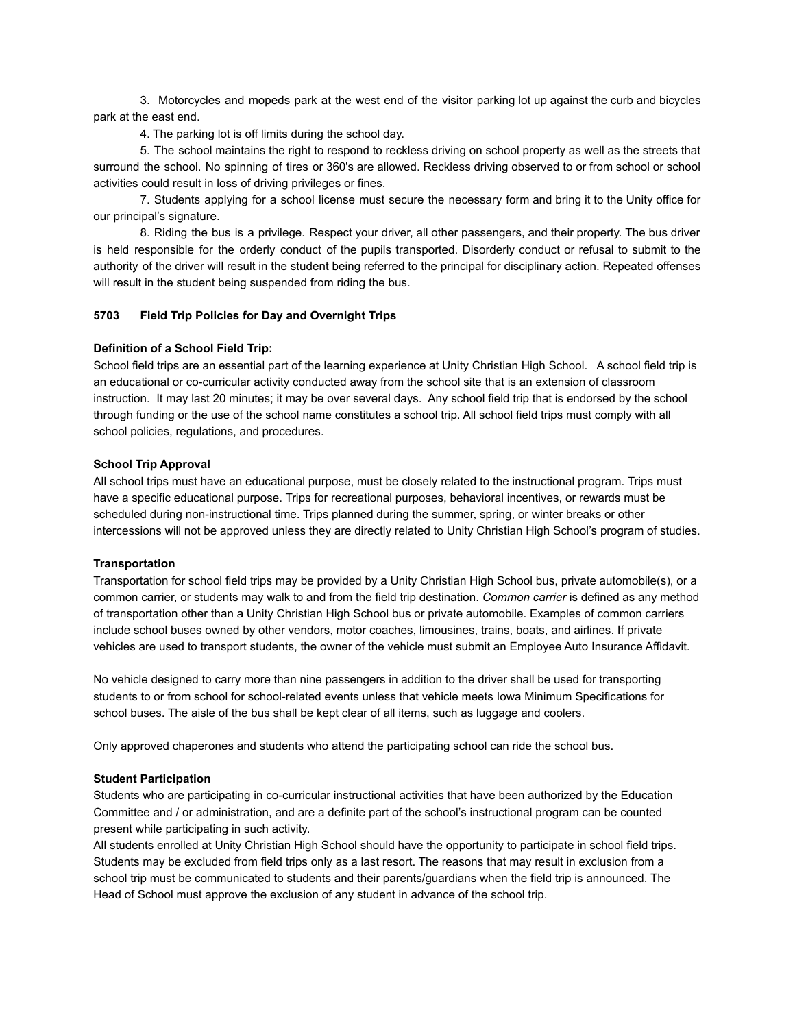3. Motorcycles and mopeds park at the west end of the visitor parking lot up against the curb and bicycles park at the east end.

4. The parking lot is off limits during the school day.

5. The school maintains the right to respond to reckless driving on school property as well as the streets that surround the school. No spinning of tires or 360's are allowed. Reckless driving observed to or from school or school activities could result in loss of driving privileges or fines.

7. Students applying for a school license must secure the necessary form and bring it to the Unity office for our principal's signature.

8. Riding the bus is a privilege. Respect your driver, all other passengers, and their property. The bus driver is held responsible for the orderly conduct of the pupils transported. Disorderly conduct or refusal to submit to the authority of the driver will result in the student being referred to the principal for disciplinary action. Repeated offenses will result in the student being suspended from riding the bus.

# **5703 Field Trip Policies for Day and Overnight Trips**

#### **Definition of a School Field Trip:**

School field trips are an essential part of the learning experience at Unity Christian High School. A school field trip is an educational or co-curricular activity conducted away from the school site that is an extension of classroom instruction. It may last 20 minutes; it may be over several days. Any school field trip that is endorsed by the school through funding or the use of the school name constitutes a school trip. All school field trips must comply with all school policies, regulations, and procedures.

#### **School Trip Approval**

All school trips must have an educational purpose, must be closely related to the instructional program. Trips must have a specific educational purpose. Trips for recreational purposes, behavioral incentives, or rewards must be scheduled during non-instructional time. Trips planned during the summer, spring, or winter breaks or other intercessions will not be approved unless they are directly related to Unity Christian High School's program of studies.

#### **Transportation**

Transportation for school field trips may be provided by a Unity Christian High School bus, private automobile(s), or a common carrier, or students may walk to and from the field trip destination. *Common carrier* is defined as any method of transportation other than a Unity Christian High School bus or private automobile. Examples of common carriers include school buses owned by other vendors, motor coaches, limousines, trains, boats, and airlines. If private vehicles are used to transport students, the owner of the vehicle must submit an Employee Auto Insurance Affidavit.

No vehicle designed to carry more than nine passengers in addition to the driver shall be used for transporting students to or from school for school-related events unless that vehicle meets Iowa Minimum Specifications for school buses. The aisle of the bus shall be kept clear of all items, such as luggage and coolers.

Only approved chaperones and students who attend the participating school can ride the school bus.

# **Student Participation**

Students who are participating in co-curricular instructional activities that have been authorized by the Education Committee and / or administration, and are a definite part of the school's instructional program can be counted present while participating in such activity.

All students enrolled at Unity Christian High School should have the opportunity to participate in school field trips. Students may be excluded from field trips only as a last resort. The reasons that may result in exclusion from a school trip must be communicated to students and their parents/guardians when the field trip is announced. The Head of School must approve the exclusion of any student in advance of the school trip.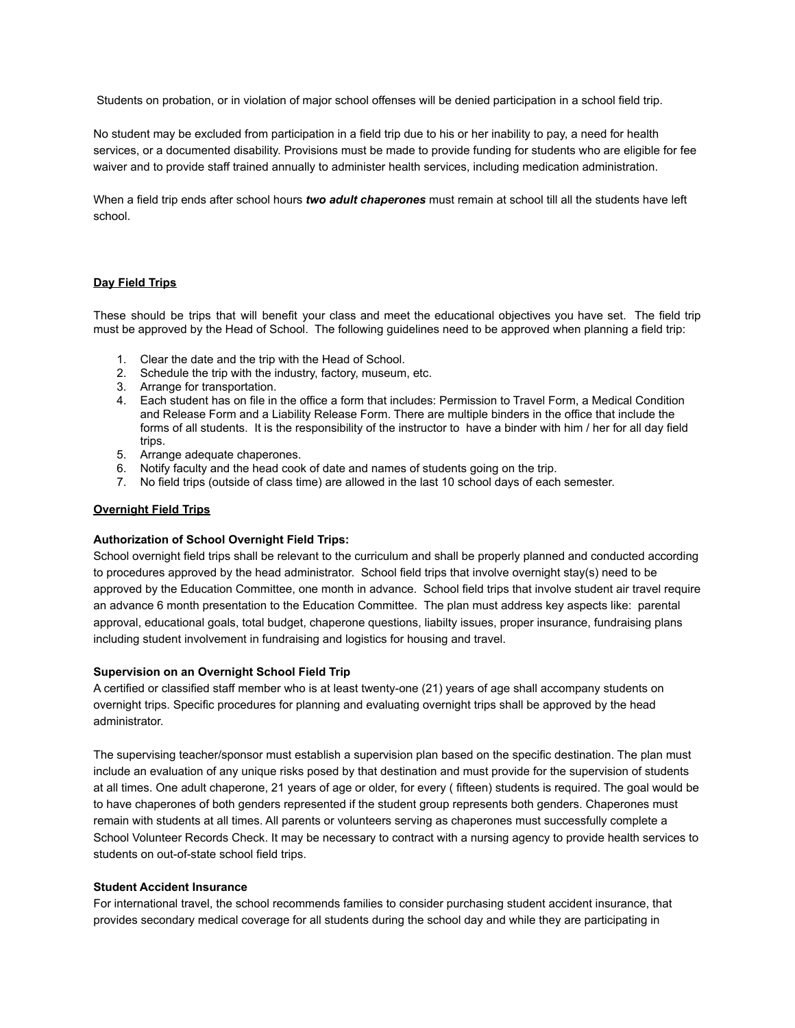Students on probation, or in violation of major school offenses will be denied participation in a school field trip.

No student may be excluded from participation in a field trip due to his or her inability to pay, a need for health services, or a documented disability. Provisions must be made to provide funding for students who are eligible for fee waiver and to provide staff trained annually to administer health services, including medication administration.

When a field trip ends after school hours *two adult chaperones* must remain at school till all the students have left school.

#### **Day Field Trips**

These should be trips that will benefit your class and meet the educational objectives you have set. The field trip must be approved by the Head of School. The following guidelines need to be approved when planning a field trip:

- 1. Clear the date and the trip with the Head of School.
- 2. Schedule the trip with the industry, factory, museum, etc.
- 3. Arrange for transportation.
- 4. Each student has on file in the office a form that includes: Permission to Travel Form, a Medical Condition and Release Form and a Liability Release Form. There are multiple binders in the office that include the forms of all students. It is the responsibility of the instructor to have a binder with him / her for all day field trips.
- 5. Arrange adequate chaperones.
- 6. Notify faculty and the head cook of date and names of students going on the trip.
- 7. No field trips (outside of class time) are allowed in the last 10 school days of each semester.

#### **Overnight Field Trips**

#### **Authorization of School Overnight Field Trips:**

School overnight field trips shall be relevant to the curriculum and shall be properly planned and conducted according to procedures approved by the head administrator. School field trips that involve overnight stay(s) need to be approved by the Education Committee, one month in advance. School field trips that involve student air travel require an advance 6 month presentation to the Education Committee. The plan must address key aspects like: parental approval, educational goals, total budget, chaperone questions, liabilty issues, proper insurance, fundraising plans including student involvement in fundraising and logistics for housing and travel.

#### **Supervision on an Overnight School Field Trip**

A certified or classified staff member who is at least twenty-one (21) years of age shall accompany students on overnight trips. Specific procedures for planning and evaluating overnight trips shall be approved by the head administrator.

The supervising teacher/sponsor must establish a supervision plan based on the specific destination. The plan must include an evaluation of any unique risks posed by that destination and must provide for the supervision of students at all times. One adult chaperone, 21 years of age or older, for every ( fifteen) students is required. The goal would be to have chaperones of both genders represented if the student group represents both genders. Chaperones must remain with students at all times. All parents or volunteers serving as chaperones must successfully complete a School Volunteer Records Check. It may be necessary to contract with a nursing agency to provide health services to students on out-of-state school field trips.

#### **Student Accident Insurance**

For international travel, the school recommends families to consider purchasing student accident insurance, that provides secondary medical coverage for all students during the school day and while they are participating in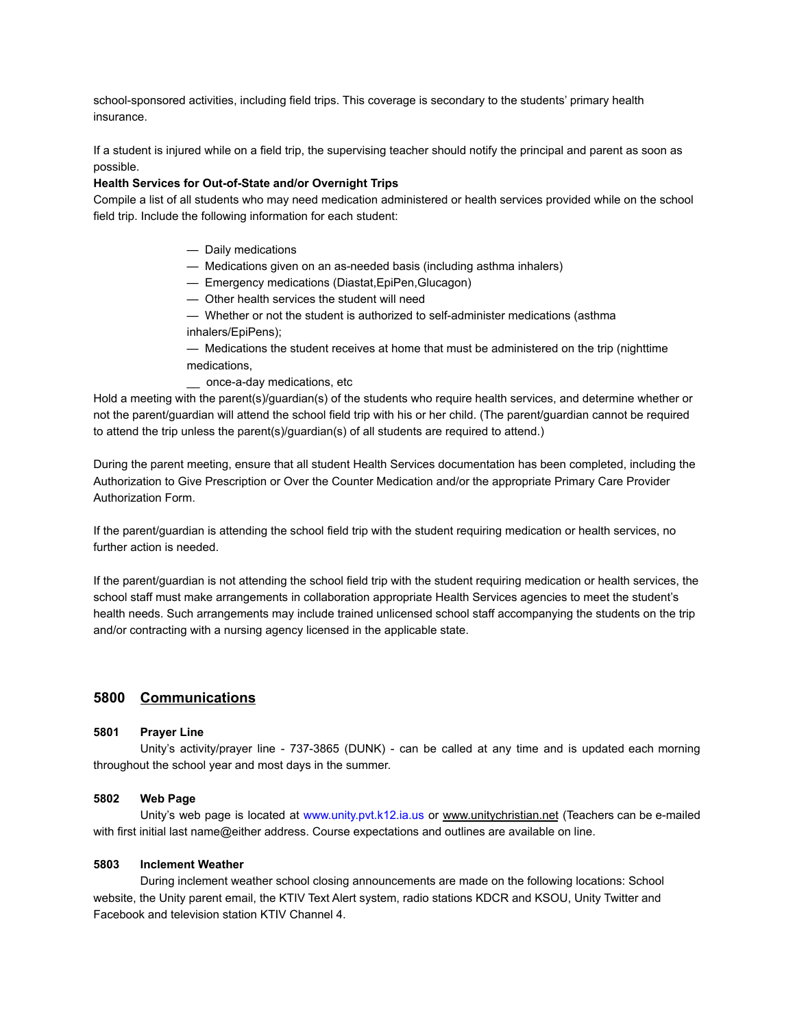school-sponsored activities, including field trips. This coverage is secondary to the students' primary health insurance.

If a student is injured while on a field trip, the supervising teacher should notify the principal and parent as soon as possible.

### **Health Services for Out-of-State and/or Overnight Trips**

Compile a list of all students who may need medication administered or health services provided while on the school field trip. Include the following information for each student:

- Daily medications
- Medications given on an as-needed basis (including asthma inhalers)
- Emergency medications (Diastat,EpiPen,Glucagon)
- Other health services the student will need
- Whether or not the student is authorized to self-administer medications (asthma inhalers/EpiPens);
- Medications the student receives at home that must be administered on the trip (nighttime medications,
- \_\_ once-a-day medications, etc

Hold a meeting with the parent(s)/guardian(s) of the students who require health services, and determine whether or not the parent/guardian will attend the school field trip with his or her child. (The parent/guardian cannot be required to attend the trip unless the parent(s)/guardian(s) of all students are required to attend.)

During the parent meeting, ensure that all student Health Services documentation has been completed, including the Authorization to Give Prescription or Over the Counter Medication and/or the appropriate Primary Care Provider Authorization Form.

If the parent/guardian is attending the school field trip with the student requiring medication or health services, no further action is needed.

If the parent/guardian is not attending the school field trip with the student requiring medication or health services, the school staff must make arrangements in collaboration appropriate Health Services agencies to meet the student's health needs. Such arrangements may include trained unlicensed school staff accompanying the students on the trip and/or contracting with a nursing agency licensed in the applicable state.

# **5800 Communications**

#### **5801 Prayer Line**

Unity's activity/prayer line - 737-3865 (DUNK) - can be called at any time and is updated each morning throughout the school year and most days in the summer.

# **5802 Web Page**

Unity's web page is located at www.unity.pvt.k12.ia.us or www.unitychristian.net (Teachers can be e-mailed with first initial last name@either address. Course expectations and outlines are available on line.

# **5803 Inclement Weather**

During inclement weather school closing announcements are made on the following locations: School website, the Unity parent email, the KTIV Text Alert system, radio stations KDCR and KSOU, Unity Twitter and Facebook and television station KTIV Channel 4.